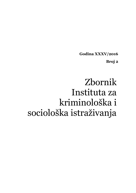**Godina XXXV/2016**

**Broj 2**

# Zbornik Instituta za kriminološka i sociološka istraživanja **UDK 343**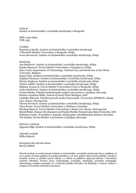*Izdavač* Institut za kriminološka i sociološka istraživanja u Beogradu

ISSN: 0350-2694 UDK: 343

*Urednice*

Branislava Knežić, Institut za kriminološka i sociološka istraživanja i Filozofski fakultet Univerziteta u Beogradu, Srbija Ivana Stevanović, Institut za kriminološka i sociološka istraživanja, Srbija

#### *Redakcija*

Ana Batrićević, Institut za kriminološka i sociološka istraživanja, Srbija Stanko Bejatović, Pravni fakultet Univerziteta u Kragujevcu, Srbija Marc Cools, Department of Criminology, Criminal Law and Social Law at the Ghent University, Belgium Sanja Ćopić, Institut za kriminološka i sociološka istraživanja, Srbija Hajdana Glomazić, Institut za kriminološka i sociološka istraživanja, Srbija Marina Hughson, Institut za kriminološka i sociološka istraživanja, Srbija Vladan Joldžić, Institut za kriminološka i sociološka istraživanja, Srbija Slađana Jovanović, Pravni fakultet Univerziteta Union u Beogradu, Srbija Janko Međedović, Institut za kriminološka i sociološka istraživanja, Srbija Gorazd Meško, Fakultet bezbednosnih studija Univerziteta u Ljubljani, Slovenija Reuben Jonathan Miller, School of Social Work Michigan, SAD Ljubinko Mitrović, Fakultet pravnih nauka Panevropski Univerzitet APEIRON u Banja Luci, Bosna i Hercegovina Olivera Pavićević, Institut za kriminološka i sociološka istraživanja, Srbija Claus Roxin, Pravni fakultet Univerziteta u Minhenu, Nemačka Miodrag Simović, Pravni fakultet Univerziteta u Banja Luci, Bosna i Hercegovina Đurađ Stakić, Human Development and Family Studies Pennsylvania State University, SAD Slobodan Uzelac, Sveučilište u Zagrebu, Edukacijsko-rehabilitacijski fakultet, Hrvatska Vid Jakulin, Pravni fakultet Univerziteta u Ljubljani, Slovenija

#### *Sekretar redakcije*

Ljeposava Ilijić*,*Institut za kriminološka i sociološka istraživanja, Srbija

*Tehnički urednik* Milka Raković

*Kompjuterska obrada teksta* Slavica Miličić

Zbornik Instituta je naučni časopis Instituta za kriminološka i sociološka istraživanja koji se publikuje od 1972. godine dva puta godišnje sa manjim prekidima, a od 2016. godine izlazi tri puta godišnje. Časopis je tematski otvoren za različite naučne oblasti, a u skladu sa politikom njegovog izdavača i relevantnim naučnim oblastima: krivično pravo, kriminologija, sociologija, psihologija, penološka andragogija, viktimologija, socijalna patologija i dr. Uređivačku politiku Zbornika vodi Redakcija i Urednice. Radovi u časopisu su dvostruko anonimno recenzirani.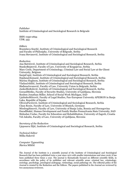*Publisher* Institute of Criminological and Sociological Research in Belgrade

ISSN: 0350-2694 UDK: 343

#### *Editors*

Branislava Knežić, Institute of Criminological and Sociological Research and Faculty of Philosiphy, University of Belgrade, Serbia Ivana Stevanović, Institute of Criminological and Sociological Research, Serbia

#### *Redaction*

Ana Batrićević, Institute of Criminological and Sociological Research, Serbia StankoBejatović, Faculty of Law, University of Kragujevac, Serbia Marc Cools, Department of Criminology, Criminal Law and Social Law at the Ghent University, Belgium SanjaĆopić, Institute of Criminological and Sociological Research, Serbia HajdanaGlomazić, Institute of Criminological and Sociological Research, Serbia Marina Hughson, Institute of Criminological and Sociological Research, Serbia VladanJoldžić, Institute of Criminological and Sociological Research, Serbia SlađanaJovanović, Faculty of Law, University Union in Belgrade, Serbia JankoMeđedović, Institute of Criminological and Sociological Research, Serbia GorazdMeško, Faculty of Security Studies, University of Ljubljana, Slovenia Reuben Jonathan Miller, School of Social Work Michigan, SAD LjubinkoMitrović, Faculty of Legal Studies, Pan-European University APEIRON in Banja Luka, Republic of Srpska OliveraPavićević, Institute of Criminological and Sociological Research, Serbia Claus Roxin, Faculty of Law, University of Munich, Germany MiodragSimović, Faculty of Law, University of Banja Luka, Bosnia and Herzegovina ĐurađStakić, Human Development and Family Studies Pennsylvania State University, SAD Slobodan Uzelac, Faculty for Education and Rehabilitation, University of Zagreb, Croatia Vid Jakulin, Faculty of Law, University of Ljubljana, Slovenia

#### *Secretary of the Redaction*

Ljeposava Ilijić*,* Institute of Criminological and Sociological Research, Serbia

*Technical Editor* Milka Raković

*Computer Typesetting S*lavica Miličić

The Journal of the Institute is a scientific journal of the Institute of Criminological and Sociological Research that has been published twice a year since 1972 with smaller intermissions and since 2016, it has been published three times a year. The journal is thematically focused on different scientific fields, in accordance with the policy of its publisher and relevant scientific areas: criminal law, criminology, sociology, psychology, penological andragogy, victimology, social pathology etc. The editorial policy of the Journal is created by the Redaction and the Editors. The papers published in the Journal are reviewed by two anonymous reviewers.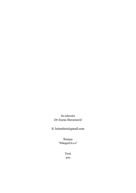Za izdavača *Dr Ivana Stevanović*

E: krinstitut@gmail.com

Štampa "Pekograf d.o.o"

> Tiraž 300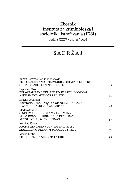# Zbornik Instituta za kriminološka i sociološka istraživanja (IKSI)

godina XXXV / broj $2$ / $2016\,$ 

# S A D R Ž A J

| Boban Petrović, Janko Međedović<br>PERSONALITY AND BEHAVIOURAL CHARACTERISTICS<br>OF DARK AND LIGHT NARCISSISM   | 7  |
|------------------------------------------------------------------------------------------------------------------|----|
| Leposava Kron<br>POLYGRAPH AND RELIABILITY IN PSYCHOLOGICAL<br>ASSESSMENT: MYTH OR REALITY?                      | 35 |
| Dragan Jovašević<br>KRIVIČNA DELA U VEZI SA OPOJNIM DROGAMA<br>U ZAKONODAVSTVU ŠVAJCARSKE                        | 49 |
| Vladan Joldžić<br>O NEKIM MOGUĆNOSTIMA TRETMANA<br>ELEKTRONSKOG KRIMINALITETA SPRAM<br>AUTORSKIH I SRODNIH PRAVA | 57 |
| Ana Batrićević<br>NACIONALNI PRAVNI OKVIRI ZA ZAŠTITU<br>ZEMLJIŠTA U URBANIM ZONAMA U SRBIJI                     | 75 |
| Marko Krstić<br>TERORIZAM U SAJBERPROSTORU                                                                       | 93 |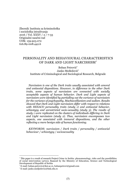Zbornik Instituta za kriminološka i sociološka istraživanja 2016 / Vol. XXXV / 2 / 7-33 Originalni naučni rad UDK: 159.923.072 616.89-008.442.6

# PERSONALITY AND BEHAVIOURAL CHARACTERISTICS OF DARK AND LIGHT NARCISSISM

Boban Petrović Janko Međedović Institute of Criminological and Sociological Research, Belgrade

*Narcissism is one of the Dark traits usually associated with amoral and antisocial dispositions. However, in difference to the other Dark traits, some aspects of narcissism are connected with socially acceptable aspects of human behavior. Dark and Light aspects of narcissism were identified by partialling out the variance of narcissism for the variance of psychopathy, Machiavellianism and sadism. Results showed that Dark and Light narcissism differ with respect to relations with HEXACO personality traits (study 1) and antisocial behavior, schizotypy and unrestricted socio-sexuality (study 3). The results of study 1 were replicated on the clusters of individuals differing in Dark and Light narcissism (study 2). Thus, narcissism encompasses two aspects, one associated with immoral dispositions, and the other reflecting a more benign side of human functioning.*

*KEYWORDS: narcissism / Dark traits / personality / antisocial behaviour / schizotypy / sociosexuality*

This paper is a result of research Project Crime in Serbia: phenomenology, risks and the possibilities of social intervention (47011), financed by the Ministry of Education, Science and Technological Development of Republic of Serbia

E-mail: boban.petrovic@iksi.ac.rs, bobanpetrovi@gmail.com

E-mail: janko.medjedovic@fmk.edu.rs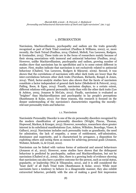#### 1. INTRODUCTION

Narcissism, Machiavellianism, psychopathy and sadism are the traits generally recognized as part of Dark Triad construct (Paulhus & Williams, 2002), or, more recently, the Dark Tetrad (Paulhus, 2014; Chabrol, Melioli, Van Leeuwen, Rodgers, & Goutaudier, 2015). These traits are in the focus of researchers mainly because of their strong associations with immoral and antisocial behaviour (Paulhus, 2014). However, unlike Machiavellianism, psychopathy and sadism, growing number of studies show that narcissism has its specificities and is to some extent different in nature. First, studies indicate that narcissism is not exclusively related to antisocial behaviour (Chabrol, Van Leeuwen, Rodgers & Séjourné, 2009). Second, it was shown that the correlations of narcissism with other dark traits are lower than the inter-correlations between other dark traits (Furnham, Richards, Rangel, & Jones, 2014). Third, factor-analytic studies have also shown that the facets of narcissism constitute a factor independent of general dark factor (Međedović & Petrović, 2015; Pailing, Boon, & Egan, 2014). Fourth, narcissism displays, to a certain extent, different relations with general personality traits than with the other dark traits (Lee & Ashton, 2005; Jonason & McCain, 2012). Finally, narcissism is evaluated as "brighter" than Machiavellianism and psychopathy in lay people's perceptions (Rauthmann & Kolar, 2012). For these reasons, this research is focused on the deeper understanding of the narcissism's characteristics regarding the morally relevant personality traits and behavior.

#### 1.1. Narcissism

Narcissistic Personality Disorder is one of the six personality disorders recognized by the modern classification of personality disorders (Wright, Pincus, Thomas, Hopwood, Markon, & Krueger, 2013). However, nowadays, researchers show greater interest in its subclinical manifestations (Lee, Ashton, Wiltshire, Bourdage, Visser, & Gallucci, 2013). Narcissism includes such personality traits as grandiosity, the need for admiration, the lack of empathy, a sense of entitlement, self-admiration, dominance and superiority, and is characterized by arrogance, a disposition for exploiting others and seeing them as means for achieving personal goals (Jonason, Webster, Schmitt, Li, & Crysel, 2012).

Narcissism can be linked with various forms of antisocial and amoral behaviours (Jonason et al., 2012). However, some studies have shown that the delinquent behaviour is predicted by psychopathy, sadism and Machiavellianism, but not by narcissism (Chabrol et al., 2009). Also, there is a growing body of evidence showing that narcissism can also have a positive outcome for the person, such as social status, popularity, or leadership (Wai & Tiliopoulos, 2012), and it is still considered the "least dark" of all Dark Triad traits (Rauthmann & Kolar, 2012). While most narcissists have a tendency to behave in a disagreeable manner, they also exhibit extraverted behavior, probably with the aim of making a good first impression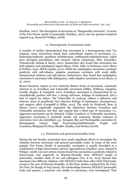(Paulhus, 2001). The description of narcissists as ''disagreeable extraverts'', in terms of the Five-Factor model of personality (Paulhus, 2001), has the greatest empirical support (e.g., Samuel & Widiger, 2008).

#### 1.2. Heterogeneity of narcissistic traits

A number of studies demonstrated that narcissism is a heterogeneous trait. For instance, some researchers found three subordinate aspects of narcissism, i.e., leadership/authority, grandiose exhibitionism, entitlement/exploitativeness, which have divergent associations with external criteria (Ackerman, Witt, Donnellan, Trzesniewski, Robins & Kashy, 2011). Researchers also found that narcissism has both adaptive and maladaptive aspect (Barry, Frick, Adler, & Grafeman, 2007; Barry & Wallace, 2010; Hill & Lapsley, 2011). While the maladaptive narcissism correlates positively with self-reliance, adaptive narcissism correlates with social skills, interpersonal relations and self-esteem; furthermore, they found that maladaptive narcissism is associated with delinquency, while adaptive narcissism is not (Barry, et al., 2007).

Recent literature reports on two relatively distinct forms of narcissism, commonly referred to as Grandiose and Vulnerable narcissism (Miller, Hoffman, Gaughan, Gentile, Maples, & Campbell, 2011). Grandiose narcissism is characterized by an unrealistically positive self-view, a strong self-focus, feelings of entitlement, and a lack of regard for others; The Vulnerable, in contrast, reflects a defensive and insecure sense of grandiosity that obscures feelings of inadequacy, incompetence, and negative affect (Campbell & Miller, 2011). The study by Houlcroft, Bore, & Munro (2012) empirically supported the distinction between Grandiose and Vulnerable narcissism, but they also argued that a third type of narcissism, i.e., Aggressive narcissism can be detected. Unlike Grandiose or Vulnerable narcissism, Aggressive narcissism is markedly hostile and antisocial. Similar subtypes of narcissism were also identified: e.g., Arrogant, Shy and Psychopathic narcissism by Ronningstam (2005), High Functioning/Exhibitionistic, Fragile and Grandiose/Malignant by Russ, Shedler, Bradley, and Westen (2008).

#### 1.3. Narcissism and general personality traits

During the last decade, researchers have made significant efforts to investigate the relations between narcissism and general personality traits. In terms of the most popular Five Factor Model of personality, narcissism is usually described as a combination of high Extraversion and low Agreeableness (Paulhus, 2001; Samuel & Widiger, 2008). Lee and Ashton (2005) found that narcissism is positively related to Extraversion and negatively to Honesty-Humility from HEXACO model of personality. Another study of Lee and colleagues (Lee, et al., 2013) showed that narcissism has different relations with HEXACO traits than other Dark Triad traits, except in the case of Honesty-Humility. In the three studies conducted by De Vries, De Vries, De Hoogh, & Feij (2009), the relationships between HEXACO personality traits and egoism, a construct very similar to narcissism, were investigated. They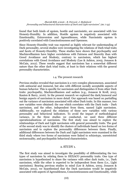found that both kinds of egoism, hostile and narcissistic, are associated with low Honesty-Humility. In addition, Hostile egoism is negatively associated with Emotionality, Extraversion and Agreeableness, while Narcissistic egoism is positively correlated with Conscientiousness and Openness.

Since Honesty-Humility trait was reported as highly relevant for understanding of Dark personality, several studies were investigating the relations of Dark triad traits and facets of Honesty-Humility. These studies have shown that psychopathy and Machiavellianism have higher correlations with Fairness and Sincerity than with Greed Avoidance and Modesty, contrary to narcissism, which has highest correlations with Greed Avoidance and Modesty (Lee & Ashton, 2005; Jonason & McCain, 2012). These results suggest that narcissism has a somewhat different nature than the other dark triad traits, at least in their relations with the general personality characteristics.

#### 1.4. The present research

Previous studies revealed that narcissism is a very complex phenomenon, associated with antisocial and immoral, but also with different socially acceptable aspects of human behavior. This is specific for narcissism and distinguishes it from other Dark traits: psychopathy, Machiavellianism and sadism (e.g., Jonason & Kroll, 2015; Kauten & Barry, 2016). In the present research we explored the dark/immoral and benign aspects of narcissism in more detail. Our approach was based on partialling out the variance of narcissism associated with other Dark traits. In this manner, two new variables were obtained: the one which correlates with the Dark traits - Dark narcissism, and the other, independent from them, named Light narcissism. Additionally, we explored the relations of these new variables with various personality and behavioral indicators. To avoid the impact of methodological variance, in the three studies we conducted, we used three different operationalizations of narcissism. The first study was aimed to explore the relationships of Dark and Light narcissism with general personality traits. The goal of the second study was to identify the clusters of individuals based on two forms of narcissism and to explore the personality differences between them. Finally, additional differences between the Dark and Light narcissism were examined in the third study where two forms of narcissism were linked to schizotypy, unrestricted sociosexuality, and psychopathic behavioral characteristics.

#### 2. STUDY 1.

The first study was aimed to investigate the possibility of differentiating the two types of narcissism by relating them to HEXACO personality traits. One type of narcissism is hypothesized to share the variance with other dark traits, i.e., Dark narcissism, while the other is expected to be independent from them (i.e., Light narcissism). Bearing previous studies in mind (Lee & Ashton, 2005; Jonason & McCain, 2012), we hypothesized that the Dark narcissism would be negatively associated with aspects of Agreeableness, Conscientiousness and Emotionality, while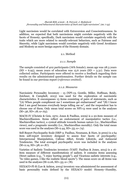Light narcissism would be correlated with Extraversion and Conscientiousness. In addition, we expected that both narcissisms might correlate negatively with the facets of Honesty; specifically, Dark narcissism would correlate negatively with the traits which are more related to morally-relevant behaviors, such as Fairness and Sincerity, while Light narcissism would correlate negatively with Greed Avoidance and Modesty as more benign aspects of the Honesty domain.

#### 2.1. Method

#### *2.1.1. Sample*

The sample consisted of 402 participants (76% female); mean age was 28.3 years  $(SD = 6.95)$ , mean years of education was 15.6 years  $(SD = 3.31)$ . Data were collected online. Participants were offered to receive a feedback regarding their results on the administrated questionnaires. Further details on the sample can be found in our previous report (*reference omitted*).

#### *2.1.2. Measures*

Narcissistic Personality Inventory - 13 (NPI-13; Gentile, Miller, Hoffman, Reidy, Zeichner, & Campbell, 2013) was used for the exploration of narcissistic characteristics. It encompasses 13 items consisting of pairs of statements, such as "(A) When people compliment me I sometimes get embarrassed" and "(B) I know that I am good because everybody keeps telling me so", and the respondent has to choose one of them. Only mean total scores on NPI-13 were used in the analyses  $(M=.56, SD=.18; \alpha=.63)$ .

MACH-IV (Christie & Geis, 1970; Jones & Paulhus, 2009) is a 20-item measure of Machiavellianism. Items reflect an endorsement of manipulative tactics (i.e., Machiavellian tactics), a cynical attitude towards human nature (i.e., Machiavellian views), and a pragmatic morality (i.e., Machiavellian morality). Only the total mean score was used in the analyses (M=2.44, SD=.55;  $\alpha$ =.74).

Self-Report Psychopathy Scale (SRP-3: Paulhus, Neumann, & Hare, in press) is a 64 item self-report inventory designed to assess four facets of psychopathy: Interpersonal Manipulation, Callous Affect, Erratic Lifestyle, and Antisocial Tendencies. The total averaged psychopathy score was included in the analyses  $(M=2.14, SD=.38; \alpha=.87).$ 

Varieties of Sadistic Tendencies inventory (VAST: Paulhus & Jones, 2015) is a 16 item measure of different manifestations of sadism. It contains items assessing Direct sadism (e.g., "I enjoy hurting people"), and Vicarious sadistic interests (e.g., "In video games, I like the realistic blood sports"). The mean score on all items was used in the analyses (M=2.06, SD=.55;  $\alpha$ =.78).

HEXACO-PI-R (Lee & Ashton, 2004) inventory was administered for assessment of basic personality traits defined by the HEXACO model: Honesty–Humility,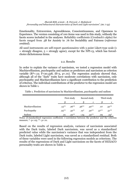Emotionality, Extraversion, Agreeableness, Conscientiousness, and Openness to Experience. The version consisting of 100 items was used in this study, withonly the facets scores included in the analyses. Reliability coefficients (Cronbach's alpha) for facets ranged from .58 for Anxiety to .76 for Sociability and Fairness (*reference omitted*).

All used instruments are self-report questionnaires with 5 point Likert-type scale (1  $=$  strongly disagree,  $5 =$  strongly agree), except for the NPI-13, which has forcedchoice dichotomous items.

#### 2.2. Results

In order to explain the variance of narcissism, we tested a regression model with Machiavellianism, psychopathy and sadism as predictors and narcissism as criterion variable  $(R^2=12; F=20.438, df=3, p<0.01)$ . The regression analysis showed that, although all of the ''dark'' traits have moderate correlations with narcissism, only psychopathy and Machiavellianism have a significant contribution to the prediction of criterion. The individual contributions of the predictor to the regression model are shown in Table 1.

Table 1. Prediction of narcissism by Machiavellianism, psychopathy and sadism

|                  | First study |          |          | Second study | Third study |          |
|------------------|-------------|----------|----------|--------------|-------------|----------|
|                  |             |          |          |              |             |          |
| Machiavellianism | $.13***$    | $.26***$ | $.36***$ | $.40**$      | .07         | $.32***$ |
| Psychopathy      | $.25***$    | $.32***$ | $.12*$   | $.30**$      | $.57***$    | $.51***$ |
| Sadism           | .01         | $.22***$ | $-.04$   | $.22***$     | .09         | $.23*$   |

Notes: β-standardized regression coefficient; r-correlation between the predictor and the criterion measure; \*- p<.05; \*\*- p<.01.

Based on the results of regression analysis, variance of narcissism associated with the Dark traits, labeled Dark narcissism, was saved as a standardized predicted value while the narcissism's variance that was independent from the Dark traits, labeled Light narcissism, was saved as a standardized residual. Both of these variables were used in the following regression models as criterions. The results of the regressions of Dark and Light narcissism on the facets of HEXACO personality traits are shown in Table 2.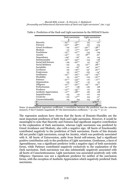|                        |                       | Dark narcissism            | Light narcissism |           |  |
|------------------------|-----------------------|----------------------------|------------------|-----------|--|
|                        | β                     | r                          | β                | r         |  |
| Sincerity              | $-.24***$             | $-.37***$                  | $.03-$           | $-.07$    |  |
| Fairness               | $-.23***$             | $-48**$                    | .00              | $-.04$    |  |
| Greed Avoidance        | $-.02$                | $-.22***$                  | $-.30**$         | $-.38***$ |  |
| Modesty                |                       | $-.01 - .17$ <sup>**</sup> | $-.23***$        | $-35***$  |  |
| Fearfulness            |                       | $-.15***$ $-.27***$        | $-.05$           | $-.09$    |  |
| Anxiety                | $-.14***$             | $-.07$                     | $.18***$         | $.12*$    |  |
| Dependence             | $-.09*$               | $-.16*$                    | .01              | .03       |  |
| Sentimentality         | $-15***$              | $-34***$                   | $-0.04$          | $-.06$    |  |
| Social Self-Esteem     | -.09                  | $-.20**$                   | .01              | $.19***$  |  |
| Social Boldness        | $-.02$                | .03                        | $.12***$         | $.28**$   |  |
| Sociability            |                       | $-.01-.16*$                | $.10^*$          | $.20***$  |  |
| Liveliness             | $.02\,$               | $-.19***$                  | $.13*$           | $.20***$  |  |
| Forgiveness            | .01                   | $-.22***$                  | $-00 -$          | $-.14*$   |  |
| Gentleness             | $-.15***$             | $-.29***$                  | $-13***$         | $-.25***$ |  |
| Flexibility            | .01                   | $-.23***$                  | -.03             | $-.20**$  |  |
| Patience               | $-.21***$             | $-33***$                   | $-.01$           | $-.17***$ |  |
| Organization           | $-.03$                | $-.19***$                  | $-.10$           | .01       |  |
| Diligence              | $-.12***$             | $-.30**$                   | $.14***$         | $.23***$  |  |
| Perfectionism          | $.11***$              | -.08                       | -.06             | .08       |  |
| Prudence               | $-.13***$             | $-35***$                   | .07              | .04       |  |
| Aesthetic Appreciation | $-.11***$             | $-.28**$                   | .06              | .08       |  |
| Inquisitiveness        | $.03-$                | $-.10$                     | $-.07$           | .02       |  |
| Creativity             | $-.02$                | $-.17***$                  | .04              | $.11*$    |  |
| Unconventionality      | .04                   | .04                        | .03              | $.13*$    |  |
| F                      | $19.69**$<br>$9.80**$ |                            |                  |           |  |
| $R^2$                  |                       | .55                        |                  | .38       |  |

Table 2. Prediction of the Dark and Light narcissism by the HEXACO facets

Notes: β-standardized regression coefficient; r-correlation between the predictor and the criterion measure; F-the F statistic magnitude; R²-the determination coefficient; \*- p<.05; \*\*- p<.01

The regression analyses have shown that the facets of Honesty-Humility are the most important predictors of both Dark and Light narcissism. However, it would be meaningful to note that Sincerity and Fairness had significant negative contribution to the explanation of Dark narcissism, whereas Light narcissism was predicted by Greed Avoidance and Modesty, also with a negative sign. All facets of Emotionality contributed negatively to the prediction of Dark narcissism. Facets of this domain did not predict Light narcissism, except for Anxiety, which was positively associated with it. All facets of Extraversion, aside from Social self-esteem, had a significant positive contribution only to the prediction of Light narcissism. Gentleness, a facet of Agreeableness, was a significant predictor (with a negative sign) of both narcissistic forms, while Patience contributed negatively exclusively to the explanation of the Dark narcissism. Dark narcissism was also substantially negatively associated with all facets of Conscientiousness; Light narcissism was associated positively only with Diligence. Openness was not a significant predictor for neither of the narcissism forms, with the exception of Aesthetic Appreciation which negatively predicted Dark narcissism.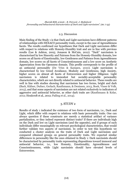#### 2.3. Discussion

Main finding of the Study 1 is that Dark and Light narcissism have different patterns of relationships with HEXACO personality traits, except in the case of Agreeableness facets. The results confirmed our hypotheses that Dark and Light narcissism differ with respect to relations with Honesty-Humility trait and are in line with previous results (Lee & Ashton, 2005; Jonason & McCain, 2012). ''Dark'' narcissism is characterized by low Sincerity and Fairness from the Honesty-Humility domain, low scores on all facets of Emotionality, low Gentleness and Patience from Agreeableness domain, low scores on all facets of Conscientiousness and a low score on Aesthetic Appreciation from the Openness domain. This profile corresponds to the profile of an antisocial personality (De Vries & Kampen, 2010). Light narcissism is characterized by low Greed Avoidance, Modesty and Gentleness, high Anxiety, higher scores on almost all facets of Extraversion and higher Diligence. Light narcissism is related to immodest but sociably-acceptable personality characteristics, which are not directly related to antisocial behavior. These results are well in line with studies showing that narcissism has two forms, bright and dark (Back, Küfner, Dufner, Gerlach, Rauthmann, & Denissen, 2013, Book, Visser & Volk, 2015), and that some aspects of narcissism are not related exclusively to indicators of aggressive and antisocial behavior, as other dark traits are (Rauthmann & Kolar, 2012; Houlcroft et al., 2012; Pailing et al., 2014).

#### 3. STUDY 2

Results of study 1 indicated the existence of two form of narcissism, i.e., Dark and Light, which differ with respect to relations with basic personality traits. One can always question if these constructs are merely a statistical artifact of variance partialization, or they indeed represent distinct traits? If there are individuals high on the Dark and low on Light narcissism (and the opposite), and if groups of such individuals differ meaningfully on relevant psychological characteristics, that would further validate two aspects of narcissism. In order to test this hypothesis we conducted a cluster analysis on the traits of Dark and Light narcissism and compared obtained groups on general personality traits. We expected similar differences in personality like the ones obtained in Study 1: Dark narcissists should be characterized by personality traits representing dispositions toward immoral and antisocial behavior, i.e., low Honesty, Emotionality, Agreeableness and Conscientiousness, while Light narcissists should have elevated levels of Extraversion.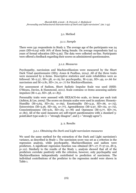#### 3.1. Method

#### *3.1.1. Sample*

There were 541 respondents in Study 2. The average age of the participants was 24 years (SD=6.04) with 76% of them being female. On average respondents had 14 years of formal education (SD=3.29). The data were collected on-line. Participants were offered a feedback regarding their scores on administered questionnaires.

#### *3.1.2. Measures*

Psychopathy, narcissism and Machiavellianism were measured by the Short Dark Triad questionnaire (SD3: Jones & Paulhus, 2014). All of the three traits were measured by 9 items. Descriptive statistics and scale reliabilities were as followed: M=2.37, SD=.58,  $\alpha$ =.65 for psychopathy, M=2.92, SD=.49,  $\alpha$ =.66 for narcissism and M=2.81, SD=.70,  $\alpha$ =.77 for Machiavellianism.

For assessment of Sadism, Short Sadistic Impulse Scale was used (SSIS: O'Meara, Davies, & Hammond, 2011). Scale contains 10 items assessing sadistic impulses (M=1.41, SD=.58, α=.85).

Personality traits were assessed with HEXACO-60 scale, 10 items per each trait (Ashton, & Lee, 2009). The scores on domain scales were used in analyses: Honesty- Humility (M=3.65, SD=.62,  $\alpha$ =.69), Emotionality (M=3.31, SD=.66,  $\alpha$ =.75), Extraversion (M=3.26, SD=.65,  $\alpha$ =.77), Agreeableness (M=2.97, SD=.62,  $\alpha$ =.72), Conscientiousness (M=3.61, SD=.63,  $\alpha$ =.78) and Openness (M=3.77, SD=.70,  $\alpha$ =.80). All of the used measures are self-report questionnaires with a standard 5point Likert type scale  $(1 -$  "strongly disagree", and  $5 -$  "strongly agree").

#### 3. 2. Results

#### *3.2.1. Obtaining the Dark and Light narcissism measures*

We used the same method for the extraction of the Dark and Light narcissism's variance, as described in Study 1. The narcissism score was set as a criterion in the regression analysis, while psychopathy, Machiavellianism and sadism were predictors. A significant regression function was obtained  $(R^2 = .17; F = 37.10, df = 3$ , p<.01). Similarly to the results of the Study 1, analysis showed that all of the predictors correlate positively with the criterion, however, only psychopathy and Machiavellianism independently contributed to prediction of narcissism. The individual contributions of the predictor to the regression model were shown in Table 1.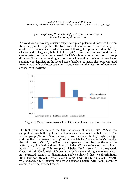#### *3.2.2. Exploring the clusters of participants with respect to Dark and Light narcissism*

We conducted a two-step cluster analysis to explore potential differences between the group profiles regarding the two forms of narcissism. In the first step, we conducted a hierarchical cluster analysis, following the procedure described by Chabrol and colleagues (Chabrol et al., 2015). The Ward method was used for the cluster extraction with the squared Euclide's distance as a measure of group distances. Based on the dendrogram and the agglomeration schedule, a three-cluster solution was identified. In the second step of analysis, K-means clustering was used to examine the three-cluster structure. Group means on the measures of narcissism are shown in Diagram 1.



Diagram 1. Three clusters extracted by different profiles on narcissism measures

The first group was labeled the *Low narcissists* cluster (N=188, 35% of the sample) because both Light and Dark narcissism z-scores were below zero. The second group ( $N=86$ , 16% of the sample) was described by high Light ( $z=1.45$ ) and low Dark narcissism (z=0.05), and it was labeled *Light narcissists*. Finally, the third group (N=267, 49% of the sample) was described by the opposite pattern, i.e., high Dark and low Light narcissism (Dark narcissism: z=0.72; Light narcissism: z=-0.34). This group was labeled *Dark narcissists*. As expected, cluster of individuals with high scores on both Dark and Light narcissism was not extracted. Results of discriminant analysis showed that two discriminant functions (R<sub>c1</sub>=.81, Wilk's λ=.21,  $\chi^2_{(4)}$ =832.368, p<.01 and R<sub>c2</sub>=.63, Wilk's λ=.60,  $\chi^2$ <sub>(1)</sub>=272.218, p<.01) discriminate three detected clusters, with 94.3% correctly classified original grouped cases.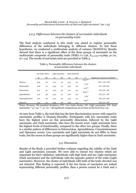#### *3.2.3. Differences between the clusters of narcissistic individuals on personality traits*

The final analysis conducted in this study was aimed to explore personality differences of the individuals belonging to different clusters. To test these hypotheses, we conducted a multivariate analysis of variance (MANOVA). Results showed that there is a significant effect of the three groups of narcissists on the multivariate composite of personality traits (Wilk's  $\lambda = .736$ ,  $F_{(12,1066)} = 14.699$ , p<.01,  $\eta^2$ =.14). The results of univariate tests are provided in Table 3.

Table 3. Personality differences between the clusters of narcissistic individuals

|                   |      | Low traits cluster |      | Light narcissists | Dark narcissists |     |           |                                               |
|-------------------|------|--------------------|------|-------------------|------------------|-----|-----------|-----------------------------------------------|
|                   | M    | <b>SD</b>          | M    | SD                | М                | SD  | F         | Significant comparisons (Sheffe) <sup>†</sup> |
|                   |      |                    |      |                   |                  |     | 69.75**   |                                               |
| Honesty           | 3.99 | $-54$              | 3.74 | $-54$             | 3.37             | .57 |           | LTC > LN > DN                                 |
|                   |      |                    |      |                   |                  |     | $2.04*$   |                                               |
| Emotionality      | 3.28 | .70                | 3.43 | .67               | 3.29             | .63 |           | $LN > LTC$ , $DN$                             |
|                   |      |                    |      |                   |                  |     | $4.23***$ |                                               |
| Extraversion      | 3.31 | .67                | 3.26 | .65               | 3.19             | .65 |           | LTC. LN > DN                                  |
|                   |      |                    |      |                   |                  |     | $18.90**$ |                                               |
| Agreeableness     | 3.16 | .58                | 3.03 | $-57$             | 2.81             | .63 |           | LTC, LN > DN                                  |
|                   |      |                    |      |                   |                  |     | $3.64*$   |                                               |
| Conscientiousness | 3.67 | .66                | 3.70 | .62               | 3.53             | .61 |           | LTC, LN > DN                                  |
|                   |      |                    |      |                   |                  |     | $9.45***$ |                                               |
| <b>Openness</b>   | 3.92 | .62                | 3.83 | .69               | 3.64             | .74 |           | LTC, LN > DN                                  |

Notes: M-mean; SD-standard deviation; LTC- Low traits cluster; LN- Light narcissists; DN- Dark narcissists;  $*_-p<.05$ ;  $_{*-p}<.01$ ;  $_{-1}$ ll significant comparisons are at least on the level of  $p<.05$ .

As seen from Table 3, the trait that has the best discrimination power with regard to narcissistic profiles is Honesty-Humility. Participants with low narcissistic traits have the highest score on this personality dimension, followed by the Light narcissists, and Dark narcissists, who have the lowest score. Light narcissists have the highest levels of Emotionality, compared to the other two groups. Finally, there is a similar pattern of differences in Extraversion, Agreeableness, Conscientiousness and Openness scores: Low narcissists and Light narcissists do not differ in these traits, but the scores in these groups are significantly higher than in Dark narcissists.

#### 3.3. Discussion

Results of the Study 2 provided further evidence regarding the validity of the Dark and Light narcissism concepts. We were able to extract two clusters which are important for their validation: individuals with high Dark and low Light narcissism (Dark narcissists) and the individuals with the opposite pattern of the traits (Light narcissists). Moreover, the cluster of individuals with both of the traits elevated was not detected. This finding is expected: if the two forms of narcissism are indeed representing different personality profiles, than a person cannot be a Dark and a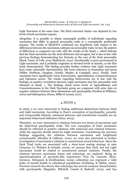Light Narcissist at the same time. The third extracted cluster was depicted by low levels of both narcissism aspects.

Altogether, it is possible to obtain meaningful profiles of individuals regarding narcissism that differ in general personality traits in a conceptually predictable manner. The results of MANOVA confirmed our hypothesis with respect to the differences between the narcissism subtypes on personality traits.In fact, the pattern of differences is congruent not only with the results of the Study 1, which indicate that the Dark narcissists are the most dishonest and arrogant, but is also in line with previous findings demonstrating low Honesty as the core of the Dark personality (Book, Visser, & Volk, 2015; Međedović, 2012). Emotionality is more pronounced in Light narcissists, and it probably originates in elevated levels of Anxiety, as the first study demonstrated. This finding provides further evidence that Light narcissists have some vulnerable characteristics, like lower tolerance to frustration and stress (Miller, Hoffman, Gaughan, Gentile, Maples, & Campbell, 2011). Finally, Dark narcissists have significantly lower Extraversion, Agreeableness, Conscientiousness and Openness scores. The results regarding Extraversion are in line with the findings on positive correlation between Light narcissism and this personality trait obtained in Study 1. The findings about lower levels of Agreeableness and Conscientiousness in the Dark Narcissist group are congruent with prior data on negative relations between these dimensions and psychopathy (Paulhus & Williams, 2002) and delinquency (Jones, Miller & Lynam, 2011).

#### 4. STUDY 3

In study 3 we were interested in finding additional distinctions between Dark and Light narcissism. According to Hare's conception of psychopathy, parasitic and irresponsible lifestyle, antisocial behavior and unrestricted sexuality are its important behavioral indicators (Hare, 2003).

Therefore, we were interested in relations between two forms of narcissism and the behavioral psychopathic traits. The core conception of Dark narcissism should be reflected in positive relations with antisocial and criminal behavior, while the opposite should stand for Light narcissism. Considering the previous findings suggesting the relations between narcissism and heightened sociosexuality (Mouilso & Calhoun, 2012), we were also interested in further investigation of narcissism's relations to unrestricted sexual behaviour. Since the Dark Triad traits are associated with a short-term mating strategy in men (Jonason, Li, Webster & Schmitt, 2009), we assume that Dark, but not Light narcissism would be related to unrestricted partner relations. Finally, the relations between narcissism forms and schizotypy are explored. Being an operationalization of psychotic-like experiences (Van Os, Linscott, Myin- Germeys, Delespaul, & Krabbendam, 2009), schizotypy can represent a valid index of mental health in subclinical populations (Goulding, & Ödéhn, 2009). Previous research has shown that schizotypy has several common characteristics with psychopathy (Ragsdale, Mitchell, Cassisi & Bedwell, 2013), and has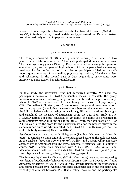revealed it as a disposition toward consistent antisocial behavior (Međedović, Kujačić, & Knežević, 2012). Based on data, we hypothesized that Dark narcissism would be positively related to psychosis-proneness.

#### 4.1. Method

#### *4.1.1. Sample and procedure*

The sample consisted of 181 male prisoners serving a sentence in two penitentiary institutions in Serbia. All subjects participated on a voluntary basis. The mean age was 35 years (SD=10). Respondents had on average ten years of education (i.e., second year of high school). All participants had elementary reading skills. In the first part of data collection participants filled out the self report questionnaires of personality, psychopathy, sadism, Machiavellianism and schizotypy. In the second part of data acquisition, participants were interviewed and rated on behavioral indicators.

#### *4.1.2. Measures*

In this study the *narcissism* was not measured directly. We used the participants' scores on HEXACO personality scales to calculate the proxy measure of narcissism, following the procedure mentioned in the previous study, where HEXACO-PI-R was used for calculating the measure of psychopathy (Witt, Donnellan & Blonigen, 2009). We followed the general recommendations from this approach (calculating the correlations between the inventory items and the full narcissism scale and using items with significant correlations above .30) and calculated the measure of narcissism, using the data from Study 1. The HEXACO narcissism scale consisted of 20 items (the items are presented in Supplementary material 1) and it had multiple R with the total score of NPI of .73. We calculated the score for the narcissism scale for the present study in the same manner, since we administrated the HEXACO-PI-R in this sample too. The scale reliability was  $\alpha = .69$  (M=2.89; SD=.50).

*Psychopathy* was measured with SRP-3 scale (Paulhus, Neumann, & Hare, in press). It contains 64 items and only the total averaged score on the scale was used in the analysis (M=2.58; SD=.65; α=.94). *Sadism* and *Machiavellianism* were assessed by the Amoralism scale (Knežević, Radović, & Peruničić, 2008; Paulhus & Jones, 2015). Sadism was measured with 5 (M=1.87; SD=.74;  $\alpha$ =.66) and Machiavellianism with four items (M=3.25; SD=1.05;  $\alpha$ =.71), with joint 5-point Likert type scale  $(1 =$  strongly disagree;  $5 =$  strongly agree).

The Psychopathy Check List-Revised (PCL-R: Hare, 2003) was used for measuring two facets of psychopathic behavioral style: *Lifestyle* (M=.82; SD=.48; α=.73) and *Antisocial tendencies* (M=.72; SD=.55; α=.74). Lifestyle represents an irresponsible and erratic behavior style, whereas Antisocial tendencies depict the frequency and versatility of criminal behavior. PCL-R is a rating measure and the participants'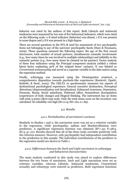behavior was rated by the authors of this report. Both Lifestyle and Antisocial tendencies were measured by two sets of five behavioral indicators, which were rated on the following scale: 0 if rated indicator (behavior) was absent, 1 if it was present in some degree and 2 if it was present in a high degree.

There are several questions in the PCL-R used for assessment of two psychopathy items not belonging to any of the narrower psychopathy facets (Hare & Neumann, 2009). These questions assessed the following topics: the age of the first sexual intercourse, total number of sexual partners, simultaneous romantic involvement (e.g., how many times he was involved in multiple relationships) and infidelity to the romantic partner (e.g., how many times he cheated on his partner). Factor analysis of these four indicators using the Principal component analysis yielded a robust latent factor explaining 40% of the original items' variance. It was labeled as *Unrestricted sociosexuality* and saved as a separate variable in the data matrix using the regression method.

Finally, *schizotypy* was measured using the Disintegration construct, a comprehensive disposition towards psychotic-like experiences (Knežević, Opačić, Kutlešić, & Savić, 2005). The DELTA 10 questionnaire measures ten aspects of dysfunctional psychological experience: General executive dysfunction, Perceptual distortions (depersonalization and derealization), Enhanced awareness, Depression, Paranoia, Mania, Social anhedonia, Flattened affect, Somatoform dysregulation (experiences of body change) and Magical thinking. The instrument has 30 items with joint 5-point Likert type scale. Only the total mean score on the inventory was calculated. Its reliability was high (M=2.14; SD=.60;  $\alpha$ =.89).

#### 4.2. Results

#### *4.2.1. Partialization of narcissism's variance*

Similarly to Studies 1 and 2, the narcissism score was set as a criterion variable in the regression, while psychopathy, sadism and Machiavellianism were predictors. A significant regression function was obtained  $(R<sup>2</sup>=32; F=38.9,$  $df=3$ , p<.01). Results showed that all of the three traits correlate positively with the criterion measure. However, only psychopathy had independent contribution to the prediction in this sample. The individual contributions of the predictor to the regression model are shown in Table 1.

#### *4.2.2. Differences between the Dark and Light narcissism in schizotypy and behavioral characteristics*

The main analysis conducted in this study was aimed to explore differences between the two forms of narcissism. Dark and Light narcissism were set as criterion variables, whereas Lifestyle, Antisocial tendencies, Unrestricted sexuality and schizotypy were entered as predictors. Both regression functions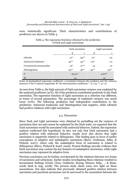were statistically significant. Their characteristics and contributions of predictors are shown in Table 4.

|                             |            | Dark narcissism | Light narcissism |           |  |
|-----------------------------|------------|-----------------|------------------|-----------|--|
|                             |            | r               |                  |           |  |
| Lifestyle                   | $.21*$     | $.49***$        | $.21*$           | .03       |  |
| Antisocial tendencies       | $-33***$   | $.55***$        | $-.20*$          | $-.12$    |  |
| Unrestricted sociosexuality | $.16*$     | $.27***$        | .14              | .10       |  |
| Disintegration              | $.23***$   | $.36***$        | $-.25***$        | $-.25***$ |  |
| F                           | $25.14***$ |                 | $4.20***$        |           |  |
| R <sup>2</sup>              | .41        |                 | .10              |           |  |

#### Table 4. The regression functions obtained in the prediction of Dark and Light narcissism

Notes: β-standardized regression coefficient; r-correlation between the predictor and the criterion measure; F-the F statistic magnitude;  $R^2$ -the determination coefficient; \*- p<.05; \*\*- p<.01.

As seen from Table 4, the high amount of Dark narcissism variance was explained by the analyzed predictors (41%). All of the predictors contributed positively to the Dark narcissism. The regression function of Light narcissism as a criterion was different, in terms of several parameters. The percentage of explained variance was much lower (10%). The following predictors had independent contribution to the prediction: Antisocial tendencies and Disintegration had negative, while Lifestyle had positive relations with Light narcissism.

#### 4.3. Discussion

Since Dark and Light narcissism were obtained by partialling out the variance of narcissism that can and cannot be explained by the Dark traits, we expected that the Dark narcissism would be associated with antisocial behavior. Indeed, the regression analysis confirmed this hypothesis. In fact, not only that Dark narcissism had a positive relation with antisocial behavior, results have also shown that Light narcissism is negatively related to delinquency. This finding goes in favor of earlier conceptions of adaptive and maladaptive narcissism (Barry, Grafeman, Adler, & Pickard, 2007), where only the maladaptive form of narcissism is related to delinquency (Barry, Pickard & Ansel, 2009). Present findings provide evidence that Dark narcissism may contain the key features of maladaptive narcissism, while Light narcissism may represent its adaptive form.

Previous conclusion can be further corroborated by the relations between two forms of narcissism and schizotypy. Earlier studies investigating these relations resulted in inconsistent findings (Grant, Chou, Goldstein, Huang, Stinson, Saha, ... & Ruan, 2008; Seah & Ang, 2008). The present study sheds some new light on these associations. Our data indicate that previously obtained positive relation between narcissism and psychosis-proneness can be narrowed to the association between the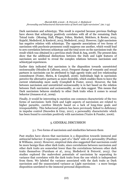Dark narcissism and schizotypy. This result is expected because previous findings have shown that schizotypy positively correlates with all of the remaining Dark Tetrad traits (Montag, Hall, Plieger, Felten, Markett, Melchers, & Reuter, 2015; Kujačić, Međedović, & Knežević, 2015; Međedović, 2015). However, Light narcissism has negative relation with schizotypy. The opposite associations of two forms of narcissism with psychosis-proneness could suppress one another, which would lead to zero correlation between schizotypy and the total score on the narcissism trait: the result which was obtained in a previous study (Seah & Ang, 2008). The present data show that the additional distinctions between the Dark and Light features of narcissism are needed to reveal the complex relations between narcissism and schizotypal experiences.

Earlier data indicated that narcissism is the disposition towards unrestricted sociosexuality (Mouilso & Calhoun, 2012). Frequent change of romantic and sexual partners in narcissists can be attributed to high agentic traits and low relationship commitment (Foster, Shrira, & Campbell, 2006). Individuals high in narcissism perceive the alternative partners as more desirable, which enables them to leave the current relationship more easily (Campbell & Foster, 2002). However, the link between narcissism and unrestricted sociosexuality is in fact based on the relation between Dark narcissism and sociosexuality, as our data suggest. This means that Dark narcissism behaves similarly to other Dark traits when it comes to sexual behavior (Jonason et al., 2009).

Finally, it would be interesting to mention one common characteristic of the two forms of narcissism: both Dark and Light aspects of narcissism are related to higher parasitic, carefree lifestyle based on a lack of long-time goals and irresponsibility. This behavioral pattern has been previously linked to deficiency in impulse control (Snowden & Gray, 2011), a personality characteristic which has been found to correlate positively with narcissism (Vazire & Funder, 2006).

#### 5. GENERAL DISCUSSION

#### 5.1. Two forms of narcissism and similarities between them

Past studies have shown that narcissism is a disposition towards immoral and antisocial behavior: it represents a part of a "dark" side of a personality (Paulhus & Williams, 2002). However, empirical data also suggested that narcissism could be more benign than other dark traits, since correlations between narcissism and other dark traits are somewhat lower than the correlations between other dark traits themselves (Furnham et al., 2014; Međedović & Petrović, 2015). Our studies explored the malevolent potentials of narcissism by separating its variance that correlates with the dark traits from the one which is independent from them. We labeled the variance associated with the dark traits as Dark narcissism and the unassociated variance as Light narcissism - a more benign disposition unrelated to the immoral personal dispositions.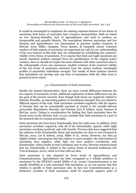It would be meaningful to emphasize the existing common features of two forms of narcissism both forms of narcissism have common characteristics. Both are based on low Honesty-Humility, lack of Agreeableness and tend to produce an irresponsible and parasitic lifestyle. The associations between narcissism and low Honesty and Agreeableness was documented in previous studies (Jonason, & McCain, 2012; Miller, Gaughan, Pryor, Kamen, & Campbell, 2009). Common markers of both aspects of narcissism are important not only for our understanding of the core features of this trait: they are substantial for establishing the construct validity of two forms of narcissism. If we assume that Dark and Light narcissism are merely statistical artifacts emerged from the partialization of the original scale's variance, then we should not expect the same relations with other constructs (due to the orthogonality of two new measures). Another evidence of the construct validity of the two forms of narcissism stemmed from the cluster analysis: meaningful profiles of narcissistic individuals emerged. The results of these analyses showed that individuals can develop only one form of narcissism while the other form is present in lower extent.

#### 5.2. Characteristics of Dark narcissism

Besides the mutual characteristics, there are many crucial differences between the two aspects of narcissism; in fact, additional exploration of these differences was the key goal of the present research. Even though both forms are negatively related to Honesty-Humility, an interesting pattern of correlations emerged: they are related to different aspects of this trait. Dark narcissism correlates negatively with the aspects of Honesty that can be conceptually assumed as crucial to the morally-relevant personality dispositions: Sincerity and Fairness (Lee & Ashton, 2005; Jonason & McCain, 2012). Taking in consideration the finding that Dark narcissists have the lowest score on the Honesty trait, we can conclude that Dark narcissism is a part of the immoral side of a human personality.

Dark narcissists also have lower Emotionality than the Light ones. In addition, Dark narcissism correlates negatively with all of the Emotionality aspects, while Light narcissism correlates positively only with Anxiety. Previous data have suggested that the relations of the Emotionality factor and narcissism are close to zero (Jonason & McCain, 2012; Lee & Ashton, 2005; Miller et al., 2009). However, our data go slightly further, and propose that this relation is more complex: the dark features of narcissism have negative, while light can have positive correlations with Emotionality, which results in total correlation near to zero. Previous research found that low Emotionality is related to the various forms of immoral tendencies (De Vries & Kampen, 2010), which is in line with our data.

Dark narcissism is also depicted by lower levels of Agreeableness and Conscientiousness. Agreeableness has been recognized as a reliable predictor of narcissism by the HEXACO model (Miller et al., 2009). Conscientiousness is not usually identified as a trait associated with narcissism, so we can assume that this relation is specific to Dark narcissism only. In fact, low Conscientiousness as a distinctive correlate of Dark narcissism could be expected: negative poles of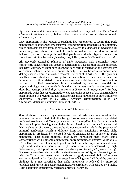Agreeableness and Conscientiousness associated not only with the Dark Triad (Paulhus & Williams, 2002), but with the criminal and antisocial behavior as well (Jones et al., 2011).

Dark narcissism is also related to psychotic-like experiences. It seems that Dark narcissism is characterized by schizotypal disorganization of thoughts and emotions, which suggests that this form of narcissism is related to a decrease in psychological functioning. We believe that this link can be viewed in the context of antisocial behavior: previous findings showed that psychosis and schizotypy are related to violent and criminal behavior (Douglas, Guy, & Hart, 2009; Međedović et al., 2012).

All previously described relations of Dark narcissism with personality traits consistently suggest that this aspect of narcissism is a disposition toward antisocial behavior. Contrary to Light narcissism, the dark form is related to the heterogeneity of criminal behavior, and its temporal stability. The link between narcissism and delinquency is obtained in earlier research (Barry et al., 2009). All of the previous results are consistent and converge to the description of Dark narcissism as an immoral disposition related to delinquency and antisocial behavior. If we take into account that Dark narcissism is characterized by elevated potential for psychopathology, we can conclude that this trait is very similar to the previously described concept of *Maladaptive narcissism* (Barry et al., 2007; 2009). In fact, narcissistic traits that represent malevolent, aggressive aspects of this construct have been obtained in previous studies showing that Dark narcissism is quite similar to Aggressive (Houlcroft et al., 2012), Arrogant (Ronningstam, 2005) or Grandiose/Malignant narcissism (Russ et al., 2008).

#### 5.3. Characteristics of Light narcissism

Several characteristics of Light narcissism have already been mentioned in the previous discussion. First of all, this benign form of narcissism is negatively related to Greed avoidance and Modesty facets of the Honesty-Humility factor. Although this result implies that Light narcissism is associated with materialistic values and high evaluation of oneself, these traits do not necessarily include the presence of immoral tendencies, which is different from Dark narcissism. Second, Light narcissism is predicted by elevated levels of Anxiety, as an opposite to Dark narcissism. This result indicates that Light narcissism may share some characteristics with Vulnerable narcissism: more pronounced anxiety (Miller et al., 2011). However, it is interesting to point out that this is the only common feature of Light and Vulnerable narcissism. Light narcissism is characterized by high Extraversion, which previous findings have already confirmed (O'Boyle et al., 2014). It shares a negative relation with the Gentleness aspect of Agreeableness together with the Dark aspect; nevertheless, it shows a slightly elevated ability of impulse control, reflected in the Conscientiousness facet of Diligence. In light of the previous findings, it is not surprising that Light narcissism is followed by improved psychological functioning, expressed in negative correlation with schizotypy. Finally, Light narcissism is negatively related to antisocial behavior.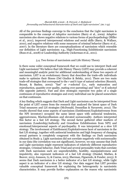All of the previous findings converge to the conclusion that the Light narcissism is comparable to the concept of *Adaptive narcissism* (Barry et al., 2009). Adaptive narcissism also shows negative relations to various forms of psychopathology (Miller et al., 2011), improved interpersonal relations and social skills (Barry, & Wallace, 2010), and negative relations with some measures of criminal behavior (Barry et al., 2007). In the literature there are conceptualizations of narcissism which resemble our definition of Light narcissism: e.g., High-Functioning Exhibitionist narcissism (Russ et al., 2008) or Leadership/Authority (Ackerman et al., 2011).

#### 5.4. Two forms of narcissism and Life History Theory

Is there some wider conceptual framework that we could use to interpret Dark and Light narcissism? We believe that Life History Theory (LHT) may provide a coherent and meaningful analytic point for additional understanding of these two aspects of narcissism. LHT is an evolutionary theory that describes the trade-offs individuals make to optimize their fitness (Del Giudice & Belsky, 2011). There are two main trade-off strategies that correspond to the *r* and *k* type of natural selection (Reznick, Bryant, & Bashey, 2002): "fast" or *r-selected* (i.e., early maturation and reproduction, quantity over quality, mating over parenting) and "slow" or *K-selected* (the opposite pattern). Fast and slow strategies represent two poles of a single continuum of reproductive strategies and every individual can be placed somewhere on that continuum.

A key finding which suggests that Dark and Light narcissism can be interpreted from the point of LHT comes from the research that analyzed the latent space of Dark Triad measures and LH strategies (McDonald, Donnellan & Navarrete, 2012). The results showed that some aspects of narcissism (Entitlement/Exploitativeness from the NPI inventory) occupied the same latent space with antisocial tendencies, aggressiveness, Machiavellianism and elevated sociosexuality. Authors interpreted this factor as a fast LH strategy. The second factor gathered other markers of narcissism (Leadership/Authority and Grandiose Exhibitionism from NPI) and emotional/interpersonal aspects of psychopathy. It was interpreted as a slow LH strategy. The involvement of Entitlement/Exploitativeness facet of narcissism in the fast LH strategy, together with antisocial tendencies and high frequency of changing sexual partners is completely congruent with the findings on Dark narcissism obtained in Study 3. Light narcissism did not correlate negatively with sociosexuality in our data (the correlation was not significant), however, we may assume that Dark and Light narcissism might represent indicators of relatively different reproductive strategies. Criminal behavior, Dark Triad and several personality traits that correlate with Dark narcissism such are unpredictability, hostility, manipulativeness and impulsivity, also represent indicators of a fast LH strategy (Dunkel, Mathes, & Beaver, 2013; Jonason, Li, & Czarna, 2013; Sherman, Figueredo, & Funder, 2013). It seems that Dark narcissism is a better indicator of a fast LH strategy, while Light aspect is an indicator of a slow LH strategy. Our data suggest that LHT provides valuable conceptual framework for explaining the heterogeneity in narcissistic characteristics. It may provide further explanation on the reason why narcissistic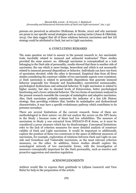persons are perceived as attractive (Holtzman, & Strube, 2010) and why narcissist are prone to use specific sexual strategies such as coaxing tactics (Jones & Olderbak, 2014). Our data suggest that all of these relations between narcissism and fast LH strategy could be attributed to Dark, but not to Light narcissism.

#### 6. CONCLUDING REMARKS

The main question we tried to answer in the present research is: Are narcissistic traits inevitably related to immoral and antisocial tendencies? Three studies provided the same answer: no. Although narcissism is conceptualized as a trait belonging to the Dark side of personality, results showed that there is another side of narcissism: the one which is more benign, benevolent and which is not necessarily related to immoral personal dispositions or behavior. Individuals can have one form of narcissism elevated, while the other is decreased. Empirical data from all three studies considering the construct validity of two narcissistic aspects were consistent: a) Dark narcissism is related to personality dispositions that generate immoral behavior (especially low Honesty and Emotionality), unrestricted sociosexuality, psychological dysfunctions and antisocial behavior; b) Light narcissism is related to higher anxiety, but also to elevated levels of Extraversion, better psychological functioning and a lower antisocial behavior. The two forms of narcissism analyzed in the present research resemble the concepts of maladaptive and adaptive narcissism. Also, Dark narcissism probably represents the indicator of a fast Life History strategy, thus providing evidence that, besides its maladaptive and dysfunctional characteristics, it may have a specific evolutionary pathway which contributes to its presence nowadays.

There are several limitations of the current research. Some of them are methodological in their nature: we did not analyze the scores on the NPI facets in the Study 1 because some of them had low reliabilities. The measure of narcissism in Study 3 was extracted from HEXACO-PI-R items, so it must be considered a proxy measure which has its disadvantages. Conceptual limitations refer to the lack of criterion measures for more detailed analysis of construct validity of Dark and Light narcissism. It would be important to additionally explore the position of these two constructs in the space of different measures of narcissism, for example, exploration of relations between Dark and Light on one side and Grandiose and Vulnerable narcissism, as the most relevant criterion measures, on the other. In addition, future studies should explore the nomological network of two narcissistic forms, with the investigation of measures conceptually important for the Dark personality, such as reactive and proactive aggression and emotion regulation.

#### ACKNOWLEDGMENTS

Authors would like to express their grattitude to Ljiljana Lazaravić and Tara Bulut for help in the preparation of the article.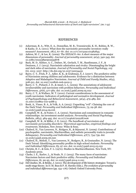#### REFERENCES

- (1) Ackerman, R. A., Witt, E. A., Donnellan, M. B., Trzesniewski, K. H., Robins, R. W., & Kashy, D. A. (2011). What does the narcissistic personality inventory really measure? *Assessment, 18*(1)*,* 67–87. doi: 10.1177/1073191110382845
- (2) Ashton, M. C., & Lee, K. (2009). The HEXACO–60: A short measure of the major dimensions of personality. *Journal of personality assessment*, *91*(4), 340-345. doi: 10.1080/00223890902935878
- (3) Back, M. D., Küfner, A. C., Dufner, M., Gerlach, T. M., Rauthmann, J. F., & Denissen, J. J. (2013). Narcissistic admiration and rivalry: Disentangling the bright and dark sides of narcissism. *Journal of Personality and Social Psychology, 105* (6), 1013–1037. http://dx.doi.org/10.1037/a0034431
- (4) Barry, C. T., Frick, P. J., Adler, K. K., & Grafeman, S. J. (2007). The predictive utility of Narcissism among children and adolescents: Evidence for a distinction between Adaptive and Maladaptive Narcissism. *Journal of Child and Family Studies*, *16*(4), 508-521. doi: 10.1007/s10826-006-9102-5
- (5) Barry, C. T., Pickard, J. D., & Ansel, L. L. (2009). The associations of adolescent invulnerability and narcissism with problem behaviors. *Personality and Individual Differences*, *47*(6), 577-582. doi: 10.1016/j.paid.2009.05.022
- (6) Barry, C. T., & Wallace, M. T. (2010). Current considerations in the assessment of youth narcissism: Indicators of pathological and normative development. *Journal of Psychopathology and Behavioral Assessment*, *32*(4), 479-489. doi: 10.1007/s10862-010-9188-3
- (7) Book, A., Visser, B. A., & Volk, A. A. (2015). Unpacking "evil": Claiming the core of the Dark Triad. *Personality and Individual Differences*, *73*, 29-38. doi: 10.1016/j.paid.2014.09.016
- (8) Campbell, W. K., & Foster, C. A. (2002). Narcissism and commitment in romantic relationships: An investment model analysis. *Personality and Social Psychology Bulletin*, *28*(4), 484-495. doi: 10.1177/0146167202287006
- (9) Campbell, W. K., & Miller, J. D. (2011). *The handbook of narcissism and narcissistic personality disorders: Theoretical approaches, empirical findings and treatments*. Hoboken, New Jersey: Wiley & Sons.
- (10) Chabrol, H., Van Leeuwen, N., Rodgers, R., & Séjourné, N. (2009). Contributions of psychopathic, narcissistic, Machiavellian, and sadistic personality traits to juvenile delinquency. *Personality and Individual Differences*, *47*(7), 734-739. doi: 10.1016/j.paid.2009.06.020
- (11) Chabrol, H., Melioli, T., Van Leeuwen, N., Rodgers, R., & Goutaudier, N. (2015). The Dark Tetrad: Identifying personality profiles in high-school students. *Personality and Individual Differences*, *83*, 97-101. doi: 10.1016/j.paid.2015.03.051
- (12) Christie, R. C., & Geis, F. L. (1970). Studies in Machiavellianism. New York, NY: Academic press.
- (13) Clarke, I. E., Karlov, L., & Neale, N. J. (2015). The many faces of narcissism: Narcissism factors and their predictive utility. *Personality and Individual Differences*, *81*, 90-95. doi: 10.1016/j.paid.2014.11.021
- (14) Del Giudice, M., & Belsky, J. (2011). The development of life history strategies: Toward a multi-stage theory. In D. M. Buss & P. H. Hawley (Eds.), *The evolution of personality and individual differences* (pp. 154–176). Oxford: Oxford University Press.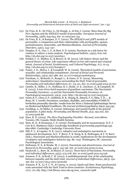- (15) De Vries, R. E., De Vries, A., De Hoogh, A., & Feij, J. (2009). More than the Big Five: Egoism and the HEXACO model of personality. *European Journal of Personality*, *23*(8), 635-654. doi: 10.1002/per.733
- (16) De Vries, R. E., & Kampen, D. V. (2010). The HEXACO and 5DPT models of personality: a comparison and their relationships with psychopathy, egoism, pretentiousness, immorality, and Machiavellianism. *Journal of Personality Disorders, 24*(2), 244–257.
- (17) Douglas, K. S., Guy, L. S., & Hart, S. D. (2009). Psychosis as a risk factor for violence to others: a meta-analysis. *Psychological bulletin*, *135*(5), 679-706. http://dx.doi.org/10.1037/a0016311
- (18) Dunkel, C. S., Mathes, E., & Beaver, K. M. (2013). Life history theory and the general theory of crime: Life expectancy effects on low self-control and criminal intent. *Journal of Social, Evolutionary, and Cultural Psychology*, *7*(1), 12-23. http://dx.doi.org/10.1037/h0099177
- (19) Foster, J. D., Shrira, I., & Campbell, W. K. (2006). Theoretical models of narcissism, sexuality, and relationship commitment. *Journal of Social and Personal Relationships*, *23*(3), 367-386. doi: 10.1177/0265407506064204
- (20) Furnham, A., Richards, S., Rangel, L., & Jones, D. N. (2014). Measuring malevolence: Quantitative issues surrounding the Dark Triad of personality. *Personality and individual differences*, *67*, 114-121. doi: 10.1016/j.paid.2014.02.001
- (21) Gentile, B., Miller, J. D., Hoffman, B. J., Reidy, D. E., Zeichner, A., & Campbell, W. K. (2013). A test of two brief measures of grandiose narcissism: The Narcissistic Personality Inventory–13 and the Narcissistic Personality Inventory-16. *Psychological assessment*, *25*(4), 1120. http://dx.doi.org/10.1037/a0033192
- (22) Grant, B. F., Chou, S. P., Goldstein, R. B., Huang, B., Stinson, F. S., Saha, T. D., ... & Ruan, W. J. (2008). Prevalence, correlates, disability, and comorbidity of DSM-IV borderline personality disorder: results from the Wave 2 National Epidemiologic Survey on Alcohol and Related Conditions. *The Journal of clinical psychiatry*, *69*(4), 533-545.
- (23) Goulding, A., & Ödéhn, N. (2009). Schizotypy and mental health in the general population: A pilot study. *Personality and Mental Health*, *3*(3), 193-202. doi: 10.1002/pmh.86
- (24) Hare, R. D. (2003). *The Hare Psychopathy Checklist—Revised, 2nd edition.* Toronto, ON, Canada: Multi-Health Systems.
- (25) Hare, R. D., & Neumann, C. S. (2009). Psychopathy and its measurement. In P. J. Corr & G. Matthews (Eds): *Cambridge handbook of personality psychology* (pp. 660-686). Cambridge: Cambridge University Press.
- (26) Hill, P. L., & Lapsley, D. K. (2011). Adaptive and maladaptive narcissism in adolescent development. In C. T. Barry, P. K. Kerig, K. K. Stellwagen, & T. D. Barry (Eds.), Narcissism and Machiavellianism in youth: implications for the development of adaptive and maladaptive behavior (pp. 89–105). Washington, DC: American Psychological Association.
- (27) Holtzman, N. S., & Strube, M. J. (2010). Narcissism and attractiveness. *Journal of Research in Personality*, *44*(1), 133-136. doi: 10.1016/j.jrp.2009.10.004
- (28) Houlcroft, L., Bore, M., & Munro, D. (2012). Three faces of Narcissism. *Personality and individual differences*, *53*(3), 274-278. doi: 10.1016/j.paid.2012.03.036
- (29) Jonason, P. K., & Kroll, C. H. (2015). A multidimensional view of the relationship between empathy and the dark triad. *Journal of Individual Differences, 36*(3), 150- 156. doi: 10.1027/1614-0001/a000166
- (30) Jonason, P. K., Li, P. C. N., & Czarna, A. (2013). Quick and dirty: Some psychosocial costs associated with the Dark Triad in three countries. *Evolutionary Psychology*, *11*(1), 172-185. http://ink.library.smu.edu.sg/soss\_research/1468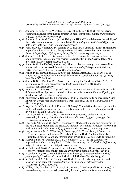- (31) Jonason, P. K., Li, N. P., Webster, G. D., & Schmitt, D. P. (2009). The dark triad: Facilitating a short-term mating strategy in men. *European Journal of Personality*,  $23(1)$ , 5-18. doi: 10.1002/per.698
- (32) Jonason, P. K., & McCain, J. (2012). Using the HEXACO model to test the validity of the Dirty Dozen measure of the Dark Triad. *Personality and Individual Differences*, *53*(7), 935-938. doi: 10.1016/j.paid.2012.07.010
- (33) Jonason, P. K., Webster, G. D., Schmitt, D. P., Li, N. P., & Crysel, L. (2012). The antihero in popular culture: Life history theory and the dark triad personality traits. *Review of General Psychology*, *16*(2), 192-199. http://dx.doi.org/10.1037/a0027914
- (34) Jones, S. E., Miller, J. D., & Lynam, D. R. (2011). Personality, antisocial behavior, and aggression: A meta-analytic review. *Journal of Criminal Justice*, *39(4)*, 329- 337. doi: 10.1016/j.jcrimjus.2011.03.004
- (35) Jones, D. N., & Olderbak, S. G. (2014). The associations among dark personalities and sexual tactics across different scenarios. *Journal of interpersonal violence*, *29*(6), 1050-1070. doi: 10.1177/0886260513506053
- (36) Jones, D. N., & Paulhus, D. L. (2009). Machiavellianism. In M. R. Leary & R. H. Hoyle (Eds.), Handbook of individual differences in social behavior (pp. 93–108). New York, NY:Guilford.
- (37) Jones, D. N., & Paulhus, D. L. (2014). Introducing the Short Dark Triad (SD3): A brief measure of Dark personality traits. *Assessment*, *21*(1), 28-41. doi: 10.1177/1073191113514105
- (38) Kauten, R. L., & Barry, C. T. (2016). Adolescent narcissism and its association with different indices of prosocial behavior. *Journal of Research in Personality*,*60*, 36- 45. doi: 10.1016/j.jrp.2015.11.004
- (39) Knežević, G., Radović, B., & Peruničić, I. (2008). Can Amorality be measured? *14th European Conference on Personality*, *Tartu, Estonia, July 16-20, 2008, Book of Abstracts*, p. 137.
- (40) Kujačić, D., Međedović, J., & Knežević, G. (2015). The relations between personality traits and psychopathy as measured by ratings and self-report. *Psihologija*, *48*(1), 45-59. doi: 10.2298/PSI1501045K
- (41) Lee, K., & Ashton, M. C. (2004). Psychometric properties of the HEXACO personality inventory. *Multivariate Behavioral Research*, *39*(2), 329–358. doi: 10.1207/s15327906mbr3902\_8
- (42) Lee, K., & Ashton, M. C. (2005). Psychopathy, Machiavellianism, and narcissism in the Five-Factor Model and the HEXACO model of personality structure. *Personality and Individual Differences*, *38*(7), 1571-1582. doi: 10.1016/j.paid.2004.09.016
- (43) Lee, K., Ashton, M. C., Wiltshire, J., Bourdage, J. S., Visser, B. A., & Gallucci, A. (2013). Sex, power, and money: Prediction from the Dark Triad and Honesty– Humility. *European Journal of Personality*, *27*(2), 169-184. doi: 10.1002/per.1860
- (44) McDonald, M. M., Donnellan, M. B., & Navarrete, C. D. (2012). A life history approach to understanding the Dark Triad. *Personality and Individual Differences*, *52*(5), 601-605. doi: 10.1016/j.paid.2011.12.003
- (45) Međedović, J. (2012). Topography of dishonesty: Mapping the opposite pole of Honesty-Humility personality domain. *Primenjena psihologija,* 5(2), 115-135.
- (46) Međedović, J. (2015). *Nomološka mreža psihopatije [Nomological network of psychopathy].* Institut za kriminološka i sociološka istraživanja: Beograd.
- (47) Međedović, J. & Petrović, B. (in press). Dark Tetrad: Structural properties and location in the personality space. *Journal of Individual Differences.* doi: 10.1027/1614-0001/a000179*.*
- (48) Miller, J. D., Gaughan, E. T., Pryor, L. R., Kamen, C., & Campbell, W. K. (2009). Is research using the narcissistic personality inventory relevant for understanding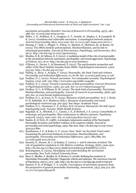narcissistic personality disorder? *Journal of Research in Personality*, *43*(3), 482- 488. doi: 10.1016/j.jrp.2009.02.001

- (49) Miller, J. D., Hoffman, B. J., Gaughan, E. T., Gentile, B., Maples, J., & Campbell, W. K. (2011). Grandiose and vulnerable narcissism: A nomological network analysis. *Journal of personality*,*79*(5), 1013-1042. doi: 10.1111/j.1467-6494.2010.00711.x
- (50) Montag, C., Hall, J., Plieger, T., Felten, A., Markett, S., Melchers, M., & Reuter, M. (2015). The DRD3 Ser9Gly polymorphism, Machiavellianism, and its link to schizotypal personality. *Journal of Neuroscience, Psychology, and Economics*, *8*(1), 48-57. http://dx.doi.org/10.1037/npe0000034
- (51) Mouilso, E. R., & Calhoun, K. S. (2012). A mediation model of the role of sociosexuality in the associations between narcissism, psychopathy, and sexual aggression. *Psychology of Violence*, *2*(1), 16-27. http://dx.doi.org/10.1037/a0026217
- (52) O'Meara, A., Davies, J., & Hammond, S. (2011). The psychometric properties and utility of the Short Sadistic Impulse Scale (SSIS). *Psychological assessment*, *23(2)*, 523-531. http://dx.doi.org/10.1037
- (53) Pailing, A., Boon, J., & Egan, V. (2014). Personality, the Dark Triad and violence. *Personality and individual differences*, *67*, 81-86. doi: 10.1016/j.paid.2013.11.018
- (54) Paulhus, D. L. (2001). Normal narcissism: Two minimalist accounts. *Psychological Inquiry, 12*(4), 228–230. http://www.jstor.org/stable/1449480
- (55) Paulhus, D. L. (2014). Toward a taxonomy of dark personalities. *Current Directions in Psychological Science*, *23*(6), 421-426. doi: 10.1177/0963721414547737
- (56) Paulhus, D. L., & Williams, K. M. (2002). The dark triad of personality: Narcissism, Machiavellianism, and psychopathy. *Journal of research in personality*, *36*(6), 556- 563. doi: 10.1016/S0092-6566(02)00505-6
- (57) Paulhus, D. L., & Jones, D. N. (2015). Measures of dark personalities. In G. J. Boyle, D. H. Saklofske, & G. Matthews (Eds.), Measures of personality and social psychological constructs (pp. 562-594). San Diego: Academic Press.
- (58) Paulhus, D. L., Neumann, C. S., & Hare, R.D. (in press). *Manual for the Self-report Psychopathy scale*. Toronto: Multi-Health Systems.
- (59) Ragsdale, K. A., Mitchell, J. C., Cassisi, J. E., & Bedwell, J. S. (2013). Comorbidity of schizotypy and psychopathy: Skin conductance to affective pictures. *Psychiatry research*, *210*(3), 1000-1007. doi: 10.1016/j.psychres.2013.07.027
- (60) Raskin, R., & Terry, H. (1988). A principal-components analysis of the Narcissistic Personality Inventory and further evidence of its construct validity. *Journal of personality and social psychology*, *54*(5), 890-902. http://dx.doi.org/10.1037/0022- 3514.54.5.890
- (61) Rauthmann, J. F., & Kolar, G. P. (2012). How "dark" are the Dark Triad traits? Examining the perceived darkness of narcissism, Machiavellianism, and psychopathy. *Personality and Individual Differences*, *53*(7), 884-889. doi: 10.1016/j.paid.2012.06.020
- (62) Reznick, D., Bryant, M. J., & Bashey, F. (2002). r- and K-selection revisited: The role of population regulation in Life-History evolution. *Ecology, 83*(6), 1509-1520. http://dx.doi.org/10.1890/0012-9658(2002)083[1509:RAKSRT]2.0.CO;2
- (63) Ronningstam, E. (2005). *Identifying and understanding the narcissistic personality*. New York: Oxford University Press.
- (64) Russ, E., Shedler, J., Bradley, R., & Westen, D. (2008). Refining the construct of Narcissistic Personality Disorder: Diagnostic criteria and subtypes. *The American Journal of Psychiatry*, *165*(11), 1473–1481. http://dx.doi.org/10.1176/appi.ajp.2008.07030376
- (65) Samuel, D. B., & Widiger, T. A. (2008). Convergence of narcissism measures from the perspective of general personality functioning. *Assessment, 15*(3), 364-374. doi: 10.1177/1073191108314278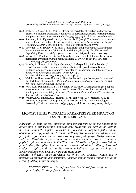- (66) Seah, S. L., & Ang, R. P. (2008). Differential correlates of reactive and proactive aggression in Asian adolescents: Relations to narcissism, anxiety, schizotypal traits, and peer relations. *Aggressive Behavior*, *34*(5), 553-562. doi: 10.1002/ab.20269
- (67) Sherman, R. A., Figueredo, A. J., & Funder, D. C. (2013). The behavioral correlates of overall and distinctive life history strategy. *Journal of Personality and Social Psychology*, *105*(5), 873-888. http://dx.doi.org/10.1037/a0033772
- (68) Snowden, R. J., & Gray, N. S. (2011). Impulsivity and psychopathy: Associations between the Barrett Impulsivity Scale and the Psychopathy Checklist revised. *Psychiatry Research, 187*(3), 414–417. doi: 10.1016/j.psychres.2011.02.003
- (69) Vazire, S., & Funder, D. C. (2006). Impulsivity and the self-defeating behavior of narcissists. *Personality and Social Psychology Review*, *10*(2), 154-165. doi: 10.1207/s15327957pspr1002\_4
- (70) Van Os, J., Linscott, R. J., Myin-Germeys, I., Delespaul, P., & Krabbendam, L. (2009). A systematic review and meta-analysis of the psychosis continuum: evidence for a psychosis proneness–persistence–impairment model of psychotic disorder. *Psychological medicine*, *39*(2), 179-195. http://dx.doi.org/10.1017/S0033291708003814
- (71) Wai, M., & Tiliopoulos, N. (2012). The affective and cognitive empathic nature of the dark triad of personality. *Personality and Individual Differences*, *52*(7), 794- 799. doi: 10.1016/j.paid.2012.01.008
- (72) Witt, E. A., Donnellan, M. B., & Blonigen, D. M. (2009). Using existing self-report inventories to measure the psychopathic personality traits of fearless dominance and impulsive antisociality. *Journal of Research in Personality*, 43(6), 1006-1016. doi: 10.1016/j.jrp.2009.06.010
- (73) Wright, A. G., Pincus, A. L., Thomas, K. M., Hopwood, C. J., Markon, K. E., & Krueger, R. F. (2013). Conceptions of Narcissism and the DSM-5 Pathological Personality Traits. *Assessment*, *20*(3), 339-352. doi: 10.1177/1073191113486692

# LIČNOST I BIHEJVIORALNE KARAKTERISTIKE MRAČNOG I SVETLOG NARCIZMA

*Narcizam je jedna od tzv. "mračnih" crta ličnosti koje se obično povezuju sa amoralnim i antisocijalnim ponašanjem. Međutim, za razliku od ostalih mračnih crta, neki aspekti narcizma su povezani sa socijalno prihvatljivim oblicima ljudskog ponašanja. Mračni i svetli aspekti narcizma identifikovani su parcijalizacijom varijanse narcizma za varijansu psihopatije, Makijavelizma i sadizma. Rezultati su pokazali da se mračni i svetli narcizam razlikuju u pogledu njihovog odnosa sa HEXACO crtama ličnosti (studija 1), antisocijalnim ponašanjem, šizotipijom i nesputanom socio-seksualnošću (studija 3). Rezultati studije 1 replikovani su na klasterima pojedinaca koji se razlikuju po izraženosti mračnog i svetlog narcizma (studija 2).*

*Rezultati pokazuju da se narcizam sastoji od dva aspekta, jednog koji je povezan sa amoralnim dispozicijama, i drugog koji odražava mnogo benigniju stranu ljudskog funkcionisanja.*

*KLJUČNE REČI: narcizam / mračne crte / ličnost / antisocijalno ponašanje / šizotipija /socioseksualnost*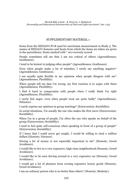#### SUPPLEMENTARY MATERIAL 1

Items from the HEXACO-PI-R used for narcissism measurement in Study 3. The names of HEXACO domains and facets from which the items are taken are given in the parentheses. Items marked with \* are reversely scored.

People sometimes tell me that I am too critical of others (Agreeableness; Gentleness).

I tend to be lenient in judging other people\* (Agreeableness; Gentleness).

Even when people make a lot of mistakes, I rarely say anything negative\* (Agreeableness; Gentleness).

I am usually quite flexible in my opinions when people disagree with me\* (Agreeableness; Flexibility).

When people tell me that I'm wrong, my first reaction is to argue with them (Agreeableness; Flexibility).

I find it hard to compromise with people when I really think I'm right (Agreeableness; Flexibility).

I rarely feel anger, even when people treat me quite badly\* (Agreeableness; Patience).

I rarely express my opinions in group meetings\* (Extraversion; Sociability).

In social situations, I'm usually the one who makes the first move (Extraversion; Sociability).

When I'm in a group of people, I'm often the one who speaks on behalf of the group (Extraversion; Sociability).

I tend to feel quite self-conscious when speaking in front of a group of people\* (Extraversion; Sociability).

If I knew that I could never get caught, I would be willing to steal a million dollars (Honesty; Fairness).

Having a lot of money is not especially important to me\* (Honesty; Greed Avoidance).

I would like to live in a very expensive, high-class neighborhood (Honesty; Greed Avoidance).

I would like to be seen driving around in a very expensive car (Honesty; Greed Avoidance).

I would get a lot of pleasure from owning expensive luxury goods (Honesty; Greed Avoidance).

I am an ordinary person who is no better than others\* (Honesty; Modesty).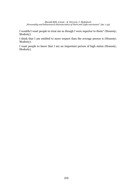I wouldn't want people to treat me as though I were superior to them\* (Honesty; Modesty).

I think that I am entitled to more respect than the average person is (Honesty; Modesty).

I want people to know that I am an important person of high status (Honesty; Modesty).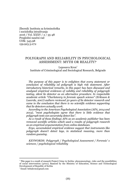Zbornik Instituta za kriminološka i sociološka istraživanja 2016 / Vol. XXXV / 2 / 35-48 Pregledni naučni rad UDK: 343.98 159.923.3.072

### POLYGRAPH AND RELIABILITY IN PSYCHOLOGICAL ASSESSMENT: MYTH OR REALITY?

Leposava Kron Institute of Criminological and Sociological Research, Belgrade

*The purpose of this paper is to enlighten that every statement or conclusion of reliability od poligraph is high risk statement. After introductory historical remarks, in this paper has been discussed and analyzed empirical evidences of validity and reliability of polygraph testing, silent lie detector as an alternative procedure. In respectable academic article "Charlatanry in forensic speech science" (Eriksson & Lacerda, 2007) authors reviewed 50 years of lie detector research and came to the conclusion that there is no scientific evidence supporting that lie detectors actually work.*

*According to the American Psychological Association (APA, 2014 and 2013), "most psychologists agree that there is little evidence that polygraph tests can accurately detect lies".*

*As a result of those findings APA as an academic publisher has been removed scentific articles which used a results of polygraph research as an empirical argumentation from online databases.*

*Ergo, accumulated empirical evidence suggest that instruments like polygraph doesn't detect lays, in statistical meaning, more than random guessing.*

*KEYWORDS: Polygraph / Psychological Assessment / Forensic' s sciences / psychological reliability*

This paper is a result of research Project Crime in Serbia: phenomenology, risks and the possibilities of social intervention (47011), financed by the Ministry of Education, Science and Technological Development of Republic of Serbia

Email: bebakron@gmail.com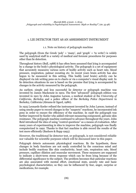### 1. LIE DETECTOR TEST AS AN ASSESSMENT INSTRUMENT

#### 1.1. Note on history of polygraph machine

The polygraph (from the Greek 'poly' = 'many', and 'graph' = 'to write') is widely used by analytical staff in a variety of medical and forensic procedures for purposes other than lie detection.

Throughout history (Bull, 1988) it has often been assumed that lying is accompanied by a change in the body's physiological activity. The polygraph is a set of equipment that accurately measures various sorts of bodily activity such as heart rate, blood pressure, respiration, palmar sweating etc. In recent years brain activity has also begun to be measured in this setting. This bodily (and brain) activity can be displayed via ink writing pens on to charts or via a computer's visual display unit. In lie detection situations its use is based on the premise that lying is accompanied by changes in the activity measured by the polygraph.

An earliest, simple and less successful lie detector or polygraph machine was invented by James Mackenzie in 1902. The first "advanced" polygraph edition was invented in 1921 by John Augustus Larson, a medical student at the *University of California, Berkeley* and a police officer of the *Berkeley Police Department* in Berkeley, California (Abrams & Ogard, 1986).

In 1925 Leonarde Keeler refined the instrument invented by John Larson; instead of using smoke paper to record changes in the "suspects" reactions, he incorporated ink pens in order to ensure the efficiency of the machine. In 1938 the polygraph was further improved by Keeler who added relevant measuring component, galvanic skin resistance. The polygraph machine continued to advance throughout the years. John Reid introduced the idea of using "control questions" as a means of evaluation. After many years of experimenting in idea to improve the machine, polygraph was finally computerized in 1992. Thanks to that fact machine is able record the results of the test more efficiently (Bashore & Rapp 1993).

However, the traditional lie detector test, or polygraph, is not considered reliable nor valuable for scientific purposes which will be discussed later in this paper.

Polygraph detects autonomic physiological reactions. By the hypothesis, these changes in body functions are not easily controlled by the conscious mind and include bodily reactions like skin conductivity, heart rate, respiration rate, blood pressure, capillary dilation and muscular movement. These measures are supposed to indicate a short-term stress response which can be from lying because of the differential significance to the subject. The problem becomes that paticular reactions are also associated with mental effort, emotional state, anxiety rate and basic psychological characteristics; so they can be influenced by fear, anger, surprise or medications, for example.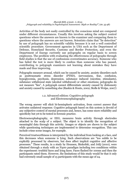Activities of the body not easily controlled by the conscious mind are compared under different circumstances. Usually this involves asking the subject control questions where the answers are known to the examiner and comparing them to questions where the answers are not known. Scientists claim that "lie detection" by use of polygraph has no scientific validity because it is not a well controlled scientific procedure. Government agencies in USA such as the Department of Defense, Homeland Security, Customs and Border Protection, and even the Department of Energy currently use polygraphs on regular basis to screen employees. The problem with evaluating the effectiveness of polygraphs through field studies is that the use of confessions overestimates accuracy. Someone who has failed the test is more likely to confess than someone who has passed, contributing to polygraph examiners not learning about mistakes they have made and thus improving.

Polygraphs measure arousal, which can be caused by anxiety, anxiety disorders such as posttraumatic stress disorder (PTSD), nervousness, fear, confusion, hypoglycemia, psychosis, depression, substance induced (nicotine, stimulants), substance withdrawal state (alcohol withdrawal) or other emotions; polygraphs do not measure "lies". A polygraph cannot differentiate anxiety caused by dishonesty and anxiety caused by something else (Raskin & Honts, 2002; Stolle & Wolpe, 2007)

#### 1.2. Advanced edition: Cognitive polygraph and Electroencephalography

The wrong answer will elicit bi-hemispheric activation, from correct answer that activates unilateral response. Cognitive polygraph based on this system is devoid of any subjective control of mental processes and, hence, has some more reliability and specificity but yet to be tested in forensic practice.

Electroencephalography, or EEG, measures brain activity through electrodes attached to the scalp of a subject. The object is to identify the recognition of meaningful data through this activity. Images or objects are shown to the subject while questioning techniques are implemented to determine recognition. This can include crime scene images, for example.

Perceived trustworthiness is interpreted by the individual from looking at a face, and this decreases when someone is lying. Such observations are "too subtle to be explicitly processed by observers, but does affect implicit cognitive and affective processes." These results, in a study by Heussen, Binkofski, and Jolij (2010), were obtained through a study with an N400 paradigm including two conditions within the experiment: truthful faces and lying faces. Faces flashed for 100ms and then the participants rated them. However, the limitations of this study would be that it only had extremely small sample of 15 participants with the mean age of 24.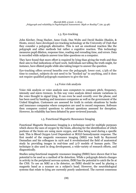## 1.3. Eye-tracking

John Kircher, Doug Hacker, Anne Cook, Dan Woltz and David Raskin (Raskin, & Honts, 2002). have developed eye-tracking technology at the University of Utah that they consider a polygraph alternative. This is not an emotional reaction like the polygraph and other methods but rather a cognitive reaction. This technology measures pupil dilation, response time, reading and rereading time, and errors. Data is recorded while subjects answer true false questions on a computer.

They have found that more effort is required by lying than giving the truth and thus their aim to find indications of hard work. Individuals not telling the truth might, for instance, have dilated pupils while also taking longer to answer the question.

Eye-tracking offers several benefits over the polygraph: lower cost, 1/5th of the time to conduct, subjects do not need to be "hooked up" to anything, and it does not require qualified polygraph examiners to give the test.

# 1.4.Voice risk analysis

Voice risk analysis or voice analysis uses computers to compare pitch, frequency, intensity and micro tremors. In this way voice analysis detect minute variations in the voice thought to signal lying. It can even be used covertly over the phone, and has been used by banking and insurance companies as well as the government of the United Kingdom. Customers are assessed for truth in certain situations by banks and insurance companies where computers are used to record responses. Software then compares control questions to relevant questions assessed for deception. However, its reliability has been debated by peer-reviewed journals.

# 1.5. Functional Magnetic Resonance Imaging

Functional Magnetic Resonance Imaging is a technique used for multiple purposes which shows the uses of oxygen by the brain, allowing for the identification of which portions of the brain are using more oxygen, and thus being used during a specific task. This is Blood Oxygen Level Dependent or BOLD hemodynamic response. The first model of the magnetic resonance imaging (MRI) was built by Raymond Damadian and his colleagues in 1976 and it revolutionized the field of anatomical study by providing images in real-time and 3-D models of human parts. The technique is also used in drug development, a wide-variety of research efforts, and diagnostically.

Studies using functional magnetic resonance imaging (fMRI) have shown that it has potential to be used as a method of lie detection. While a polygraph detects changes in activity in the peripheral nervous system, fMRI has the potential to catch the lie at the CNS. To use an MRI as a lie detector, an fMRI should be used by placing a magnetic band as a scanner on a subject's head. However, the neurobiological systems that relate to lying are currently poorly understood. The current consensus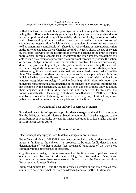is that faced with a forced choice paradigm, in which a subject has the choice of telling the truth or spontaneously generating a lie, lying can be distinguished due to increased prefrontal and parietal lobe activity. More specifically, the superiormedial and inferolateral prefrontal cortices show net activation in the process of spontaneous lie generation (which involves suppression of the truthful response as well as generating a conceivable lie). There is as well evidence of increased activation in the anterior cingulate cortex when lies are told. The fMRI shows the use of oxygen by the brain, allowing for the identification of which portions of the brain are using more oxygen during a specific task. By studying the brain images, researchers are able to map the systematic procedure the brain went through to produce the action or decision. Subjects are often offered monetary incentive if they can successfully deceive the process in hopes of generating a 'real world' scenario. Using this method, an initial 2005 study on individuals (not group averages as previous studies) without pattern recognition and automation showed that lies can be distinguished 78% of the time. That statistic has risen, in one study, to 100% when predicting a lie in an individual when baseline lie/truth levels were closely studied with training from pattern recognition technology (machine learning). fMRI does rely upon the individual remaining still and safeguards in the analysis such that the questions can not be gamed by the participant. Studies have been done on Chinese individuals and their language and cultural differences did not change results. To show the robustness of this fMRI technology, a study was done that showed fMRI lie detection and truth verification technology worked even in a group of 52 schizophrenic patients, 27 of whom were experiencing delusions at the time of the study.

#### 1.6. Functional near-infrared spectroscopy (fNIRS)

Functional near-infrared spectroscopy also detects oxygen and activity in the brain like the fMRI, but instead it looks at blood oxygen levels. It is advantageous to the fMRI because it is portable, however its image resolution is of less quality than the fMRI (Stolle & Wolpe 2007)

#### 1.7. Brain observations

Electroencephalography is used to detect changes in brain waves.

Brain fingerprinting or MERMER uses electroencephalography to determine if an image is familiar to the subject. It is proposed to be used for lie detection and determination of whether a subject has specialized knowledge of the type most commonly found among spies or terrorists.

Cognitive chronometry, or the measurement of the time taken to perform mental operations, can be used to distinguish lying from truth-telling. One recent instrument using cognitive chronometry for this purpose is the Timed Antagonistic Response Alethiometer (TARA).

Brain-reading uses fMRI and the multiple voxels activated in the brain evoked by a stimulus to determine what the brain has detected, and so whether it is familiar.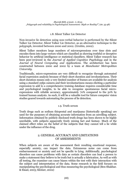### 1.8. Silent Talker Lie Detector

Non-invasive lie detection using non-verbal behavior is performed by the Silent Talker Lie Detector. Silent Talker Lie Detector, as an alternative technique to the polygraph, invented between 2000 and 2002. (Grubin, 2002).

Silent Talker monitors large numbers of microexpressions over time slots and encodes them into large vectors which are classified as showing truthful or deceptive behavior by artificial intelligence or statistical classifiers. Silent Talker research has been peer-reviewed in the *Journal of Applied Cognitive Psychology* and in the *Journal of Neural Computing and Applications*. The architecture has been constructed between 2000 and 2002 by a team at *Manchester Metropolitan University.*

Traditionally, micro-expressions are very difficult to recognize through automated facial expression analysis because of their short duration and involuntariness. Their short duration means only a very limited number of frames are available for analysis using a standard 25fps camera and their involuntariness means eliciting a particular expression to add to a comprehensive training database requires considerable time and psychological insights, to be able to recognize spontaneous facial micro expressions with reliable accuracy, approximately 70% compared to the 50% by trained human analysts. As such, it will be a valuable tool for future computer vision studies geared towards automating the process of lie detection.

# 1.9. Truth serum

Truth drugs such as sodium thiopental and marijuana (historically speaking) are used for the purposes of obtaining accurate information from an unwilling subject. Information obtained by publicly disclosed truth drugs has been shown to be highly unreliable, with subjects apparently freely mixing fact and fantasy. Much of the claimed effect relies on the belief of the subjects that they cannot tell a lie while under the influence of the drug.

### 2. GENERAL ACCURACY AND LIMITATIONS OF ASSESSMENTS

When subjects are aware of the assessment their resulting emotional response, especially anxiety, can impact the data. Extraneous noise can come from embarrassment or anxiety and not be specific to lying. Additionally, psychological disorders can cause problems with data as certain disorders can lead a person to make a statement they believe to be truth but is actually a fabrication. As well as with all testing, the examiner can cause biases within the test with their interaction with the subject and interpretation of the data. Some research in the field focuses on manipulating the psychological and thus measuring the psychological (Ben-Shakhar. & Elaad, 2003; Kleiner, 2002)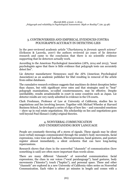# 3. CONTROVERSIES AND EMPIRICAL EVIDENCES CONTRA POLYGRAPH'S ACCURACY IN DETECTING LIES

In the peer-reviewed academic article "*Charlatanry in forensic speech science*" (Eriksson & Lacerda, 2007) the authors reviewed 50 years of lie detector research and came to the conclusion that there is no scientific evidence supporting that lie detectors actually work.

According to the American Psychological Association (APA, 2014 and 2013), "most psychologists agree that there is little evidence that polygraph tests can accurately detect lies".

Lie detector manufacturer Nemesysco sued the APA (American Psychological Association) as an academic publisher for libel resulting in removal of the article from online databases.

The cumulative research evidence suggests that machines do detect deception better than chance, but with significant error rates and that strategies used to "beat" polygraph examinations, so-called countermeasures, may be effective. Despite unreliability, results areadmissible in court in some countries such as Japan. Lie detector results are very rarely admitted in evidence in the US courts.

Clark Freshman, Professor of Law at University of California, studies lies in negotiations and lies involving lawyers. Together with Michael Wheeler at Harvard Business School, he developed a series of clips of how lies – and concealed emotions – show up in real estate negotiations. His scholarship on lies and negotiations goes well beyond Paul Ekman's (1985) original theories.

# 4. NONVERBAL COMMUNICATION AND UNDERSTANDING BODY LANGUAGE

People are constantly throwing off a storm of signals. These signals may be silent (non-verbal) messages communicated through the sender's body movements, facial expressions, voice tone and loudness. Microexpressions, hand gestures, and posture register almost immediately, a silent orchestra that can have long-lasting repercussions.

Research shows that clues in the nonverbal "channels" of communication (how something is said) are often more important than words alone.

There are many different "channels" of nonverbal communication: facial expressions, the clues in our voices ("vocal paralanguage"), hand gestures, body movements ("kinesics"), touch ("haptics"), and personal space. These and other "channels" are explored in a new University of California video series on Nonverbal Communication. Each video is about 30 minutes in length and comes with a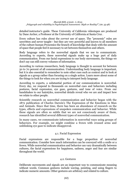detailed instructor's guide. These University of California videotapes are produced by Dane Archer, a Professor at the University of California at Santa Cruz .

Every culture has rules about the *correct* use of space. The "proxemic" rules are unwritten and never taught-- but they are very powerful and known to all members of the culture human Proxemics the branch of knowledge that deals with the amount of space that people feel it necessary to set between themselves and others.

Body language refers to the nonverbal signals that we use to communicate. According to experts, these nonverbal signals make up a huge part of daily communication. From our facial expressions to our body movements, the things we don't say can still convey volumes of information.

According to various researchers, body language is thought to account for between 50 to 70 percent of all communication. Understanding body language is important, but it is also essential to remember to note other cues such as context and to look at signals as a group rather than focusing on a single action. Learn more about some of the things to look for when you are trying to interpret body language.

According to experts, a substantial portion of our communication is nonverbal. Every day, we respond to thousands on nonverbal cues and behaviors including postures, facial expression, eye gaze, gestures, and tone of voice. From our handshakes to our hairstyles, nonverbal details reveal who we are and impact how we relate to other people.

Scientific research on nonverbal communication and behavior began with the 1872 publication of Charles Darwin's The Expression of the Emotions in Man and Animals. Since that time, there has been an abundance of research on the types, effects and expressions of unspoken communication and behavior. While these signals are often so subtle that we are not consciously aware of them, research has identified several different types of nonverbal communication.

In many cases, we communicate information in nonverbal ways using groups of behaviors. For example, we might combine a frown with crossed arms and unblinking eye gaze to indicate disapproval.

### 4.1. Facial Expression

Facial expressions are responsible for a huge proportion of nonverbal communication. Consider how much information can be conveyed with a smile or a frown. While nonverbal communication and behavior can vary dramatically between cultures, the facial expressions for happiness, sadness, anger and fear are similar throughout the world.

#### 4.2. Gestures

Deliberate movements and signals are an important way to communicate meaning without words. Common gestures include waving, pointing, and using fingers to indicate numeric amounts. Other gestures are arbitrary and related to culture.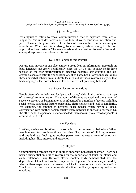### 4.3. Paralinguistics

Paralinguistics refers to vocal communication that is separate from actual language. This includes factors such as tone of voice, loudness, inflection and pitch. Consider the powerful effect that tone of voice can have on the meaning of a sentence. When said in a strong tone of voice, listeners might interpret approval and enthusiasm. The same words said in a hesitant tone of voice might convey disapproval and a lack of interest.

#### 4.4. Body Language and Posture

Posture and movement can also convey a great deal on information. Research on body language has grown significantly since the 1970's, but popular media have focused on the over-interpretation of defensive postures, arm-crossing, and leg crossing, especially after the publication of Julius Fast's book Body Language. While these nonverbal behaviors can indicate feelings and attitudes, research suggests that body language is far more subtle and less definitive that previously believed.

### 4.5. Proxemics communications

People often refer to their need for "personal space," which is also an important type of nonverbal communication. The amount of distance we need and the amount of space we perceive as belonging to us is influenced by a number of factors including social norms, situational factors, personality characteristics and level of familiarity. For example, the amount of personal space needed when having a casual conversation with another person usually varies between 18 inches to four feet. On the other hand, the personal distance needed when speaking to a crowd of people is around 10 to 12 feet.

#### 4.6. Eye Gaze

Looking, staring and blinking can also be important nonverbal behaviors. When people encounter people or things that they like, the rate of blinking increases and pupils dilate. Looking at another person can indicate a range of emotions, including hostility, interest and attraction.

#### 4.7. Haptics

Communicating through touch is another important nonverbal behavior. There has been a substantial amount of research on the importance of touch in infancy and early childhood. Harry Harlow's classic monkey study demonstrated how the deprivation of touch and contact impedes development. Baby monkeys raised by wire mothers experienced permanent deficits in behavior and social interaction. Touch can be used to communicate affection, familiarity, sympathy and other emotions.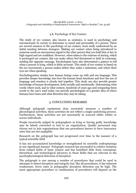### 4.8. Psychology of Eye Contact

The study of eye contact, also known as oculesics, is used in psychology and unconsciously by society to determine to mood and personality of a person. There are several nuances in the psychology of eye contact, most easily understood by an initial meeting between strangers. Making eye contact when being introduced to someone sends an unconscious signal to the other person that you hold him or her in high regard and are confident. However, when taken to the extreme of staring, which is prolonged eye contact, this can make others feel threatened or held in contempt, sending the opposite message. Psychologists have also determined a pattern to tell when a person is lying, which is fairly accurate. This study of eye contact is based on the eye movements a person makes before they make a statement, and where their eyes are when speaking.

Psycholinguistics studies how human beings come up with and use language. This provides deeper knowledge into how the human brain functions and how the use of language and emotion is closely tied together. This study can also provide greater knowledge of human development, both socially and emotionally. Determining what words where used, and in what context, hundreds of years ago and comparing those words to the one's used today can provide psychologists of a greater idea of where humans have been and what direction they may be taking.

# 5. CONCLUDING REMARKS

Although polygraph equipment does accurately measure a number of physiological activities, these activities do not reflect a single underlying process. Furthermore, these activities are not necessarily in concord either within or across individuals.

People incorrectly judged by polygraphers as lying or having guilty knowledge may be falsely convicted or lost to an organisation. Quality personnel may choose not to join organisations that use procedures known to have inaccuracy rates that are not negligible.

Research on the polygraph has not progressed over time in the manner of a typical scientific field.

It has not accumulated knowledge or strengthened its scientific underpinnings in any significant manner. Polygraph research has proceeded in relative isolation from related fields of basic science and has benefited little from conceptual, theoretical, and technological advances in those fields that are relevant to the psychophysiological detection of deception'

The polygraph is one among a number of procedures that could be used in attempts to detect deception and integrity but, like all procedures, it has inherent weaknesses. Error rates in polygraphic deception detection can be high. The most appropriate procedure or combination of procedures will depend on the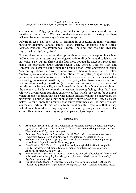circumstances. Polygraphic deception detection procedures should not be ascribed a special status. We must not deceive ourselves into thinking that there will ever be an error-free way of detecting deception.

Polygraph tests has been used in criminal investigations in many countries including Belgium, Canada, Israel, Japan, Turkey, Singapore, South Korea, Mexico, Pakistan, the Philippines, Taiwan, Thailand, and the USA (Lykken, 1998; Raskin, 1990; Vrij, 2000).

Polygraph examiners have no other option than to measure deception in such an indirect way, as a pattern of physiological activity directly related to lying does not exist (Saxe, 1994). Three of the four most popular lie detection procedures using the polygraph (Relevant/Irrelevant Test, Control Question Test and Directed Lie Test) are built upon the premise that, while answering so-called 'relevant' questions, liars will be more aroused than while answering so-called 'control' questions, due to a fear of detection (fear of getting caught lying). This premise is somewhat naive as truth tellers may also be more aroused when answering the relevant questions, particularly: (i) when these relevant questions are emotion evoking questions (e.g. when an innocent man, suspected of murdering his beloved wife, is asked questions about his wife in a polygraph test, the memory of his late wife might re-awaken his strong feelings about her); and (ii) when the innocent examinee experiences fear, which may occur, for example, when thperson is afraid that his or her honest answers will not be believed by the polygraph examiner. The other popular test (Guilty Knowledge Test, discussed below) is built upon the premise that guilty examinees will be more aroused concerning certain information due to different orienting reactions, that is, they will show enhanced orienting responses when recognising crucial details of a crime. This premise has strong support in psychophysiological research.

#### REFERENCES

- (1) Abrams, S. & Ogard, E. (1986). Polygraph surveillance of probationers. *Polygraph*, 15, 174–182. Abrams, S. & Simmons, G. (2000). Post-conviction polygraph testing: Then and now. *Polygraph*, 29, 63–67
- (2) *American Psychological Association* (2013) *The Truth About Lie Detectors (aka Polygraph Tests).* New York: American Psychological Association (APA).
- (3) Bashore, T.R. & Rapp, P.E. (1993). Are there alternatives to traditional polygraph procedures? *Psychological Bulletin*, 113, 3–22
- (4) Ben-Shakhar, G. & Dolev, K. (1996). Psychophysiological detection through the Guilty Knowledge Technique: Effects of mental countermeasures. *Journal of Applied Psychology*, 81, 273–281
- (5) Ben-Shakhar, G. & Elaad, E. (2003). The validity of psychophysiological detection of information with the guilty knowledge test: A meta-analytic review. *Journal of Applied Psychology*, 88, 131–151
- (6) Ben-Shakhar, G. (2002). A critical review of the control questions test (CQT). In M. Kleiner (Ed.), *Handbook of polygraph testing* (pp.103–126). London: Academic Press.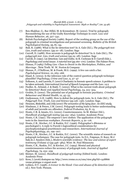- (7) Ben-Shakhar, G., Bar-Hillel, M. & Kremnitzer, M. (2002). Trial by polygraph: Reconsidering the use of the Guilty Knowledge Technique in court. *Law and Human Behavior*, 26, 527–541.
- (8) British Psychological Society (1986). Report of the working group on the use of the polygraph in criminal investigations and personnel screening. *Bulletin of the British Psychological Society*, 39, 81–94.
- (9) Bull, R. (1988). What is the lie-detection test? In A. Gale (Ed.), *The polygraph test:* Lies, truth and science. (pp.10–18). London: Sage
- (10) Carroll, D. (1988). How accurate is polygraph lie detection? In A. Gale (Ed.), *The polygraph test: Lies, truth and science* (pp.19–28). London: Sage
- (11) Carroll, D. (1991). Lie detection: Lies and truths. In R. Cochrane & D. Carroll (Eds.), *Psychology and social issues: A tutorial test* (pp.160–170). London: The Falmer Press.
- (12) Ekman, P (1985) *Telling Lies: Clues to Deceit in the Marketplace, Politics, and Marriage* . New York: W. W. Norton & Company
- (13) Ekman, P., O'Sullivan, M. & Frank, M.G. (1999). A few can catch a liar. *Psychological Science*, 10, 263–266
- (14) Elaad, E. (2003). Is the inference rule of the control question polygraph technique plausible? *Psychology, Crime and Law*, 9, 37–47
- (15) Eriksson, A. and Lacerda, F. (2007) Charlantry in forensic speech science: A problem to be taken seriously. *International Journal of Speech Language and the Law*. 14:2
- (16) Fiedler, K., Schmid, J. & Stahl, T. (2002). What is the current truth about polygraph lie detection? *Basic and Applied Social Psychology*, 24, 313–324.
- (17) Grubin, D. (2002). The potential use of polygraph in forensic psychiatry. *Criminal Behaviour and Mental Health*, 12, 45–55.
- (18) Gudjonsson, G.H. (1988). How to defeat the polygraph tests. In A. Gale (Ed.), *The Polygraph Test. Truth, Lies and Science* (pp.126–136). London: Sage.
- (19) Heussen, Binkofski, and Jolij (2010) *The semantics of the lying face: An EEG study*.
- (20) Hindman, J. & Peters, J.M. (2001). Polygraph testing leads to better understanding of adult and juvenile sex offenders. *Federal Probation*, 65, 8–15.
- (21) Honts, C.R. & Amato, S.L. (2002). Countermeasures. In M. Kleiner (Ed.), *Handbook of polygraph testing* (pp.251–264). London: Academic Press
- (22) Honts, C.R. (1991). The emperor's new clothes: The application of the polygraph tests in the American workplace. *Forensic Reports*, 4, 91–116.
- (23) Honts, C.R., Kircher, J.C. & Raskin, D.C. (1996). Polygrapher's dilemma or psychologist's: A reply to Furedy's logicoethical considerations for psychophysiological practitioners and researchers*. International Journal of Psychophysiology*, 20, 199–207.
- (24) Honts, C.R., Kircher, J.C. & Raskin, D.C. (2002). The scientific status of research on polygraph techniques: The case for polygraph tests. In D.L. Faigman, D. Kaye, M.J. Saks & J. Sanders (Eds.), *Modern scientific evidence: The law and science of expert testimony* (Volume 2) (pp.446–483). West: St. Paul Minnesota
- (25) Honts, C.R., Raskin, D.C. & Kircher, J.C. (1994). Mental and physical countermeasures reduce the accuracy of polygraph tests. *Journal of Applied Psychology*, 79, 252–259
- (26) Kleiner, M. (2002). *Handbook of polygraph testing* (Edited book). London: Academic Press
- (27) Kron, L (2016) dostupno na: http://www.vreme.co.rs/cms/view.php?id=1418866 vreme pristupa 11 avgust 2016
- (28) Lykken, D.T. (1998). *A tremor in the blood: Uses and abuses of lie detection* (2nd ed.). New York: Plenum.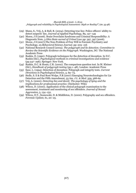- (29) Mann, S., Vrij, A. & Bull, R. (2004). Detecting true lies: Police officers' ability to detect suspects' lies. *Journal of Applied Psychology*, 89, 137–149
- (30) Morse, J S (2006). Brain Overclaim Syndrome and Criminal Responsibility: A Diagnostic Note, 3 *Ohio State ournal of Criinal Law* pp: 397, 397 (2006).
- (31) Morse, J S (2007).The Non-Problem of Free Will in Forensic Psychiatry and Psychology, 25 *Behavioral Science Journal.* pp: 203- 216
- (32) National Research Council (2003). *The polygraph and lie detection. Committee to Review the Scientific Evidence on the Polygraph.* Washington, DC: The National Academic Press
- (33) Raskin, D. (1990). Polygraph techniques for the detection of deception. In D.C. Raskin (Ed.), *Psychological methods in criminal investigations and evidence* (pp.247–296). Springer: New York.
- (34) Raskin, D.C. & Honts, C.R. (2002). The comparison question test. In M. Kleiner (Ed.), *Handbook of polygraph testing* (pp.1–48). London: Academic Press
- (35) Saxe, L. (1994). Detection of deception: Polygraph and integrity tests. *Current Directions in Psychological Science, 3,* 69–73.
- (36) Stolle, S. E & Paul Root Wolpe, P.R (2007) Emerging Neurotechnologies for Lie Detection and the Fifth Amendment, 33 Am. *J.L. & Med.* 359, 368-69
- (37) Vrij, A. (2000). *Detecting lies and deceit: The psychology of lying and the implications for professional practice.* Chichester: Wiley
- (38) Wilcox, D. (2000). Application of the clinical polygraph examination to the assessment, treatment and monitoring of sex offenders. *Journal of Sexual Aggression*, 5, 134–152.
- (39) Wilcox, D.T., Sosnowski, D. & Middleton, D. (2000). Polygraphy and sex offenders. *Forensic Update,* 61, 20–25.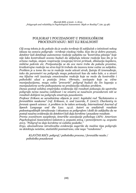# POLIGRAF I POUZDANOST U PSIHOLOŠKOM PROCENJIVANJU: MIT ILI REALNOST

*Cilj ovog teksta je da pokaže da je svako tvrđenje ili zaključak o istinitosti nekog iskaza na osnovu poligrafa - tvrđenje visokog rizika. Kao što je dobro poznato, detektor laži detektuje autonomne reakcije subjekta na "kontrolna pitanja" koje nije lako kontrolisati svesno budući da uključuju telesne reakcije kao što je to srčana radnja, stepen respiracije (znojenja) krvni pritisak, dilatacija kapilara, mišićne pokrete etc. Pretpostavlja se da ove mere trebe da pokažu promtne, kratkotrajne reakcije na stres koji bi trebalo da izazovu teme važne za subjekta. Problem je u tome što na te reakcije može uticati strah, ljutnja ili iznenađenje, tako da parametri na poligrafu mogu pokazivati kao da neko laže, a u stvari mu ključne reči izazivaju emocionalne reakcije koje ne može da kontroliše i psihološki ulazi u poziciju žrtve. Obrnuto, sociopate koje su vične manipulacijama, mogu vešto "prevariti" poligraf budući da čin laganja u manipulativne svrhe psihopatama ne predstavlja nikakav problem.*

*Danas postoji solidna empirijska evidencija čiji rezultati pokazuju da upotreba poligrafa nema naučnu validnost i ne smatra se naučnom procedurom niti se rezultati dobijeni na poligrafu smatraju pouzdanim.*

*Profesor Erikson sa saradnicima objavio je 2007. kapitalni rad "Šarlatanstvo u forenzičkim naukama" (ref. Eriksson, A. and Lacerda, F. (2007). Charlantry in forensic speech science: A problem to be taken seriously. International Journal of Speech Language and the Law. 14:2). Autori su analizirali rezultate pedesetogodišnjih istraživanja i iskustava sa poligrafom i došli do zaključka da ne postoji naučna evidencija da detektori laži daju korektne i pouzdane rezultate.*

*Prema zvaničnom saopštenju Američke asocijacije psihologa (APA: American Psychological Association) izdatom 5. avgusta 2004. i ponovljenom 14. avgusta 2013. "Poligraf ne daje korektne ni validne podatke."*

*Ergo, akumulirana istraživačka evidencija sugeriše da mašine tipa poligrafa ne detektuju neistine, statistički posmatrano, više nego "randomno".*

*KLJUČNE REČI: poligraf / psihološka procena / forenzičke nauke / psihološka pouzdanost*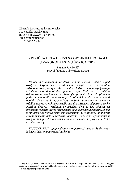Zbornik Instituta za kriminološka i sociološka istraživanja 2016 / Vol. XXXV / 2 /49-56 Pregledni naučni rad UDK: 343.57(494)

# KRIVIČNA DELA U VEZISA OPOJNIM DROGAMA U ZAKONODAVSTVU ŠVAJCARSKE

Dragan Jovašević Pravni fakultet Univerziteta u Nišu

*Na bazi međunarodnih standarda koji su usvojeni u okviru i pod okriljem Organizacije Ujedinjenih nacija sva nacionalna zakonodavstva poznaju više različitih oblika i vidova ispoljavanja krivičnih dela zloupotrebe opojnih droga. Radi se o različitim delatnostima neovlašćene, proizvodnje, prometa i na drugi način podstrekavanja ili omogućavanja drugim licima da dođu u posed opojnih droga radi neposrednog unošenja u organizam čime se ozbiljno ugrožava njihovo zdravlje pa i život. Zavisno od potreba svake pojedine države, i razlikuju se krivična dela za čije učinioce su propisane različite vrste i mere kazni i drugih krivičnih sankcija. Slična je situacija i sa Švajcarskom konfederacijom. U radu ćemo analizirati sistem krivičnih dela u različitim oblicima i vidovima ispoljavanja u teorijskom i praktičnom smislu za čije učinioce su propisane teške krivične sankcije.*

*KLJUČNE REČI: opojne droge/ zloupotreba/ zakon/ Švajcarska/ krivično delo/ odgovornost/ sankcija*

 Ovaj tekst je nastao kao rezultat na projektu "Kriminal u Srbiji: fenomenologija, rizici i mogućnost socijalne intervencije" (broj 47011) koji finansira Ministarstvo prosvete, nauke i tehnološkog razvoja RS E-mail: jovas@prafak.ni.ac.rs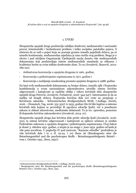### 1. UVOD

Zloupotreba opojnih droga predstavlja ozbiljan društveni, međunarodni i nacionalni pravni, kriminološki i bezbednosni problem i tešku socijalno patološku pojavu. S obzirom da se radi o pojavi koja ne poznaje granice između pojedinih država, pa ni između kontinenata, međunarodna zajednica je rano uočila ovaj problem. Stoga je u okviru i pod okriljem Organizacije Ujedinjenih nacija doneto više međunarodnih dokumenata koji predstavljaju sistem međunarodnih standarda za efikasnu i kvalitetnu borbu sa ovim teškim društvenim zlom. To su (Jovašević, Ikanović, 2012: 189-191):

- Jedinstvena konvencija o opojnim drogama iz 1961. godine,
- Konvencija o psihotropnim supstancama iz 1971. godine i
- Konvencija o suzbijanju nezakonitog prometa opojnim drogama iz 1988. godine.

Na bazi ovih međunarodnih dokumenata su brojne države, između njih i Švajcarska konfederacija u svom nacionalnom zakonodavstvu utvrdile sistem krivične odgovornosti i kažnjivosti za različite oblike i vidove krivičnih dela zloupotrebe opojnih droga Petrović, Jovašević, Ferhatović, 2016: 344-347). Interesantno je da za razliku od drugih država, Švajcarska krivična dela ove vrste ne propisuje u Krivičnom zakoniku - Schweizerisches Strafgesetzbuch StGB, 7.Auflage, Zurich, 2016. - (Donatsch, Tag, 2006: 331-332)<sup>1</sup> iz 1933. godine (što bi bilo logično u sistemu krivičnih dela kojima se povređuje ili ugrožava zdravlje ljudi), već u posebnom zakonu iz oblasti zdravstvene, medicinske delatnosti. To je tzv. sporedno, pomoćno ili dopunsko krivično zakonodavstvo (Jovašević, 2014: 21).

Zloupotreba opojnih droga kao krivična dela protiv zdravlja ljudi (Jovašević, 2016: 312), te sistem krivične odgovornosti i kažnjivosti za njihove učinioce je uređen Federalnim zakonom o opojnim drogama i psihotropnim supstancama. Ovaj Zakon je donet 3. oktobra 1951. godine, a stupio je na snagu 1. juna 1952. godine od kada je više puta noveliran. U poglavlju IV pod nazivom: "Kaznene odredbe" predviđeno je više krivičnih dela i to u čl. 19-24. i 10) članu 26 (Bundesgesetz uber die Betaubungsmittel und die psychotropen Stoffe - Betaubungsmittelgesetz BetmG vom 1. October 1951., Bern, 1951)<sup>2</sup>.

<sup>1</sup> Schweizerisches Strafgesetzbuch StGB, 7.Auflage, Zurich, 2013.

<sup>2</sup> Bundesgesetz uber die Betaubungsmittel und die psychotropen Stoffe (Betaubungsmittelgesetz BetmG) vom 1. October 1951., Bern, 1951.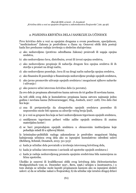# 2. POJEDINA KRIVIČNA DELA I SANKCIJE ZA UČINIOCE

Prvo krivično delo u vezi sa opojnim drogama u ovom posebnom, specijalnom, ''medicinskom'' Zakonu je predviđeno u članu 19. Osnovni oblik dela postoji kada lice preduzme radnju izvršenja u sledećim slučajevima:

- a) ako nedozvoljeno (protivno odredbama Zakona) proizvodi ili uzgaja opojna sredstva,
- b) ako nedozvoljeno čuva, distribuira, uvozi ili izvozi opojna sredstva,
- c) ako nedozvoljeno propisuje ili nabavlja drugom licu opojna sredstva ili ih stavlja u promet na drugi način,
- d) ako nedozvoljeno poseduje, čuva ili na drugi način nabavlja opojna sredstva,
- e) ako finansira ili posreduje u finansiranju nedozvoljene prodaje opojnih sredstava,
- f) ako javno promoviše uživanje opojnih sredstava i mogućnost njihove nabavke i uživanja i
- g) ako ponovo učini istovrsno krivično delo (u povratu).

Za ovo delo je propisana alternativno kazna zatvora do tri godine ili novčana kazna.

Za teži oblik ovog dela je kumulativno propisana kazna zatvora najmanje jednu godinu i novčana kazna (Schwarzenegger, Hug, Jositsch, 2007: 228). Ovo delo čini lice koje:

- a) zna ili pretpostavlja da zloupotreba opojnih sredstava posredno ili neposredno može biti opasna za zdravlje većeg broja ljudi,
- b) je u vezi sa grupom lica koja se bavi nedozvoljenom trgovinom opojnih sredstava,
- c) smišljenom trgovinom pribavi velike zalihe opojnih sredstava ili znatnu materijalnu korist i
- d) se bavi preprodajom opojnih sredstava u obrazovnim institucijama koje pohađaju mladi ili u njihovoj blizini.

Iz kriminalno-političkih razloga zakonodavac je predvideo mogućnost blažeg kažnjavanja učinioca ovog dela ako su ispunjeni kumulativno određeni uslovi (Rehberg, Schmid, Donatsch, 2013: 311-313):

- a) kada je učinilac dela povratnik u izvršenju istovrsnog krivičnog dela,
- b) kada je učinilac istovremeno i zavisnik od upotrebe opojnih sredstava i
- c) kada je radnja nedozvoljenog prometa opojnim sredstvima bila namenjena za ličnu upotrebu.

Ukoliko je osnovni ili kvalifikovani oblik ovog krivičnog dela (Schweizerisches Strafgesetzbuch vom 21. Dezember 1937., Bern, 1996.) učinjen u inostranstvu, i u tom slučaju se učinilac može kazniti propisanom kaznom ako su ispunjeni sledeći uslovi: a) da se učinilac nalazi u Švajcarskoj, b) da učinilac nije izručen drugoj državi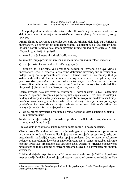i c) da postoji identitet dvostruke kažnjivosti – što znači da je učinjeno delo krivično delo i po stranom i po švajcarskom krivičnom zakonu (Jenny, Stratenwerth, 2003: 413-415).

Prema članu 6. Krivičnog zakonika gonjenje za krivična dela koja su učinjena u inostranstvu se sprovodi po domaćem zakonu. Nadležni sud u Švajcarskoj neće krivično goniti učinioca dela koje je izvršeno u inostranstvu u tri slučaja (Niggli, Wiprachtiger, 2013: 289-291):

- a) ukoliko ga je inostrani sud oslobodio krivice,
- b) ukoliko mu je presudom izrečena kazna u inostranstvu u celosti izvršena i
- c) ako je nastupila zastarelost krivičnog gonjenja.

U situaciji da je učinilac već prethodno osuđen za krivično delo ove vrste u inostranstvu gde je izrečena kazna samo delimično izvršena, sud u Švajcarskoj izdaje nalog da se preostali deo izrečene kazne izvrši u Švajcarskoj. Sud je ovlašćen da odluči da li će se učinilac krivičnog dela izručiti državi gde mu je već pravnosnažno presuđeno radi nastavka sa izvršenjem izrečene kazne ili će se takvom licu delimično izvršena kazna uračunati u kaznu koju treba da izdrži u Švajcarskoj (Serebrenikova, Kuznjecova, 2000: 7).

Drugo krivično delo ove vrste je propisano u odredbi člana 19-bis. Federalnog zakona o opojnim drogama i psihotropnim supstancama. Ovo delo se sastoji u nuđenju, davanju ili na drugi način činjenju dostupnim opojnih sredstava licu koje je mlađe od osamnaest godina bez medicinskih indikacija. Ovde je radnja pomaganja predviđena kao samostalna radnja izvršenja, a ne kao oblik saučesništva. Za postojanje dela je bitno ispunjenje dva uslova:

- a) da se radnja izvršenja preduzima prema posebnoj vrsti pasivnog subjekta maloletnom licu i
- b) da se radnja izvršenja preduzima protivno medicinskim propisima bez medicinskih indikacija.

I za ovo delo je propisana kazna zatvora do tri godine ili novčana kazna.

Članom 19–a. Federalnog zakona o opojnim drogama i psihotropnim supstancama<sup>3</sup> propisana je novčana kazna za lice koje protivno postojećim propisima (dakle, bez medicinskih indikacija) svesno uživa opojna sredstva. Ovo je izuzetno zakonsko rešenje u uporednom krivičnom zakonodavstvu da je sama upotreba, uživanje opojnih sredstava predviđeno kao krivično delo. Obično je krivična odgovornost predviđena za radnje kojima se drugom licu omogućava ili olakšava uživanje opojnih sredstava.

U lakim slučajevima (pri čemu sam Zakon ne govori kada postoje ''laki'' slučajevi, već to predstavlja faktičko pitanje koje sud rešava u svakom konkretnom slučaju) tužilac

<sup>3</sup> Bundesgesetz uber die Betaubungsmittel und die psychotropen Stoffe (Betaubungsmittelgesetz BetmG) vom 1. October 1951.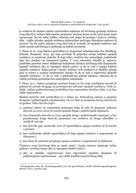je ovlašćen da shodno načelu oportuniteta odustane od krivičnog gonjenja učinioca ovog dela ili se učiiocu dela umesto propisane novčane kazne može izreći samo mera upozorenja. Na isti način tužilac, odnosno sud mogu da postupe i kada se učinilac dela – dakle uživalac opojnih sredstava dobrovoljno podvrgne lekarskom nadzoru ili pomoći. Na isti način učinioca ovog dela koji je zavisnik od opojnih sredstava sud može uputiti radi lečenja u instituciju za bolesti zavisnosti.

U članu 19–b. ovog Zakona predviđena je mogućnost nekažnjavanja lica (Rehberg, Schmid, Donatsch, 2013: 45) koje poseduje ili priprema manju količinu opojnih sredstava za sopstvene potrebe ili koje takva sredstva bez materijalne nadoknade daje licu starijem od osamnaest godina. U ovoj zakonskoj odredbi je, zapravo, predviđen poseban osnov isključenja kažnjivosti učinioca krivičnog dela zloupotrebe opojnih sredstava ako su ispunjeni sledeći uslovi: a) da se radi o manjoj količini opojnih sredstava. Kada postoji ''manja'' količina ovih sredstava je faktičko pitanje koje se rašava u svakom konkretnom slučaju, b) da se radi o sopstvenoj upotrebi opojnih sredstava i c) da se radi o nelukrativnoj pobudi učinioca, odnosno da se radnja izvršenja preduzima bez materijalne nadoknade.

U članu 19–c. Zakon propisuje novčanu kaznu za lice koje umišljajno navodi ili pokuša da navede drugoga na protivpravno uživanje opojnih sredstava. Ovde je, dakle, radnja podstrekavanja predviđena kao samostalno krivično delo, a ne kao oblik saučesništva.

Sledeće krivično delo predviđeno je u članu 20. Federalnog zakona o opojnim drogama i psihotropnim supstancama. Za ovo delo je propisana kazna zatvora do tri godine. Delo čini lice koje4:

- a) podnosi zahtev sa neistinitim podacima kako bi sebi ili drugome pribavio dozvolu za uvoz, izvoz ili tranzit opojnih droga i psihotropnih supstanci,
- b) ima švajcarsku dozvolu za izvoz opojnih droga i psihotropnih supstanci, a bez posedovanja druge dozvole preusmeri ova sredstva na drugo odredište u zemlji ili van nje,
- c) bez dozvole gaji, proizvodi, čuva ili upotrebljava opojna sredstva ili ih stavlja u promet,
- d) kao medicinski radnik upotrebljava ili daje opojna sredstva u suprotnosti sa Zakonom i
- e) kao lekar ili veterinar propisuje opojna sredstva u suprotnosti sa Zakonom.

Učiniocu ovog krivičnog dela se može izreći i kazna zatvora najmanje jednu godinu i novčana kazna ako su ispunjeni sledeći uslovi:

a) ako se učinilac organizovano bavi trgovinom opojnim drogama ili psihotropnim supstancama – kao oblik kolektivnog krivičnog dela,

<sup>4</sup> Bundesgesetz uber die Betaubungsmittel und die psychotropen Stoffe (Betaubungsmittelgesetz BetmG) vom 1. October 1951.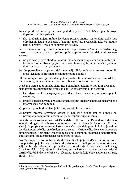- b) ako preduzetom radnjom izvršenja dođe u posed veće količine opojnih droga ili psihotropnih supstanci i
- c) ako preduzimanjem radnje izvršenja pribavi znatnu materijalnu dobit bez određivanja kada je ta korist u ''znatnoj meri'' što predstavlja faktičko pitanje koje sud rešava u svakom konkretnom slučaju.

Kazna zatvora do tri godine ili novčana kazna propisana je članom 21. Federalnog zakona o opojnim drogama i psihotropnim supstancama. Ovo delo čini lice koje svesno5:

- a) ne podnese prijave shodno Zakonu i ne obezbedi propisanu dokumentaciju i formulare za kontrolu opojnih sredstava ili ko u njih unese netačne podatke ili ne unese potrebne podatke i
- b) zloupotrebljava propisanu dokumentaciju ili formulare za kontrolu opojnih sredstava koje sadrže netačne ili nepotpune podatke.

Ako je radnja izvršenja navedenog dela preduzeta nemarno i nesavesno (dakle, sa nehatom), tada se učinilac može kazniti samo novčanom kaznom.

Novčana kazna je u smislu člana 22. Federalnog zakona o opojnim drogama i psihotropnim supstancama propisana za lice koje svesno ili iz nemara:

- a) kao odgovorno lice ne ispunjava predviđene obaveze u vezi sa prometom opojnih sredstava,
- b) prekrši odredbe u vezi sa reklamiranjem opojnih sredstava ili pruža nedozvoljene informacije u vezi sa njima,
- c) povredi pravila skladištenja i čuvanja opojnih sredstava i
- d) prekrši propise Saveznog saveta ili nadležne službe koi se odnose na postupanje sa opojnim drogama i psihotropnim supstancama.

Kvalifikatorna okolnost kod krivičnih dela iz čl. 19.- 22. Federalnog zakona o opojnim drogama i psihotropnim supstancama propisana je članom 23. U kom slučaju je propisano pooštreno kažnjavanje. Ovo teže delo postoji ukoliko je radnju izvršenja preduzelo lice sa određenim svojstvom – službeno lice koje je ovlašćeno za implementaciju i primenu Federalnog zakona o opojnim drogama i psihotropnim supstancama, tada se propisana kazna može povećati.

No, Zakon je izričito predvideo da službeno lice koje je ovlašćeno za borbu protiv zloupotrebe opojnih sredstava koje pribavi opojne droge ili psihotropne supstance u cilju dobijanja relevantnih podataka radi otkrivanja i dokazivanja učinjenog krivičnog dela i (ili) njegovih učinilaca, se ne kažnjava za ovo delo (prikriveni istražitelj), čak i ako ne otkrije svoj identitet i funkciju koju obavlja (Donatsch, Tag, 2006: 38-41).

<sup>5</sup> Bundesgesetz uber die Betaubungsmittel und die psychotropen Stoffe (Betaubungsmittelgesetz BetmG) vom 1. October 1951.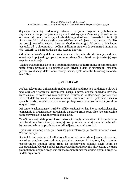Saglasno članu 24. Federalnog zakona o opojnim drogama i psihotropnim supstancama sva pribavljena materijalna korist koja je stečena na protivzakonit se obavezno oduzima (konfiskuje) u korist države, pod uslovom da se nalazi na teritoriji Švajcarske, čak i u slučaju kada su ova krivična dela učinjena u inostranstvu. Ukoliko ne postoji nadležna sudska instanca shodno članu 32. Zakonika o krivičnom postupku od 5. oktobra 2007. godine nadležnim organom će se smatrati kanton na čijoj teritoriji se nalazi protivzakonito stečena imovina.

Od učinioca krivičnog dela se primenom mere bezbednosti oduzimanja predmeta oduzimaju i opojne droge i psihotropne supstance (kao objekt radnje izvršenja) koje se potom uništavaju.

Ukoliko Federalnim zakonom o opojnim drogama i psihotropnim supstancama nije nešto drugo propisano, na učinioce ovih krivičnih dela se primenjuju prilikom pravne kvalifikacije dela i odmeravanja kazne, opšte odredbe Krivičnog zakonika (član 26.).

# 3. ZAKLJUČAK

Na bazi relevantnih univerzalnih međunarodnih standarda koji su doneti u okviru i pod okriljem Oranizacije Ujedinjenih nacija, i novo, doduše sporedno krivično (medicinsko, zdravstveno) zakonodavstvo Švajcarske konfederacije poznaje više krivičnih dela kojima se na adekvatan način – sistemom kazni – pokušava efikasno sprečiti i suzbiti različite oblike i vidove protivpravnih delatnosti u vezi i povodom opojnih droga.

Pri tome je zakonodavac i različite oblike saučesništva kao što su podstrekavanje, pomaganje ili organizovano udruživanje u sastavu grupe predvideo kao samostalne radnje izvršenja i to kvalifikovanih oblika dela.

Za učinioce ovih dela pored kazni zatvora i drugih, alternativno ili kumulativno propisanih novčanih kazni, primenjuju se i posebne mere: a) mere bezbednosti i b) mera oduzimanja protivpravno pribavljene imovinske koristi.

I pokušaj krivičnog dela, pa i pokušaj podstrekavanja je prema izričitom slovu Zakona kažnjiv.

Sve te inkriminacije, kao i kvalitetno, efikasno i zakonito primenjivanje svih propisa u vezi sa uzgojem, proizvodnjom, prodajom, uvozom ili izvozom, kao i samim posedovanjem opojnih droga treba da predstavljaju efikasan okvir kojim se Švajcarska konfederacija pokušava suprotstaviti protivpravnim aktivostima u vezi sa zloupotrebom opojnih droga i na taj način smanjiti razorno dejstvo opojnih droga na ljudski organizam.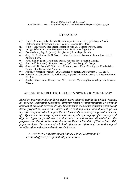### LITERATURA

- (1) (1951). Bundesgesetz uber die Betaubungsmittel und die psychotropen Stoffe (Betaubungsmittelgesetz BetmG) vom 1. October 1951.Bern.
- (2) (1996). Schweizerisches Strafgesetzbuch vom 21. Dezember 1937. Bern.
- (3) (2013). Schweizerisches Strafgesetzbuch StGB. 7.Auflage. Zurich.
- (4) Donatsch, A., Tag, B. (2006). *Strafrecht I*, 8. Auflage, Zurich.
- (5) Jeny, G., Stratenwerth, G. (2003). Schweiserisches Strafrecht, Besonderer teil, 6. Auflage, Bern.
- (6) Jovašević, D. (2014). *Krivično pravo*, Posebni deo. Beograd: Dosije.
- (7) Jovašević, D. (2016). *Krivično pravo*, Opšti deo, Beograd: Dosije.
- (8) Jovašević, D., Ikanović, V. (2012). *Krivično pravo Republike Srpske*, Posebni deo. Banja Luka: Univerzitet Apeiron.
- (9) Niggli, Wiprachtiger (eds). (2013). Basler Kommentar Strafrecht I + II. Basel.
- (10) Petrović, B., Jovašević, D., Ferhatović, A. (2016). *Krivično pravo 2*. Sarajevo: Pravni fakultet.
- (11) Serebrenikova, A.V., Kuznjecova, N.F., (2000). *Ugolovnij kodeks Švejcarii*. Moskva: Zercalo.

### ABUSE OF NARCOTIC DRUGS IN SWISS CRIMINAL LAW

*Based on international standards which were adopted within the United Nations, all national legislation recognises different forms of manifestations of criminal offences of abuse of narcotic drugs. This paper is discussing different activities of illegal production, trade and incitement or enabling other individuals to posses narcotic drugs in order to ingest them which leads to endangering health or even life. Types of crime vary dependent on the needs of every specific country and different types of punishments and criminal sanctions are stipulated for the perpetrators. The situation is similar in the Federal Republic of Switzerland. This paper analyses the system of criminal offences in different forms and ways of manifestation in theoretical and practical sense.*

*KEYWORDS: narcotic drugs / abuse / law / Switzerland / criminal offence / responsibility /sanctions*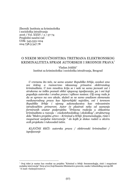Zbornik Instituta za kriminološka i sociološka istraživanja 2016 / Vol. XXXV / 2 /57-74 Pregledni naučni rad UDK: 343.533::004 004.738.5:347.78

# O NEKIM MOGUĆNOSTIMA TRETMANA ELEKTRONSKOG KRIMINALITETA SPRAM AUTORSKIH I SRODNIH PRAVA

Vladan Joldžić Institut za kriminološka i sociološka istraživanja, Beograd

*U vremenu što teče, ne samo unutar Republike Srbije, svedoci smo sve češćeg a raznovrsno iskazanog prisustva elektronskog kriminaliteta. U tom mnoštvu kriju se i neki ne samo javnosti već i strukama ne toliko poznati oblici njegovog ispoljavanja, pa i oni koji pogađaju autorska i srodna prava i njihove nosioce. Cilj ovog rada je da se upravo na ovo ukaže, služeći se ne samo analizom elemenata međunarodnog prava kao hijerarhijski najvišim, već i terenom Republike Srbije i njenog zakonodavstva kao relevantnim istraživačkim primerom. Autor će plasirati neka od saznanja formiranih unutar podprojekta "Državna reakcija u oblastima kriminaliteta u razvoju – visokotehnološkog i ekološkog", strukturnog dela "Makro projekta 47011 – Kriminal u Srbiji: fenomenologija, rizici i mogućnost socijalne intervencije " do kojih je došao radeći u okviru ovih projekata i rukovodeći istim.*

*KLJUČNE REČI: autorska prava / elektronski kriminalitet / ispoljavanje*

Ovaj tekst je nastao kao rezultat na projektu "Kriminal u Srbiji: fenomenologija, rizici i mogućnost socijalne intervencije" (broj 47011) koji finansira Ministarstvo prosvete, nauke i tehnološkog razvoja RS E-mail: vladanj@eunet.rs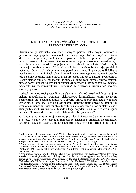# UMESTO UVODA -ISTRAŽIVAČKI PRISTUP ODREĐENJU PREDMETA ISTRAŽIVANJA

Kriminalitet je istorijska, što znači razvojna pojava, kako svojim obimom i prostorima koje pogađa, tako i oblicima ispoljavanja. Tačnije: logičkim bićima opasnih, otuda i posebno, najoštrije proskribovanih: inkriminisanih i sankcionisanih pojava. Kako se stvarnost razvija tako istovremeno dolazi i do pojava novih oblika kriminaliteta. Neki od njih zahtevaju posebne uslove i/ili objekte, ali često i radnje izvršavanja, pa čak i počinioce. Otuda u aktuelnom vremenu pored uvek prisutnih, primera radi delikata nasilja, sve su izraženiji i neki oblici kriminaliteta za koje nepun vek ranije, ili pak do pre nekoliko decenija, nismo mogli ni da pretpostavimo da će nastati i progredirati. Dobar primer tome su: finansijski kriminal, o kome sada najviše radova pružaju upravo tereni gde su najispoljeniji finansijski potencijali<sup>1</sup>, kriminalitet koji pogađa poštanski sistem, infrastrukturu i korisnike2, te elektronski kriminalitet<sup>3</sup> kao sve složenija pojava.

Zadatak koji smo sebi postavili je da plasiramo neka od istraživačkih saznanja o nekim mogućnostima tretmana elektronskog kriminaliteta, onim njegovim segmentima što pogađaju autorska i srodna prava, a posebno, kada o njemu govorimo, o tome: šta je to od njega uistinu zaštićeno (koje pravo), te koji su to: gramatički, napadni i zaštitni objekti ovih delikata ispoljenih u formi elektronskog (kompjuterskog) kriminaliteta. Takođe i koga pogađaju, ali i ko je to sve mogući izvršilac, što znači: da li samo fizičko, ili to može biti i pravno lice?

Orijentacija na temu o kojoj izlažemo proizilazi iz činjenice da smo, u vremenu što teče, svedoci sve češćeg, a raznovrsno iskazanog prisustva elektronskog kriminaliteta, kao i da se u tom mnoštvu kriju i neki javnosti i strukama ne toliko

<sup>1</sup> Vidi, primera radi: George Robb (2002): White-Collar Crime in Modern England: Financial Fraud and Business Morality, Cambridge University Press. Laura L. Hansen, (2009): Corporate financial crime: social diagnosis and treatment, *Journal of Financial Crime*, Vol. 16 Iss: 1, pp. 28 – 40. Petter Gottschalk (2010): Categories of financial crime, *Journal of Financial Crime*, Vol. 17 Iss: 4, pp. 441 – 458.

<sup>2</sup> Vidi, primera radi: A Law Enforcement Guide to Postal Crimes. Publication 146. June 2004. Publisher: National Headquarters. Us Postal Inspection Service, I United States Postal Service Publication 278 - U.S. Postal Inspection Service - A Guide for the U.S. Congress. February 2008. PSN 7610-08-000-4312.

<sup>3</sup> Vidi, primera radi: Moore, R. (2005): Cyber crime: Investigating High-Technology Computer Crime, Cleveland, Mississippi: Anderson Publishing. Joldžić Vladan (2007.): Kompjuterski kao deo elektronskog kriminaliteta – neka razmišljanja, *Pravni život*, br. 10, Tom 2, Beograd, Srbija, str.: 165.- 174. Stefan Fafinski (2008): UK Cybercrime report, Publisher: 1871 Ltd, UK. David S. Wall (June, 2008): Cybercrime: The Transformation of Crime in the Information Age, Polity Press, Cambridge, UK, 288pp. Rizgar Mohammed Kadir (2010): The Scope and the Nature of Computer Crimes Statutes  $-\hat{A}$  Critical Comparative Study, *German Law Journal*, Vol. 11, No 6, pp. 609. 632.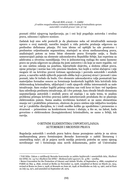poznati oblici njegovog ispoljavanja, pa i oni koji pogađaju autorska i srodna prava, odnosno i njihove nosioce.

Zadatak koji smo sebi postavili je da plasiramo neka od istraživačkih saznanja upravo o ovoj materiji, naročito imajući u vidu potrebu pružanja odgovora na prethodno definisana pitanja. Pri tom idemo od opštijih ka uže prostorno i predmetno orijentisanim segmentima, startujući sa nivoa međunarodnog prava, analizirajući potom za temu bitne elemente prava Evropske unije, u finalu usmeravajući pažnju na elemente zakonodavstva Republike Srbije, kao reperima za adekvatna a otvorena razmišljanja. Ovo iz jednostavnog razloga što samo kazneno pravo ne pruža odgovore na pitanja šta jeste autorstvo i do koje se mere reguliše, već se ono uistinu oslanja na posebnu, hijerarhiski slojevitu, a složenu oblast prava, njene principe i norme kao vrlo precizne blankete, bez kojih u većini slučajeva i nije moguće ići na krivično pravni tretman ugrožavanja i povreda autorskih i srodnih prava, a naročito nekih njihovih pojavnih oblika koji u pravnoj struci i javnosti i nisu poznati, iako bi trebalo da budu. Ove elemente zakonodavstva valja posmatrati kao materijalno formalne osnove za formiranje konkretnih logičkih bića krivičnih dela elektronskog kriminaliteta, uključujući i onih njegovih oblika interesantnih za naše istraživanje. Sam ovakav logički pristup uistinu nas vodi kroz tri faze: već ispoljenu fazu određenja predmeta istraživanja, ali i dve potonje, fazu obrade bitnih elemenata uspostavljanja autorskih i srodnih prava od značaja i za našu temu, te analizu problema pristupa krivično pravnoj zaštiti autorizovanih produkata što se plasiraju elektronskim putem. Samu analizu izvršićemo koristeći se ne samo elementima znanja već i praktičkim primerom, obzirom da pravo uistinu nije isključivo teorijska već je i praktička disciplina, te i vredi onoliko koliko ga upodobimo i prenesemo u stvarnost – primenimo na konkretnom terenu i slučaju, a što se, na žalost, kada govorimo o elektronskom (kompjuterskom) kriminalitetu, ne samo u Srbiji, tek razvija.

# O BITNIM ELEMENTIMA USPOSTAVLJANJA AUTORSKIH I SRODNIH PRAVA

Regulacija autorskih i srodnih prava kakvu danas poznajemo začeta je na nivou međunarodnog prava formiranjem Bernske konvencije o zaštiti literarnog i umetničkog rada4, ali je pojava novih medija proizvela potrebu ne samo njenog noveliranja<sup>5</sup> već i formiranja niza novih dokumenata, počev od Univerzalne

<sup>4</sup> Vidi bliže: Zakon o ratifikaciji Bernske konvencije za zaštitu književnih i umetničkih dela, *Službeni list SFRJ*, br. 14/75 i *Službeni list SFRJ - Međunarodni ugovori*, br. 4/86 – uredba.

<sup>5</sup> Berne Convention for the Protection of Literary and Artistic Works, of September 9, 1886, completed at PARIS on May 4, 1896, revised at Berlin on November 13, 1908, completed at Berne on March 20, 1914, revised at Rome on June 2, 1928, at Brussels on June 26, 1948, at Stockholm on July 14, 1967, and at Paris on July 24, 1971, and amended on September 28, 1979.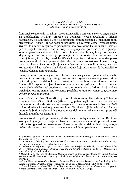konvencije o autorskim pravima6, preko Konvencije o osnivanju Svetske organizacije za intelektualnu svojinu<sup>7</sup> , praćene na domaćem terenu uredbom o njenoj ratifikaciji8, do Konvencije UN o elektronskim komunikacijama u međunarodnim ugovorima9. Takođe i za nas posebno značajnih legislativnih akata Evropske unije. Svi ovi dokumenti mogu da se posmatraju kao svojevrsne karike u lancu koje se pravno logički razvijaju jedna iz druge te dopunjavaju potrebna polja regulacije odnosa povodom autorskih dela i prava. Mada dobar broj njih nije formiran u digitalnoj eri u potpunosti je primenljiv i na autorska dela formirana: a.) kompjuterom, ili pak b.) zarad korišćenja kompjutera, pri čemu autorsko pravo tretiraju kao ekskluzivno pravo subjekta da autorizuje produkt svog intelektualnog rada na nivou države pod čijim je suverenitetom, te van njenih granica, jasno ga označavajući i kao poslovno zaštitićeni produkt koji autor može da komercijalno plasira, odnosno njime zarađuje.

Evropska unija, prema čijem pravu težimo da se usaglasimo, polazeći od u tekstu navedenih konvencija, dugi niz godina formira slojevite elemente pravne zaštite autorskih prava, paralelno: kroz niz obavezujućih pravnih akata formiranih na nivou Unije, ali i uspostavljanjem kazneno pravne zaštite poštovanja istih na nivou nacionalnih krivičnih zakonodavstava, kako *osnovnih*, tako, u jednom broju država razvijajući ovome namenjene elemente paralelno unutar *osnovnog* te *sporednog krivičnog zakonodavstva*.

Ona to čini polazeći od člana 288. Ugovora o funkcionisanju Evropske unije10, tokom vremena donoseći niz direktiva (više od 10), putem kojih precizira niz obaveza i zahteva od članica da iste ispune razvojem za to neophodne regulative, postižući tačno određene formalno pravne rezultate. Rezultate koji između država članica moraju da budu usaglašeni! Ova obavezujuća dokumenta valja analizirati poštujući hronologiju njihovog formiranja.

Vremenski ali i logički posmarano, startno mesto u našoj analizi zauzima Direktiva 91/250<sup>11</sup> kojom je uspostavljena obaveza državama članicama da pruže zakonsku zaštitu kompjuterskim programima. U samom uvodnom delu (alineji 16.) jasno je rečeno da se ovaj akt odnosi i na međuveze i interoperabilnost namenjenu za

<sup>6</sup> Universal Copyright Convention,•Signed at Geneva on 6th September 1952, United Nations - Treaty Series, No 2937, Year 1955.

<sup>7</sup> Convention Establishing the World Intellectual Property Organization, Signed at Stockholm on July 14, 1967 and as amended on September 28, 1979.

<sup>8</sup> Uredba o ratifikaciji Konvencije o osnivanju Svetske organizacije za intelektualnu svojinu, *Službeni list SFRJ - Međunarodni ugovori i drugi sporazumi*", br.: 31/1972, i *Službeni list SFRJ - Međunarodni ugovori*, br. 4/1986,- dr. uredba.

<sup>9</sup> Convention on the Use of Electronic Communications in International Contracts, United Nations, General Assembly, New York, 23 11 2005. United Nations Publication Sales No. E.07.V.2. ISBN 978-92-1- 133756-3.

<sup>10</sup> Consolidated versions of the Treaty on European Union and the Treaty on the Functioning of the European Union, *Official Journal of the European Union*, C 326, 26/10/2012 P. 0001 – 0390.

<sup>&</sup>lt;sup>11</sup> Council Directive 91/250/EEC of 14 May 1991 on the legal protection of computer programs, *Official Journal of the European Union*, L, 122, 17/05/1991 P. 0042 – 0046.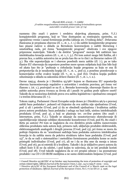razmenu (što znači i puteve i sredstva slojevitog plasmana, prim. V.J.) kompjuterskih programa, koji se "čine dostupnim za rentirajuću upotrebu, za ograničeno vreme i zarad formiranja profita (alineja 20. Uvodnog dela)". Državama članicama je propisana obaveza (čl. 1., st. 1., t. 1.) da zaštite kompjuterske programe kao pisane radove u skladu sa Bernskom konvencijom o zaštiti literarnog i umetničkog rada, pri čemu "kompjuterski program" obuhvata i sve njegove pripremne materijale. Takođe i da dotični "programi" moraju biti zaštićeni kao intelektualna kreacija autora (čl. 1., st. 1., t. 3.). Pri tom autori mogu biti fizička, ali i pravna lica, a zaštita autorstva im se pruža kao što se to čini i za literarne radove (čl. 3.). Šta više uspostavljaju se i obaveze posebnih mera zaštite (čl. 7.), pa se tako članice EU obavezuju da uspostave posebne mere spram subjekata koji čine bilo koji od akata kao što je "puštanje u cirkulaciju kopije programa za koju se zna ili pretpostavlja da je nezakonita kopija (čl. 7., st. 1., pod a), a posebno posedovanje u komercijalne svrhe ovakve kopije (čl. 7., st. 1., pod (b)). Ovakva kopija podleže oduzimanju u skladu sa zakonima države članice (čl. 7., st. 1., t. 2.).

Davne 1993.g. doneta je i Direktiva 93/98<sup>12</sup> kojom se članicama EU uspostavlja obaveza harmonizovanja regulative o autorskim i srodnim pravima, pri čemu već članom 1. (st. 1.), pozivajući se na čl. 2. Bernske konvencije, obavezuje članice da se zaštite autorska prava tvoraca za života ali i punih 70 godina posle njihove smrti! Takođe da se nosiocima dotičnih prava ova zaštita legislativno i ujednačeno omogući i u trećim državama (čl. 7.).

Tokom 1996.g. Parlament i Savet Evropske unije doneo je i Direktivu 96/9 o pravnoj zaštiti baza podataka13, polazeći od činjenice da ova zaštita nije ujednačena (Uvod, pod 1) ali i potrebe (Uvod, pod 2) da se obezbedi ujednačena i kvalitetna zaštita prava autora produkata: baza podataka i usluga na bazi istih, uistinu intelektualnih produkata (Uvod, pod 4), a koji se plasiraju tzv. *on-line* putem (što znači i internetom, prim. V.J.). Takođe se ukazuje da neautorizovano ekstrahovanje ili upodobljavanje iskazuje ozbiljne ekonomske konsekvence (Uvod, pod 8), što znači i štetu po autora! Pri tom se naglašava da ova direktiva pruža zaštitu raznovrsnim oblicima produkata rada autora koji, primera radi, uključuju produkte elektronskih, elektromagnetnih analognih i drugih procesa (Uvod, pod 13), pri čemu se mora da poštuje činjenica da su "aranžmani sadržaja baza podataka autorova intelektualna kreacija te da zaštita mora da pokriva strukturu takve baze podataka (Uvod, pod 15)", te da se radi o sistematično i metodično formiranom produktu kome se može pristupiti individualno (Uvod, pod 17), ali ne i da se išta sme da menja u istom (Uvod, pod 16), pa ni estetski ili u kvalitetu. Takođe i da je isključivo pravo autora da odluči hoće li ili ne da odobri, i pod kojim to uslovima, da se isti produkt koristi (Uvod, pod 18). Uvod takođe naglašava da se ovi propisi odnose i na posmatrane produkte i na CD i CD-ROM medijima a ne samo elektronskim linijama (Uvod, pod

<sup>12</sup> Council Directive 93/98/EEC of 29 October 1993 harmonizing the term of protection of copyright and certain related rights, *Official Journal of the European Union,* L 290 , 24/11/1993 P. 0009 – 0013.

<sup>13</sup> Directive 96/9/EC of the European Parliament and of the Council of 11 March 1996 on the legal protection of databases, *Official Journal of the European Union*, No L 77/20 EN 27. 3. 1996.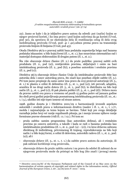22). Jasno se kaže i da je isključivo pravo autora da odredi: put (način) kojim se njegov proizvod koristi, i ko ima pravo i pod kojim uslovima da ga koristi (Uvod, pod 30), da sprečava ili ne ekstrakciju dela ili reutilizaciju celog ili dela ovog inelektualnog proivoda (Uvod, pod: 41 i 42),odnos prema pravu na transmisiju proizvoda linijom ili linijama (Uvod, pod 43).

Otuda Direktiva 96/9 o pravnoj zaštiti baza podataka uspostavlja brigu nad bazama podataka iskazanim: u bilo kojoj formi (čl. 1., st. 1.), kao nezavistan sistematičan rad i materijal dostupan elektronskim ili drugim putem (čl. 1., st. 2.).

Šta više obavezuje države članice (čl. 2.) da pruže podršku: pravnoj zaštiti ovih produkata (čl. 2., pod (a)), rentijerskim pravima, uključujući i onim na bazi intelektualnog proizvoda (čl. 2., pod (b)), a posebno autorskim i srodnim pravima  $(čl. 2., pod(c)).$ 

Direktiva 96/9 obavezuje države članice Unije da intelektualne proizvode štite kao autorska dela i osnov autorskog prava, što znači kao poseban objekt zaštite (čl. 3.). Pri tom jasno propisuje da samo autor ima pravo da svoj proizvod autorizuje (čl. 5., st. 1.) te plasira u celini ili delimično (čl. 5., st. 1., pod (a)), isti prevodi, adaptira, aranžira ili na drugi način dotera (čl. 5., st. 1., pod (b)), te distribuira na bilo koji način (čl. 5., st. 1., pod (c)), ili pak plasira publici (čl. 5., st. 1., pod (d)). Država mora da pravno zaštiti ova prava u vremenu od punih 15 godina počev od januara godine što sledi prvoj godini pojavljivanja posmatranog intelektualnog proizvoda (čl. 10., st.: 1. i 3.), ukoliko isti nije trpeo izmene od strane autora.

1998. godine doneta je i Direktiva 2001/29 o harmonizaciji izvesnih aspekata autorskih i srodnih prava u informacionom društvu (naslov i čl. 1., st. 1., t. 1.)14, možda i najznačajnija za temu kojom se bavimo. Tekst koji pre svega detaljnije razrađuje jedan broj već ranije regulisanih pitanja, pa i menja izvesne njihove ranije formirane pravne elemente (vidi čl.: 11. i 12.). Pri tom se:

- pruža zaštita: samim programima (kao autorskim delima), ali i rentalnim pravima po osnovu autorstva, a takođe i kada se radi o bazama podataka kao intelektualnim produktima (čl. 1., st. 2., pod: (a) – (e)), i to kroz državnu zabranu direktnog ili indirektnog, privremenog ili trajnog, reprodukovanja na bilo koji način i u bilo kojoj formi, u celini ili delovima, autorskih radova (čl. 1., st. 2., pod: (a)), ali i
- obavezuju države (čl. 3., st. 1., t. 1.) da zaštite pravo autora da autorizuje, ili pak zabrani korišćenje svog proizvoda,
- obavezuju države da pruže zaštitu autoru i na pravo da odobri ili zabrani da se njegovom proizvodu može da pristupi sa bilo kog (što znači i javnog) mesta

<sup>14</sup> Directive 2001/29/EC of the European Parliament and of the Council of 22 May 2001 on the harmonisation of certain aspects of copyright and related rights in the information society, *Official Journal of the European Union*, L 167 , 22/06/2001 P. 0010 – 0019.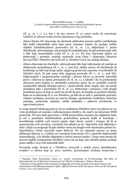(čl. 3., st. 1., t. 2.), kao i da (po osnovu čl. 4.) autor može da autorizuje (odobri) ili zabrani svaku formu plasmana svog produkta,

- države članice EU obavezuju da obezbede adekvatnu pravnu zaštitu zaobilaženja bilo kojih tehnoloških mera koje autor razumno smatra da pružaju zaštitu objektu ((intelektualnom proizvodu) (čl. 6., st. 1.)), uključujući i: protiv distribucije, advertajzinga radi prodaje ili iznajmljivanja, ili pak posedovanja istih u bilo koje komercijalne svrhe (čl. 6., st. 2.). Pri tom obavezuje države na poštovanje i primenu *mutatis mutandis* ovog člana i elemenata Directive 92/100/EEC i Directive 96/9/EC.(čl. 6. Direktive 2001/29, zadnja alineja),
- države obavezuju da obezbede: odstranjivanje bilo koje informacije od značaja za elektronski menadžment (čl. 7., st. 1., pod (a)), zaštitu autora od distribucije ili korišćenja na bilo koji drugi način: njegovog proizvoda suprotno ovoj direktivi ili Direktivi 96/6, ili pak samo dela njegovog proivoda (čl. 7., st. 1., pod (b)). Odgovarajuće i proporcionalne sankcije i pravne lekove za povrede autorskih prava i obaveza sa njima povezanim (čl. 8., st. 1.), a takođe i da će preduzimati obavezne mere kojima će obezbediti nosiocima prava da se: produkti ovakvih nezakonitih delanja (kršenja prava), i proizvedenih štete uzapte, kao od samih počinilaca tako i posrednika (čl. 8., st. 2.). Poštovanje i primenu i svih drugih produkata prava za koje se može da utvrdi da jesu od značaja za predmet (slučaj), kako na to obavezuje čl. 9. ove Direktive, pa bilo da se radi o: patentnim pravima, robnim markama, pravima po osnovu dizajna, upotrebnim modelima, uslovima pristupa, poslovnim tajnama, zaštiti podataka i njihovoj privatnosti, te ugovornom pravu.

Iz svega napred izloženog jasno je da se analizirana Direktiva 2001/29 odnosi na sve vrste produkata od značaja u informacionom društvu, što znači i na takozvane WEB proizvode. Pri tom kada govorimo o WEB proizvodima moramo da naglasimo kako je reč o posebnim intelektualnim proizvodima pomoću kojih se formiraju i koordiniraju različiti *web resursi* poput: *style sheets*, *scripts* i *images*, da bi se prezentovala *web stranica*, a koristeći istu plasira se tzv. *hipertekst*, koji uključuje u sebi i: liniju za navigaciju ili pak *sidebar menu* ka drugim web stranicama putem tzv. *hiperlinkova* (često nazvanih samo *linkovi*). Svi ovi elementi pravno su jasno definisani članom 11. u tekstu već navedene Konvencije UN o upotrebi elektronskih komunikacija, a do detalja objašnjeni u okviru pravne nauke15. Jasno nam kazuju da pravno-logičke komponente Direktive 2001/29 na koje smo obratili pažnju pružaju punu zaštitu i ovoj vrsti autorskih dela!

Evropska unija donela je i Direktivu 2004/48 o zaštiti prava intelektualne svojine<sup>16</sup> u okviru koje je: prvo *načelno*, precizirajući (rednim brojevima i

<sup>15</sup> Polanski, Paul, Przemyslaw (June 5-7, 2006): Convention of E-Contracting: The Rise of International Law of Electronic Commerce? 19th Blend e Conference, eValues, Slovenia.

<sup>16</sup> Directive 2004/48/EC of the European Parliament and of the Council of 29 April 2004 on the

enforcement of intellectual property rights, *Official Journal of the European Union of the European Union*, L 157, of 30 April 2004.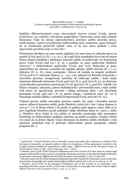logičkim diferenciranjem) svoje obavezujuće stavove unutar Uvoda, potom *predmetno* i *po zadatku*, odvojenim poglavljima i članovima, jasno dala zadatak članicama Unije da unutar zakonodavstava precizno zaštite autorska prava, među kojima i autora na područiju elektronskog rada i plasmana, jasno kazujući da su intektualni proizvodi takođe roba, te da kao takva podleže i svim ugovornim pravilima koje se tiču iste<sup>17</sup> .

Posmatrana Direktiva na samo startu naglašava da autor ima sva zakonita prava na zaradu (Uvod, pod (2) i čl: 1. i 2., st.1.), što znači da je neophodno da se isto od strane država članica detaljnije i adekvatno zakonski zaštiti, uz poštovanje već formiranog prava Unije (Uvod, pod (3) i čl. 3), a posebno uz puno poštovanje Direktive 2000/31<sup>18</sup> o elektronskom poslovanju (Uvod, pod (15)). Državama je jasno uspostavljen niz obaveza a posebno da regulišu pitanja: opštih obaveza (čl. 1. i 2.), činjenica (čl. 6.- 8.), mera, postupaka i lekova od značaja za moguće predmete (Uvod, pod (17) i elementi članova: 3. - 13.), a da, polazeći od Bernske konvencije o autorskim pravima, omogućavaju autorima da zahtevaju zaštitu i kada imaju minimum dokaznih elemenata (Uvod, pod (19) i čl. 5., pod (a) te čl. 6.), ne obavezno i proceduralno sprovedenu autorizaciju (Uvod, pod (19) i čl. 5., pod (b)). Takođe i da države omoguće, zakonima, putem bezbednosnih i privremenih mera, svaku zaštitu ovih prava od ugrožavanja, povreda i daljeg nanošenja šteta i pre okončanja postupaka (Uvod, pod (24) i čl. 9), putem naloga i korektivne mere (čl. 10) te donošenja sudskih odluka o zakonitoj kompenzaciji (Uvod, pod (26) i čl. 13.).

Trajnost pravne zaštite autorskim pravima uopšte, što znači i formalno pravne osnove njihovoj kaznenoj zaštiti, pruža Direktiva 2006/11619, kao i njena dopuna iz 2011.g.20, i to za života autora i do punih 70 godina posle njegove smrti, kako je to prva regulisala Direktiva 93/98, poštujući i dalje odrednice člana 10., stava 1., tačke 3. Direktive 96/9, kojim je ova zaštita za autorska neestradna dela namenjena korišćenju na elektronskim medijima zadržana na punih 15 godina. Drugim rečima ovo znači da su države članice Unije obavezane da dotičnu zaštitu obezbede i svim autorima produkata koji se plasiraju elektronskim putem (programi, uslužni programi itd...).

<sup>17</sup> 94/800/EC: Council Decision (of 22 December 1994) concerning the conclusion on behalf of the European Community, as regards matters within its competence, of the agreements reached in the Uruguay Round multilateral negotiations (1986-1994), *Official Journal of the European Union of the European Union*, L 336 , 23/12/1994, pp. 0001 – 0002.

<sup>18</sup> Directive 2000/31/EC of the European Parliament and of the Council of 8 June 2000 on certain legal aspects of information society services, in particular electronic commerce, in the Internal Market (Directive on electronic commerce), *Official Journal of the European Communities*, L 178, 17.7.2000 EN

<sup>19</sup> Directive 2006/116/EC of the European Parliament and of the Council of 12 December 2006 on the term of protection of copyright and certain related rights (codified version)*, OJ,* L 372, 27.12.2006, p. 12–18.

<sup>&</sup>lt;sup>20</sup> Directive 2011/77/EU of the European Parliament and of the Council of 27 September 2011 amending Directive 2006/116/EC on the term of protection of copyright and certain related rights, *Official Journal of the European Union*, L 265, 11, 10, 2011.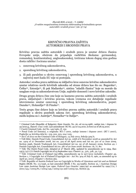# KRIVIČNO PRAVNA ZAŠTITA AUTORSKIH I SRODNIH PRAVA

Krivično pravna zaštita autorskih i srodnih prava je unutar država članica Evropske unije, obzirom da pripadaju različitim školama: germanskoj, romanskoj, kontinentalnoj, anglosaksonskoj, tretirana tokom dugog niza godina dosta raličito i locirana unutar:

- 1. osnovnog krivičnog zakonodavstva,
- 2. sporednog krivičnog zakonodavstva,
- 3. ili pak paralelno u okviru osnovnog i sporednog krivičnog zakonodavstva, u najvećoj meri kada EU nije ni postojala.

Autorska i srodna prava zaštićena su isključivo kroz osnovno krivično zakonodavstvo unutar relativno novih krivičnih zakonika od strane država kao što su: Bugarska<sup>21</sup>, Češka22, Estonija23, ili pak Mađarska24, uistinu "mladih članica" koje su morale da usaglase svoja sa zakonodavstvom Unije, najčešće donoseći i nove krivične zakonike.

Drugu grupu država čine one koje su kazneno pravnu zaštitu autorskih i srodnih prava, uključujući i krivično pravnu, tokom vremena sve detaljnije regulisale istovremeno unutar osnovnog i sporednog krivičnog zakonodavstva, poput: Danske25, Holandije<sup>26</sup> ili Finske<sup>27</sup> .

Treću grupu čine države koje su krivično pravnu zaštitu autorskih i srodnih prava regulisale u okviru posebnih zakona (tzv. sporednog krivičnog zakonodavstva), među kojima su i: Austrija<sup>28</sup>, Nemačka<sup>29</sup> te Italija<sup>30</sup>.

<sup>21</sup> Criminal Code (Republic of Bulgaria), *State Gazette*, No. 26, od 02.04.1968., zadnje izm. i dopune br 32/2010.g., članovi: 172a i 172b. Last amendment SG No. 32/27.04.2010, in force as of 28.05.2010.

<sup>22</sup> Czech Criminal Code, Act No. 140/1961, čl. 152.

<sup>23</sup> Penal Code (of Estonia), u originalu: RT1 I 2001, zadnje izmene i dopune 2007. (RT I 2007), Poglavlje 14, krivična dela br.: 219, 222, 223, 224 i 225.

<sup>24</sup> Act C of 2012 on the Criminal Code of Hungary, 13 July 2012, Sekcija 329/A.

<sup>25</sup> Vidi bliže: Danish Penal Code, Consolidated Act no. 1068 of 6 November 2008 as amended by Act no. 1404 of 27 December 2008, Act no. 319 of 28 April 2009 and Act no. 501 of 12 June 2009, Section 299b, Danish Trademark Act, Consolidated Act no. 90 of 28 January 2009, Section 42, i Danish Copyright Act, Consolidated Act no. 587 of 20 June 2008. Sections: 76, 77, 80.

<sup>&</sup>lt;sup>26</sup> Vidi: The Dutch Penal Code, Adopted at 3<sup>rd</sup> March 1881, updated by amendments up to 1994, član: 23(3), (4) i (7) i Dutch Copyright Act of 23 September 1912. Članovi: 31., 31A., 31B., 32. i 33.

<sup>27</sup> Vidi: Criminal Code of Finland (39/1889, amendments up to 927/2012 included), Chapter 49, Section 1, i Copyright Act of Finland (Copyright Act - Act No. 404 of July 8, 1961, as amended up to April 30, 2010), Chapter 7, Section 56a.

<sup>28</sup> Vidi: Republic of Austria Federal Law on Copyright in Works of Literature and Art and on Related Rights (BGBl. No. 111/1936, as last amended [BGBl. I No. 25/1998]), Section 91, i Austrian Design Law 1990 Austrian Design Law 1990, *Federal Law Gazette*: 1990/497 as amended by 1992/772, I 2001/143, I 2003/81, I 2004/149, I 2005/131 and I 2005/151, Section 35.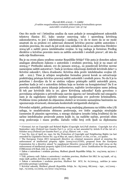Ono što može već i letimična analiza da nam pokaže je neusaglašenost zakonskih tekstova članica EU, kako unutar osnovnog tako i sporednog krivičnog zakonodavstva, to jest i inkriminacija i sankcija, i to do te mere da se ne može smatrati da su pruženi svi zahtevani elementi krivično pravne zaštite autorskim i srodnim pravima, što znači da još uvek nisu usklađeni čak ni sa zahtevima Direktive 2004/48 o zaštiti prava intelektualne svojine. Iz tog razloga je formiran Predlog direktive o krivično pravnim mera za zaštitu autorskih i srodnih prava31, ali ista do sada nije finalizovana.

Šta je na ovom planu urađeno unutar Republike Srbije? Više puta je donošen zakon analogan aktuelnom Zakonu o autorskim i srodnim pravima, koji je na snazi od 2009.g.<sup>32</sup> Prethodni zakoni, sve do januara 2005.g., su posedovali krivične norme namenjene zaštiti autorstva33. Tada je izvršeno relociranje dotičnih krivičnih dela<sup>34</sup> u Krivični zakonik35, Glavu dvadesetu: Krivična dela protiv intelektualne svojine (čl. 198. - 202.). Time je učinjen neophodan formalno pravni korak za ostvarivanje praktičnijeg pristupa krivično pravnoj zaštiti autorskih i srodnih prava. No da li je to potrebno i dovoljno da bi se uistinu valjano pristupilo zaštiti autorskih prava, posebno kada je reč o autorskim delima koja se koriste na kompjuterima? Da li se povreda autorskih prava iskazuje jednostavno, najčešće izvršavanjem samo jednog ili tek par krivičnih dela iz 20. glave Krivičnog zakonika? Kada govorimo o povredama učinjenim u privređivanju sasvim sigurno ne! Istraživački rad omogućio nam je da sagledamo najčešće moduse ispoljavanja ove podvrste kriminaliteta. Probleme ćemo pokušati da objasnimo služeći se izvesnim saznanjima baziranim na upoznavanju stvarnosti, elemenata konkretnih intrigantnih slučajeva.

Privredni subjekti, pritisnuti potrebama svog snažnijeg plasmana na tržištu roba i/ili usluga, te neadekvatnim obimom poslovanja, sve češće angažuju stručnjake (usmenim ili pisanim ugovorima, u mnogo slučajeva izrazito lošeg kvaliteta) da im sačine intelektualne proizvode putem kojih će, na različite načine, povećati obim svog poslovanja i masu profita. Začudo veliki broj ovih ljudi sa diplomama

<sup>29</sup> (German) Act on Copyright and Related Rights (Copyright Act).Full citation: Copyright Act of 9 September 1965 (Federal Law Gazette Part I, p. 1273), as last amended by Article 8 of the Act of 1 October 2013 (Federal Law Gazette Part I, p. 3714), članovi: 106. – 111a.

<sup>30</sup> Law No. 633 of April 22, 1941, for the Protection of Copyright and Neighboring Rights (as last amended by Legislative Decree No. 154 of May 26, 1997), članovi: 171 bis, 171 ter., 171 quater.

<sup>31</sup> The European Union (EU) (proposed) directive on criminal measures aimed at ensuring the enforcement of intellectual property rights (2005/0127/COD), proposal from the European Commission for a directive aimed "to supplement Directive 2004/48/EC of 29 April 2004 on the enforcement of intellectual property rights (Civil enforcement)". Izvor: Justification for the proposal, COM(2005) 276 final, July 12, 2005.

<sup>32</sup> Zakon o autorskom i srodnim pravima, Službeni glasnik Republike Srbije, br.: 104/2009, 99/2011 i  $110/2012$ 

<sup>33</sup> Vidi, primera radi: Zakon o autorskom i srodnim pravima, *Službeni list SRJ*, br 24/1998., od 15. maja 1998. godine, krivična dela unutar čl.: 182.- 186.

<sup>34</sup> Zakon o autorskom i srodnim pravima, *Službeni list SCG*, br. 61/2004.g., zadržao je samo privredne prestupe i prekršaje.

<sup>35</sup> Krivični zakonik, *Službeni glasnik Republike Srbije*, br.: 85/2005, 88/2005 - ispr., 107/2005 ispr., 72/2009, 111/2009, 121/2012 i 104/2013.g.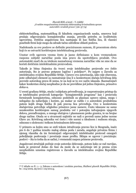elektrotehničkog, matematičkog ili fakulteta organizacionih nauka, smerova koji pružaju odgovarajuća kompjuteraška znanja, previđa potrebu za kvalitetnim ugovorima. Dotična angažovana lica nastupaju ili kao fizička lica, ili vlasnici posebnih firmi koje mogu da odrade tačno određene oblasti poslova.

Nadoknada za ove poslove se definiše preciziranom sumom, ili procentom obrta koji će se ostvariti korišćenjem intelektualnog proizvoda.

Unutar ovih ugovora veoma često je jasno definisano u kom vremenskom rasponu subjekt naručilac posla ima pravo da upotrebljava produkt. Ovo automatski znači da sa istekom naznačenog vremena naručilac više ne sme da se koristi dotičnim intelektualnim proizvodom.

Takođe je bitna činjenica da tvorci svoje intelektualne proizvode sve češće autorizuju, što je pravno potpuno logično i poželjno36. Po najpre u Zavodu za intelektualnu svojinu Republike Srbije. Upravo ova autorizacija, iako nije obavezna, jeste odlučujući element za razmatranje ima li u konkretnom slučaju krivičnog dela povrede autorskog prava ili nema, te na koji se to sve način iskazala. Razmatrajući kakav konkretan slučaj neophodno je da ne previdimo još jednu činjenicu, prisustvo *dolus*-a.

U svesti građana Srbije, otuda i subjekata privređivanja, je rasprostranjen pristup da se intelektualni proizvodi kategorije: "kompjuterskih programa" kao i proizvoda formiranih kompjuterima, odnosno podobnih za plasman upravo njima, mogu i nelegalno da nabavljaju i koriste, pa makar se radilo i o autorskim produktima putem kojih druga fizička ili pak pravna lica privređuju. Ovo u konkretnim slučajevima potvrđuje očigledno prisutsvo jasne namere. Često iskazane ne samo nezakonitim korišćenjem samog produkta već i potonjim izdvajanjem njegovih delova, prerađivanjem, u mnogo slučajeva i plasmanom preko granica, te na brojne druge načine. Otuda se u stvarnosti najčešće ne radi o povredi samo jedne norme Glave 20. Krivičnog zakonika već često i više normi u idealnom i realnom sticaju, odnosno o složenom i teškom kriminalnom delovanju.

U primeru sa kojim smo se sreli tokom istraživanja pravno lice iz Beograda, inače pre 6 do 7 godina izrazito malog obima posla i zarada, angažuje privatnu firmu i njenog vlasnika da im formirajući odgovarajući intelektualni proizvod omogući poboljšanje poslovanja i povećanje mase profita. Sklapa se ugovor i preciziraju: poslovi – šta to treba da se sačini, i vremenski raspon primene proizvoda.

Angažovani stručnjak počinje svoje autorsko delovanje, potom kako se rad razvijao, kada je proizvod došao do faze da može da se autorizuje isti je prema svim neophodnim uzusima registrovan u Zavodu za intelektualnu svojinu Republike Srbije.

<sup>36</sup> U skladu sa čl.: 1.- 5. Zakona o autorskom i srodnim pravima, *Službeni glasnik Republike Srbije*, br.: 104/2009, 99/2011 i 119/2012.g.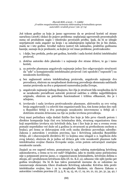Još tokom godine za koju je jasno ugovoreno da se proizvod koristi od strane naručioca (2008.) dolazi do pojave problema: neplaćanja ugovorenih procentualnih suma od produktom naglo i višestruko povećanih profita. Ipak, da bi se izbegle neprijatnosti suda angažer na kraju i sa zakašnjenjem isplaćuje što je bio dužan, mada ne i iste godine. Izvođač radova (autor) tek naknadno, praktično godinama kasnije, saznaje da je preduzeće, sa kojim je već imao probleme, protivzakonito:

- 1. i dalje, bez prekida, preko pet godina, koristilo i sada koristi dotični intelektualni proizvod,
- 2. dotično autorsko delo plasiralo i u najmanje dve strane države, te ga i tamo koristi,
- 3. za potrebe plasmana angažovalo najmanje jedno lice odgovarajuće stručnosti da "uđe" u kompjuteraški intelektualni proizvod i isti upodobi ("osposobi") za nezakonito korišćenje,
- 4. bez saglasnosti autora intelektualnog proizvoda, angažovalo najmanje dva prevodioca, obzirom na neophodnost doslovnog prevođenja elemenata sadržanih unutar proizvoda na dva u potpunosti raznorodna jezika Evrope,
- 5. angažovalo najmanje jednog dizajnera, lice čija je stručnost bila neophodna da bi se nezakonito prerađivani autorski proizvod zadržao u obliku najpribližnijem originalu, obzirom na potrebnu funcionalnost i tržišnu efikasnost, što je i učinjeno,
- 6. izvršavalo i sada izvršava protivzakonite plasmane, aktivnošću za ovo većeg broja angažovanih i u celoviti tim organizovanih lica, tim kome jedan deo radi u Republici Srbiji a dva postupaju nezakonito istovremeno u Srbiji ali i dotičnim stranim državama na čije su jezike izvršena prevođenja.

Ovoj masi počinilaca valja dodati fizičko lice koje je bilo prvo vlasnik potom i direktor kompanije koja čini ova kriminalna dela, stvarnog organizatora tima koji neprekidno izvršava niz krivičnih dela, kao i lice koje je mu u svemu ovom pomaže neprekidno već duže od 5 godina (u stvarnosti sa prethodnom osobom u braku), pri čemu se delovanjem svih ovih osoba direktno povređuju odredbe: Zakona o autorskim i srodnim pravima, kao i Krivičnog zakonika Republike Srbije, ali i obavezujućih direktiva EU (o kojima smo izlagali u 2. logičkom delu ovog teksta), obzirom da je jedna od država gde vrše nezakoniti plasman tuđe intelektualne svojine članica Evropske unije, ovim putem ostvarujući značajne nezakonite zarade.

Znajući za sve napred rečeno, posmatrano iz ugla važećeg materijalnog krivičnog zakonodavstva, o čemu se to sve radi? Očigledno, iako to možda samo počiniocima nije u potpunosti pravno jasno, o: organizovanom kriminalitetu, krivičnim delima u sticaju, ali i produženom krivičnom delu (čl. 61. K.Z.-a), odnosno više njih (preko pet godina izvođenja). Da bi ih kao takva posmatrali moramo da se oslonimo na razumevanje elemenata Glave dvadesete Krivičnog zakonika: Krivična dela protiv intelektualne svojine, kao i za to neophodne blankete, niz članova Zakona o autorskim i srodnim pravima (čl. 3, 5, 8, 14, 15, 16, 17, 19, 20, 21, 22, 30, 31, 34, 42, i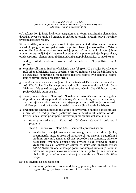70), zakona koji je inače kvalitetno usaglašen sa u tekstu analiziranim elementima direktiva Evropske unije od značaja za zaštitu autorskih i srodnih prava. Krenimo izvesnim logičkim redom.

Firma izvršilac, odnosno njen vlasnik i njen generalni direktor su u vremenu poslednjih pet godina postupali direktno suprotno obavezujućim odredbama Zakona o autorskim i srodnim pravima koje pružaju punu zaštitu moralnim i materijalnim pravim autora, uključujući i autora kompjuterskim putem sačinjenih produkata, otuda suprotno i elementima Krivičnog zakonika Republike Srbije, i to tako što su:

- 1. se dogovorili da nezakonito iskoriste tuđe autorsko delo (čl. 345. KZ-a Srbije), pri tom,
- 2. organizovali tim za izvršenje krivičnih dela (čl. 346. KZ-a Srbije: Udruživanje radi vršenja krivičnih dela), preciznije tim od najmanje šest fizičkih lica koja će izvršavati konkretne a međusobno različite radnje ovih delikata, radnje koje zahtevaju znanja različitih struka,
- 3. angažovali operatera na kompjuteru i za izvršenje krivičnog dela iz stava 1. člana 198. KZ-a Srbije - Stavljanje u promet pod svojim imenom – uistinu lažnim Copy Right-om, dela sa već pre toga zakonito i tačno određenim Copy Right-om, to jest proizvoda čiji je autor poznat,
- 4. stava 3. u vezi stava 1. člana 199. (Neovlašćeno iskorišćavanje autorskog dela ili predmeta srodnog prava), iskorišćavajući bez odobrenja od strane autora, i za to sa njim neophodnog ugovora, njegov po svim pravilima jasno autorski zaštićeni proizvod (u Zavodu za intelektualnu svojinu Republike Srbije),
- 5. organizujući tehnički neophodnu grupu za izvršavanje napred navedenih kao i niza drugih radnji zarad postizanja svojih nezakonitih ciljeva, otuda i krivičnih dela, jasno pristupajući izvršavanju radnji niza delikata, i to iz:
	- stava 3. u vezi stava. 1 člana 298. (Oštećenje računarskih podataka i programa), i
	- stava 3. u vezi stava 1. člana 301. (Računarska prevara), jer su:
		- neovlašćeno menjali elemente autorovog rada na srpskom jeziku, programerski unete u proizvod (protivno čl. 31. Zakona o autorskim i srodnim pravima), zamenjujući tekst prevodom na rumunski, odnosno ruski jezik (dva puta učinjeno isto krivično delo), proizvodu znatne vrednosti [koja u konkretnom slučaju sa kojim smo upoznati prelazi 3000.000 (tri miliona) dinara po godini korišćenja], čime su ga na tim it adresama, linijama i u okviru brošura učinili neupotrebljvim u izvornom obliku, što je krivično delo iz stava 3. u vezi stava 1. člana 298. KZ.-a Srbije,
- a što se odvijalo na sledeći način:
	- 1. najmanje jedna od osoba iz dotičnog pravnog lica iskazala se kao organizator grupe koja će izvršavati krivična dela,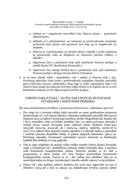- 2. nađeni su i angažovani prevodioci kao članovi grupe pomoćnici admistratoru,
- 3. uključio se i administrator na računaru za protivzakonito menjanje proizvoda koji njemu niti pravnom licu koje ga je angažovalo ne pripada,
- 4. delovao je i profesionalac za obradu teksta a takođe i osoba zadužena za poznavanje rada sa dizajnom na računaru (uistinu tuđim), a takođe i
- 5. odgovorno lice u preduzeću koje pod matičnom firmom posluje u zemlji članici EU (konkretno Rumuniji), i
- 6. odgovorno lice (drugo fizičko lice) u preduzeću koje pod matičnom firmom posluje u drugoj stranoj državi (Ukrajini),
- 6. te su time timski vršile i neprekidno vrše i radnje iz članova 298. i 301. Krivičnog zakonika, čime jasno i protivzakonito pogađaju vlasnika autorskih prava (krivično pravno zaštićenih), zbog čega se kako organizator tako i svi članovi tima mogu da smatraju krivično odgovornim te je logično da se za ovo kriminalno delanje izvrši odgovarajući krivični progon.

# UMESTO ZAKLJUČAKA – NA ŠTA NAS UPUĆUJE IZUČAVANJE STVARNOSTI I DOSTUPNIH PRIMERA?

Šta nam istraživanjem utvrđeno, a primerom ilustrovano, i objašnjeno govori?

- 1. Pre svega da o stvarnoj velikoj težini povrede ne samo prethodnim primerom ilustrovanog već i svih njemu sličnih a zakonima zaštićenih autorskih dela govori činjenica da je za njihovo formiranje potrebno uložiti višegodišnji rad. Samim tim i da je razumljivo zašto su dotični produkti, kao i sa njima povezana autorska i srodna prava, unutar Evropske unije zaštićeni nizom direktiva (1991/250, 1993/98, 2001/29, 2004/48, ali i 2009/24, 1996/9, 1998/84, 2006/116 te 2011/77) a njihovi bitni elementi uistinu ugrađeni i u aktuelni Zakon o autorskim i srodnim pravima Republike Srbije, te putem njegovih elemenata i glavu 20. Krivičnog zakonika, formirajući materijalno pravne elemente za finalizaciju logičkih bića delikata iz ovog poglavlja.
- 2. Više je nego očigledno da postoji velika razlika između država članica Evropske unije u formalnom ali i pratktičkom pristupu zaštiti autorskih dela, a posebno onih formiranih kompjuterskim putem. Naročito ukoliko se ne radi o programima u užem smislu već svim drugim proizvodima formiranim kompjuterskim putem. Upravo je to i bio razlog niza direktiva koje su se nastavljale jedna na drugu, razrešavajući, između ostalih, upravo i ovaj problem.
- 3. Države EU, iako poštuju zahteve direktiva još uvek nisu odgovorile na one iz Direktive 2004/48 a koji se odnose na usklađivanje krivično pravne zaštite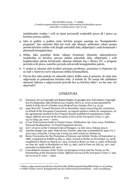intelektualne svojine i svih sa njom povezanih svojinskih prava ali i prava na krivično pravnu zaštitu.

- 4. Iako iz godine u godinu raste krivični progon nasrtaja na "kompjuterske programe" kao autorska dela još uvek nije iskazan adekvatan odnos prema potrebi krivične zaštite svih drugih autorskih dela, uključujući i onih formiranih i plasiranih kompjuterima.
- 5. Srbija, iako poseduje dosta valjano formirane elemente zakonodavstva neophodne za krivično pravnu zaštitu autorskih dela, uključujući i svih kopjuterskim putem formiranih, iskazuje slabosti, kao i članice EU, u progonu povreda ovih prava, naročito povreda ostvarenih kompjuteskim putem.
- 6. U praksi je iskazan slab kvalitet pristupa problemu, proizašao iz činjenice da se radi o relativno novo iskaznom obliku kriminaliteta.
- 7. Pravna lica, iako postoje svi zakonski uslovi, koliko nam je poznato, do sada nisu odgovarala za posmatrana krivična dela. A trebalo bi. Ne smeju biti zabilaženi elementi Zakona o odgovornosti pravnih lica za krivična dela37, na šta smo već ukazivali38.

# LITERATURA

- (1) (German) Act on Copyright and Related Rights (Copyright Act). Full citation: Copyright Act of 9 September 1965 (*Federal Law Gazette, Part I*, p. 1273), as last amended by Article 8 of the Act of 1 October 2013 (*Federal Law Gazette, Part I*, p. 3714).
- (2) 1994/800/EC: Council Decision (of 22 December 1994) concerning the conclusion on behalf of the European Community, as regards matters within its competence, of the agreements reached in the Uruguay Round multilateral negotiations (1986- 1994), *Official Journal of the European Union of the European Union*, L 336 ,  $23/12/1994$ , pp. 0001 – 0002.
- (3) A Law Enforcement Guide to Postal Crimes. Publication 146. June 2004. Publisher: National Headquarters. Us Postal Inspection Service.
- (4) Act C of 2012 on the Criminal Code of Hungary, 13 July 2012, Sekcija 329/A.
- (5) Austrian Design Law 1990, *Federal Law Gazette*: 1990/497 as amended by 1992/772, I 2001/143, I 2003/81, I 2004/149, I 2005/131 and I 2005/151, Section 35.
- (6) Berne Convention for the Protection of Literary and Artistic Works, of September 9, 1886, completed at PARIS on May 4, 1896, revised at Berlin on November 13, 1908, completed at Berne on March 20, 1914, revised at Rome on June 2, 1928, at Brussels on June 26, 1948, at Stockholm on July 14, 1967, and at Paris on July 24, 1971, and amended on September 28, 1979.
- (7) Consolidated versions of the Treaty on European Union and the Treaty on the Functioning of the European Union, *Official Journal of the European Union*, C 326,  $26/10/2012$  P. 0001 – 0390.

<sup>37</sup> Zakon o odgovornosti pravnih lica za krivična dela, *Službeni glasnik Republike Srbije*, br. 97/2008.g.

<sup>38</sup> Joldžić Vladan (2007): Kompjuterski kao deo elektronskog kriminaliteta – neka razmišljanja.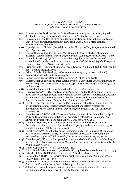- (8) Convention Establishing the World Intellectual Property Organization, Signed at Stockholm on July 14, 1967 and as amended on September 28, 1979.
- (9) Convention on the Use of Electronic Communications in International Contracts, United Nations, General Assembly, New York, 23 11 2005. United Nations Publication Sales No. E.07.V.2.
- (10) Copyright Act of Finland (Copyright Act Act No. 404 of July 8, 1961), as amended up to April 30, 2010.
- (11) Council Directive 91/250/EEC of 14 May 1991 on the legal protection of computer programs, *Official Journal of the European Union*, L, 122, 17/05/1991 P. 0042 – 0046.
- (12) Council Directive 93/98/EEC of 29 October 1993 harmonizing the term of protection of copyright and certain related rights, *Official Journal of the European Union,* L 290 , 24/11/1993 P. 0009 – 0013.
- (13) Criminal Code (Republic of Bulgaria), *State Gazette*, No. 26, od 02.04.1968., zadnje izm. i dopune br. 32/2010.g.
- (14) Criminal Code of Finland (39/1889, amendments up to 927/2012 included).
- (15) Czech Criminal Code, Act No. 140/1961.
- (16) Danish Copyright Act (Consolidated Act no. 587) of 20 June 2008.
- (17) Danish Penal Code, Consolidated Act no. 1068 of 6 November 2008 as amended by Act no. 1404 of 27 December 2008, Act no. 319 of 28 April 2009 and Act no. 501 of 12 June 2009.
- (18) Danish Trademark Act (Consolidated Act no. 90) of 28 January 2009.
- (19) Directive 2000/31/EC of the European Parliament and of the Council of 8 June 2000 on certain legal aspects of information society services, in particular electronic commerce, in the Internal Market (Directive on electronic commerce), *Official Journal of the European Communities*, L 178, 17.7.2000 EN
- (20) Directive 2001/29/EC of the European Parliament and of the Council of 22 May 2001 on the harmonisation of certain aspects of copyright and related rights in the information society, *Official Journal of the European Union*, L 167 , 22/06/2001 P.  $0010 - 0019.$
- (21) Directive 2004/48/EC of the European Parliament and of the Council of 29 April 2004 on the enforcment of intellectual property rights, *Official Journal of the European Union of the European Union*, L 157, of 30 April 2004.
- (22) Directive 2006/116/EC of the European Parliament and of the Council of 12 December 2006 on the term of protection of copyright and certain related rights (codified version)*, OJ,* L 372, 27.12.2006, p. 12–18.
- (23) Directive 2011/77/EU of the European Parliament and of the Council of 27 September 2011 amending Directive 2006/116/EC on the term of protection of copyright and certain related rights, *Official Journal of the European Union*, L 265, 11, 10, 2011.
- (24) Directive 96/9/EC of the European Parliament and of the Council of 11 March 1996 on the legal protection of databases, *Official Journal of the European Union*, No L 77/20 EN, 27. 3. 1996.
- (25) Dutch Copyright Act of 23 September 1912.
- (26) Dutch Penal Code, Adopted at 3rd March 1881, updated by amendments up to 1994.
- (27) Fafinski, S. (2008): UK Cybercrime report, Publisher: 1871 Ltd, UK.
- (28) Gottschalk, P. (2010): Categories of financial crime, *Journal of Financial Crime*, Vol. 17, Iss: 4, pp. 441 – 458.
- (29) Hansen, L. L. (2009): Corporate financial crime: social diagnosis and treatment, *Journal of Financial Crime*, Vol. 16, Iss 1, pp. 28 – 40.
- (30) Joldžić V. (2007.): Kompjuterski kao deo elektronskog kriminaliteta neka razmišljanja, *Pravni život*, br. 10, Tom 2, Beograd, Srbija.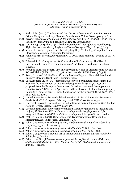#### *Zbornik IKSI, 2/2016 – V. Joldžić "O nekim mogućnostima tretmana elektronskog kriminaliteta spram autorskih i srodnih prava"*,(str. 57-74)

- (31) Kadir, R.M. (2010): The Scope and the Nature of Computer Crimes Statutes A Critical Comparative Study, *German Law Journal*, Vol. 11, No 6, pp 609. – 632.
- (32) Krivični zakonik, *Službeni glasnik Republike Srbije*, br.: 85/2005, 88/2005 ispr., 107/2005 - ispr., 72/2009, 111/2009, 121/2012 i 104/2013.g.
- (33) Law No. 633 of April 22, 1941, for the Protection of Copyright and Neighboring Rights (as last amended by Legislative Decree No. 154 of May 26, 1997), Italy.
- (34) Moore, R. (2005): Cyber crime: Investigating High-Technology Computer Crime, Cleveland, Mississippi: Anderson Publishing.
- (35) Penal Code (of Estonia), u originalu: RT1 I 2001, zadnje izmene i dopune 2007. (RT I 2007).
- (36) Polanski, P. P. (June 5-7, 2006): Convention of E-Contracting: The Rise of International Law of Electronic Commerce? 19th Blend e Conference, eValues, Slovenia.
- (37) Republic of Austria Federal Law on Copyright in Works of Literature and Art and on Related Rights (BGBl. No. 111/1936, as last amended BGBl. I No. 25/1998).
- (38) Robb, G. (2002): White-Collar Crime in Modern England: Financial Fraud and Business Morality, Cambridge University Press.
- (39) The European Union (EU) (proposed) directive on criminal measures aimed at ensuring the enforcement of intellectual property rights (2005/0127/COD), proposal from the European Commission for a directive aimed "to supplement Directive 2004/48/EC of 29 April 2004 on the enforcement of intellectual property rights (Civil enforcement)". Izvor: Justification for the proposal, COM(2005) 276 final, July 12, 2005.
- (40) United States Postal Service Publication 278 U.S. Postal Inspection Service A Guide for the U.S. Congress. February 2008. PSN 7610-08-000-4312.
- (41) Universal Copyright Convention, Signed at Geneva on 6th September 1952, United Nations - Treaty Series, No 2937, Year 1955.
- (42) Uredba o ratifikaciji Konvencije o osnivanju Svetske organizacije za intelektualnu svojinu, *Službeni list SFRJ - Međunarodni ugovori i drugi sporazumi*", br.: 31/1972, i *Službeni list SFRJ - Međunarodni ugovori*, br. 4/1986, - dr. uredba.
- (43) Wall, D. S. (June, 2008): Cybercrime: The Transformation of Crime in the Information Age, Polity Press, Cambridge, UK.
- (44) Zakon o autorskom i srodnim pravima, *Službeni glasnik Republike Srbije*, br.: 104/2009, 99/2011 i 119/2012.g.
- (45) Zakon o autorskom i srodnim pravima, *Službeni list SCG*, br. 61/2004.
- (46) Zakon o autorskom i srodnim pravima, *Službeni list SRJ*, br 24/1998.
- (47) Zakon o odgovornosti pravnih lica za krivična dela, *Službeni glasnik Republike Srbije*, br. 97/2008.g.
- (48) Zakon o ratifikaciji Bernske konvencije za zaštitu književnih i umetničkih dela, *Službeni list SFRJ*, br. 14/1975. i *Službeni list SFRJ - Međunarodni ugovori*, br. 4/1986. – uredba.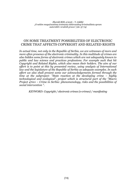*Zbornik IKSI, 2/2016 – V. Joldžić "O nekim mogućnostima tretmana elektronskog kriminaliteta spram autorskih i srodnih prava"*,(str. 57-74)

## ON SOME TREATMENT POSSIBILITIES OF ELECTRONIC CRIME THAT AFFECTS COPYRIGHT AND RELATED RIGHTS

*In actual time, not only in the Republic of Serbia, we are witnesses of more and more often presence of the electronic criminality. In this multitude of crimes are also hidden some forms of electronic crimes which are not adequately known to public and law science and practices professions. For example such that hit Copyright and Related Rights, which also mean their holders. The aim of our effort is to point at this by presented review, using analysis of International law and the legislature of the Republic of Serbia as adequate examples. In such effort we also shall present some our acknowledgements formed through the time at the subproject: "State reaction at the developing crime – highly technological and ecological", project which is structural part of the "Macro Project 47011 – Crime in Serbia: phenomenology, risks and the possibilities of social intervention ".*

*KEYWORD: Copyright / electronic crimes (e-crimes) / manifesting*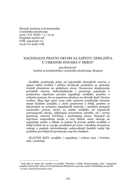Zbornik Instituta za kriminološka i sociološka istraživanja 2016 / Vol. XXXV / 2 /75-91 Pregledni naučni rad UDK: 349.6(497.11) 05.52:711.4(497.11)ђ

# NACIONALNI PRAVNI OKVIRI ZA ZAŠTITU ZEMLJIŠTA U URBANIM ZONAMA U SRBIJI

Ana Batrićević Institut za kriminološka i sociološka istraživanja, Beograd

*Zemljište predstavlja jedan od najvažnijih obnovljivih resursa, a njegov dobar kvalitet i održivo korišćenje preduslovi su opstanka brojnih ekosistema na globalnom nivou. Neumerena eksploatacija prirodnih resursa, industrijalizacija i povećanje populacije u gradovima, doprinose porastu zagađenja zemljišta, posebno u urbanim zonama, što se negativno odražava na zdravlje ljudi i životnu sredinu. Zbog toga autor ovog rada sumarno predstavlja trenutno stanje kvaliteta zemljišta u većim gradovima u Srbiji, posebno se fokusirajući na prisustvo zagađujućih materija, i analizira postojeće nacionalne pravne okvire za zaštitu zemljišta od negativnih antropogenih uticaja, uključujući preventivne odredbe, ali i norme kaznenog, odnosno krivičnog i prekršajnog prava. Nastojeći da doprinese unapređenju stanja u ovoj oblasti, autor ukazuje na najvažnija načela u skladu sa kojima bi pravna zaštita zemljišta u Srbiji trebalo da se razvija, predlažući pri tome i određena inovativna rešenja u pogledu inkriminisanja nedozvoljenih ljudskih radnji čije posledice povređuju ili ugrožavaju ovaj eko-medijum.*

*KLJUČNE REČI: zemljište / zagađenje / urbane zone / krivična dela / prekršaji*

 Ovaj tekst je nastao kao rezultat na projektu "Kriminal u Srbiji: fenomenologija, rizici i mogućnost socijalne intervencije" (broj 47011) koji finansira Ministarstvo prosvete, nauke i tehnološkog razvoja RS E-mail: a.batricevic@yahoo.com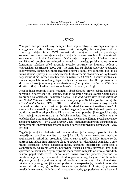### 1. UVOD

Zemljište, kao površinski sloj Zemljine kore koji učestvuje u kruženju materije i energije (član 4. stav 1. tačka 12., Zakon o zaštiti zemljišta, Službeni glasnik RS, br. 112/2015, u daljem tekstu: ZZZ), ima suštinski značaj za živi svet, jer predstavlja osnovni resurs za stvaranje materija i odvijanje procesa neophodnih za opstanak ekosistema i dobrobit čovečanstva. Održavanje i unapređenje globalnog stanja zemljišta od posebne su važnosti u kontekstu rastućeg pritiska kome je ono konstantno izloženo usled uvećanja svetske potražnje za hranom, vodom i energetskom sigurnošću (FAO, 2015: 4). Zemljišta su ključni rezervoari globalnog biodiverziteta, uključujući mikroorganizme, floru i faunu. Sva zemljišta, bilo da se njima aktivno upravlja ili ne, omogućavaju funkcionisanje ekosistema od kojih zavisi regulisanje klime i nivoa i kvaliteta vode u svetu (FAO, 2015: 5). Kvalitet zemljišta, u smislu kapaciteta određenog tipa zemljišta da ostvari ekološke, proizvodne i društvene funkcije unutar granica ekosistema (član 4. stav 1. tačka 17. ZZZ), ima direktan uticaj na kvalitet životne sredine (Čakmak *et al.*, 2016: 4).

Neophodnost praćenja stanja kvaliteta i obezbeđivanja pravne zaštite zemljišta i formalno je potvrđena 1981. godine, kada je od strane zemalja članica Organizacije za hranu i poljoprivredu Ujedinjenih nacija (*Food and Agriculture Organization of the United Nations* - *FAO*) formulisana i usvojena prva Svetska povelja o zemljištu (*World Soil Charter*) (FAO, 1982: 1-8). Međutim, novi izazovi u ovoj oblasti zahtevali su ažuriranje i revidiranje njenih odredbi u svetlu inovativnih naučnih saznanja i novonastalih problema u pogledu zagađenja zemljišta i njegovih posledica po životnu sredinu, adaptacije na klimatske promene i potrebe njihovog ublažavanja, kao i uticaja urbanog razvoja na funkcije zemljišta. Zato je 2015. godine, koja je obeležena kao Međunarodna godina zemljišta, usvojena revidirana Svetska povelja o zemljištu *(Revised World Soil Charter)*, kao međunarodnopravni instrument za promovisanje i institucionalizovanje zaštite i održivog upravljanja zemljištem (FAO, 2015:1).

Zagađenje zemljišta obuhvata svaki proces odlaganja i unošenja opasnih i štetnih materija na površinu zemljišta i u zemljište, bilo da je on uzrokovan ljudskom aktivnošću ili prirodnim procesima (član 4. stav 1. tačka 8. ZZZ). Smatra se da antropogeni faktor ima primarnu ulogu u zagađenju i degradaciji zemljišta. Tome trajno doprinose: širenje naseljenih mesta, izgradnja industrijskih kompleksa i saobraćajnica, odlaganje otpada, nepravilna irigacija i druge aktivnosti koje ljudi sprovode na zemljištu. Neprimenjivanje mera zaštite zemljišta od uticaja prirodnih faktora poput vode, vetra i sunca često izaziva erozione procese, posebno na mestima koja su nepokrivena ili oskudno pokrivena vegetacijom. Najčešći oblici degradacije zemljišta podrazumevaju: 1) povećanu koncentraciju toksičnih materija, 2) stvaranje jalovog zemljišta usled prekomerne eksploatacije, obrade ili upotrebe mineralnih sirovina, 3) povišenu koncentraciju fosfata i nitrata, 4) prisustvo toksičnih elemenata iz industrijskih otpadnih voda, 5) posledice urbanizacije i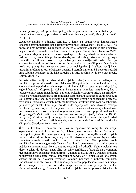industrijalizacije, 6) prisustvo patogenih organizama, virusa i bakterija iz kanalizacionih voda, 7) prisustvo radioaktivnih čestica (Petrović, Manojlović, Jović, 2014: 725).

Zagađeno zemljište, odnosno zemljište u kome su ustanovljene koncentracije opasnih i štetnih materija iznad graničnih vrednosti (član 4. stav 1. tačka 9. ZZZ), ne može se brzo prečistiti, pa zagađujuće materije, odnosno supstance čije prisustvo negativno utiče na sastav, osobine i kvalitet zemljišta (član 4. stav 1. tačka 10. ZZZ), godinama ostaju u njemu. Hemijsko zagađenje zemljišta gradskih sredina smatra se jednim od najznačajnijih problema današnjice, kako zbog prisustva velikog broja različitih zagađivača, tako i zbog velike gustine naseljenosti, usled čega je stanovništvo gradova pod konstantnim zdravstvenim rizikom (Filipović, Obradović- Arsić, 2014: 42). Zato se razvija svest o potrebi ispitivanja kvaliteta zemljišta u urbanim sredinama radi otkrivanja opasnih i štetnih materija čiji povećan sadržaj ima ozbiljne posledice po ljudsko zdravlje i životnu sredinu (Vidojević, Baćanović, Dimić, 2015: 16).

Karakteristike zemljišta urbano-industrijskih područja znatno se razlikuju od zemljišta u prirodnim sredinama. Neka zemljišta pokazuju posebne karakteristike, što je delimično posledica primene prirodnih i tehnoloških supstrata (otpada, šljake, cigle i betona), iskopavanja, zbijanja i zauzimanja zemljišta izgradnjom, kao i prisustva nutrijenata i zagađujućih materija. Usled intenzivnijeg uticaja na prirodno ekološke vrednosti, zemljišta urbanih zona često postaju ograničena za upotrebu, ili čak potpuno uništena. U specifične odlike zemljišta urbanih zona spadaju i: izrazita vertikalna i prostorna varijabilnost, modifikovana struktura koja vodi do sabijanja, prisustvo površinske kore koja teži da bude nepropusna, modifikovana reakcija zemljišta, ograničeno provetravanje i odvod vode, narušen ciklus hranljivih materija, modifikovana aktivnost zemljišnih organizama, prisustvo antropogenih materijala i drugih zagađivača i modifikovani temperaturni režim (Vidojević, Baćanović, Dimić, 2015: 22). Ovakva zemljišta mogu da nanesu štetu ljudskom zdravlju i usled akumulacije i ispuštanja teških metala, nitrata, pesticida i organskih zagađivača (Filipović, Obradović-Arsić, 2014: 41).

Štetni mikroelementi smatraju se glavnim zagađivačima zemljišta, jer imaju ogroman uticaj na ekološku ravnotežu, relativno jaku vezu sa zemljišnim česticama i slabu pokretljivost, što onemogućava njihovo uklanjanje. U zemljištima industrijskih zona u prigradskim oblastima, uticaj štetnih mikroelemenata se usložnjava usled različitog porekla nanetih novih materijala, mešanja i različite upotrebe takvih zemljišta i antropogenog uticaja. Dejstvu štetnih mikroelemenata u urbanim zonama najviše su izložena deca, koja su znatno osetljivija od odraslih. Naime, položaj tela dece je takav da dovodi glavu blizu površine zemljišta, a boravak na otvorenom uvećava njihovu izloženost polutantima. (Čakmak *et al.*, 2016: 4). Dodatni problem industrijskih zona jeste njihov komercijalni razvoj, ali i činjenica da one imaju snažan uticaj na ekološku ravnotežu okolnih područja i njihovih zemljišta. Industrijske zone obično su u okolini naselja sa većom populacijom, usled nastojanja da se smanje troškovi prevoza radne snage, što samo usložnjava problematiku. Jedan od aspekata ugrožavanja okoline industrijskih zona je upravo emisija štetnih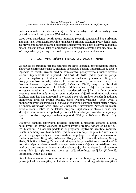mikroelemenata - bilo da su oni cilj određene industrije, bilo da se javljaju kao posledice tehnoloških procesa. (Čakmak *et al.*, 2016: 4).

Zbog svega navedenog, kontinuirano i temeljno praćenje stanja zemljišta u urbanim zonama, kao i poznavanje, pravilno tumačenje i primena zakonom predviđenih mera za prevenciju, sankcionisanje i otklanjanje negativnih posledica njegovog zagađenja imaju izuzetan značaj kako za obezbeđenje i unapređenje životne sredine, tako i za očuvanje zdravlja ljudi koji žive i rade u gradskim i prigradskim oblastima.

## 2. STANJE ZEMLJIŠTA U URBANIM ZONAMA U SRBIJI

Za razliku od ruralnih, urbana zemljišta su često izloženija antropogenom uticaju zbog veće gustine naseljenosti, inteziteta saobraćaja i blizine industrije. Zbog toga je Agencija za zaštitu životne sredine Ministarstva poljoprivrede i zaštite životne sredine Republike Srbije u periodu od 2009. do 2013. godine posebnu pažnju posvetila ispitivanju kvaliteta zemljišta u sledećim gradovima: Beogradu, Kragujevacu, Novom Sadu, Subotici, Kruševcu Požarevcu, Smederevu, Užicu, Nišu, Novom Pazaru i Čajetini (Vidojević, Baćanović, Dimić, 2015: 17). Rezultati monitoringa u okviru urbanih i industrijskih sredina značajni su jer treba da omoguće kontinuirani pregled stanja zagađenosti zemljišta u dužem periodu vremena, naročito kada je reč o većim gradovima. Najduži kontinuitet ispitivanja kvaliteta zemljišta imaju Beograd i Novi Sad, a sve više gradova poslednjih godina u monitoring kvaliteta životne sredine, pored kvaliteta vazduha i vode, uvodi i monitoring kvaliteta zemljišta, ili obnavlja i proširuje postojeću mrežu mernih mesta (Filipović, Obradović-Arsić, 2014: 43). Nažalost, u izveštajima Agencije za zaštitu životne sredine ističe se da lokalni programi ispitivanja zemljišta i dalje nisu dovoljno kontinuirani, što potvrđuje i različit broj lokacija i uzoraka na kojima je sprovedeno istraživanje u posmatranom periodu (Vidojević, Baćanović, Dimić, 2015: 17).

Najnoviji rezultati ispitivanja kvaliteta zemljišta u urbanim zonama u Srbiji publikovani od strane Agencije za zaštitu životne sredine odnose se na 2013. i 2014. godinu. Na osnovu podataka iz programa ispitivanja kvaliteta zemljišta lokalnih samouprava, tokom 2013. godine analizirano je ukupno 140 uzoraka iz površinskog sloja zemljišta urbanih sredina i sa poljoprivrednih površina u okolini sledećih gradova: Beograda, Požarevca, Kragujevca, Kruševca, Smedereva, Novog Sada, Subotice i Novog Pazara. Od ukupnog broja analiziranih uzoraka 66% uzoraka pripada urbanim sredinama (prometne saobraćajnice, industrijske zone, parkovi, stambene zone, izvorišta vodosnabdevanja, okolina deponija, rekreacione zone), dok je 34% uzoraka uzeto sa poljoprivrednog zemljišta (Vidojević, Baćanović, Dimić, 2015: 21).

Rezultati analiziranih uzoraka su tumačeni prema Uredbi o programu sistematskog praćenja kvaliteta zemljišta, indikatorima za ocenu rizika od degradacije zemljišta i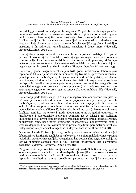metodologiji za izradu remedijacionih programa<sup>1</sup> . Za potrebe izveštavanja granične minimalne vrednosti su definisane kao vrednosti na kojima su potpuno dostignute funkcinalne osobine zemljišta i one označavaju nivo na kome je dostignut održiv kvalitet zemljišta. Sa druge strane, remedijacione vrednosti su određene kao vrednosti koje ukazuju na to da su osnovne funkcije zemljišta ugrožene ili ozbiljno narušene i da zahtevaju remedijacione, sanacione i druge mere (Vidojević, Baćanović, Dimić, 2015: 17).

U zemljištima mnogih urbanih zona, evidentirani su povećani sadržaji olova pored prometnih saobraćajnica. Isto tako, poslednjih godina registrovana je i povećana koncentracija olova u zonama gradskih parkova i rekreativnih površina, pri čemu je uočeno da su koncentracije olova znatno veće u blizini prometnih saobraćajnica nego u centralnim delovima zelenih površina (Filipović, Obradović-Arsić, 2014: 43).

Na teritoriji grada Beograda zemljište je u 2013. godini uzorkovano i laboratorijski ispitano na 29 lokacija na različitim dubinama. Ispitivanja su sprovedena u zonama pored prometnih saobraćajnica, oko javnih česmi, kod dečjih igrališta, na zelenim površinama, u baštama, kao i na oranicama. Rezultati ispitivanja pokazali su da se na ispitanim lokalitetima prema pojedinim parametrima zemljište kategoriše kao potencijalno zagađeno, dok se u malom procentu (3%) može okarakterisati kao alarmantno zagađeno i to pre svega na osnovu ukupnog sadržaja nikla (Vidojević, Baćanović, Dimić, 2015: 17).

Na teritoriji grada Požarevca je u 2013. godini ispitivanjem obuhvaćeno zemljište na 30 lokacija na različitim dubinama i to sa poljoprivrednih površina, prometnih saobraćajnica, iz parkova i iz okoline vodozahvata. Ispitivanje je potvrdilo da se na ovim lokalitetima prema pojedinim parametrima zemljište može kategorisati kao potencijalno zagađeno (Vidojević, Baćanović, Dimić, 2015: 17). Program ispitivanja kvaliteta zemljišta na teritoriji grada Kragujevca u 2013. godini obuhvatio je uzorkovanje i laboratorijsko ispitivanje zemljišta na 14 lokacija, na različitim dubinama i to u okviru zone izvorišta za vodosnabdevanje grada, gradske sredine, industrijske zone, zone pored prometnih saobraćajnica, poljoprivredne zone i gradske deponije. I na tim lokalitetima je prema pojedinim parametrima zemljište kategorisano kao potencijalno zagađeno (Vidojević, Baćanović, Dimić, 2015: 18).

Na teritoriji grada Kruševca je u 2013. godini programom obuhvaćeno uzorkovanje i laboratorijsko ispitivanje zemljišta na 33 lokacije. Na ispitanim lokalitetima je prema pojedinim parametrima zemljište kategorisano kao potencijalno zagađeno, dok je na osnovu ukupnog sadržaja nikla u 12% uzoraka kategorisano kao alarmantno zagađeno (Vidojević, Baćanović, Dimić, 2015: 18).

Program ispitivanja kvaliteta zemljišta na teritoriji grada Subotice u 2013. godini obuhvatio je uzorkovanje i laboratorijsko ispitivanje zemljišta na 10 lokacija u okviru parkova, u okolini industrije i u okolini vodozahvata. Rezultati su pokazali da se na ispitanim lokalitetima prema pojedinim parametrima zemljište svrstava u

<sup>1</sup> Uredba o programu sistematskog praćenja kvaliteta zemljišta, indikatorima za ocenu rizika od degradacije zemljišta i metodologiji za izradu remedijacionih programa, Službeni glasnik RS, br. 88/2010.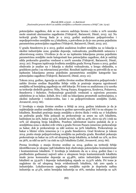potencijalno zagađeno, dok se na osnovu sadržaja hroma i cinka u 10% uzoraka može smatrati alarmantno zagađenim (Vidojević, Baćanović, Dimić, 2015: 19). Na teritoriji grada Novog Sada je u 2013. godini analizirano poljoprivredno i nepoljoprivredno zemljište na 5 lokaliteta, a potvrđeno je da je ono prema pojedinim parametrima potencijalno zagađeno (Vidojević, Baćanović, Dimić, 2015: 20).

U gradu Smederevu je u 2013. godini analiziran kvalitet zemljišta na 12 lokacija u okolini industrijske zone, gradske deponije, vodozahvata, predškolskih ustanova i zdravstvenog centra. Utvrđeno je da se na ispitanim lokacijama prema pojedinim parametrima zemljište može kategorisati kao potencijalno zagađeno, dok je sadržaj nikla prekoračio graničnu vrednost u 100% uzoraka (Vidojević, Baćanović, Dimić, 2015: 20). Program ispitivanja kvaliteta zemljišta grada Novog Pazara u 2013. godini obuhvatio je analize na 7 lokacija u okolini vodozahvata, u krugu obdaništa, u gradskom parku i na rekreacionoj površini. Rezultati ispitivanja su potvrdili da se na ispitanim lokacijama prema pojedinim parametrima zemljište kategoriše kao potencijalno zagađeno (Vidojević, Baćanović, Dimić, 2015: 21).

Tokom 2014. godine, Agencija za zaštitu životne sredine Ministarstva poljoprivrede i zaštite životne sredine Republike Srbije vršila je praćenje stepena ugroženosti zemljišta od hemijskog zagađenja na 168 lokacije. Pri tome su analizirana 272 uzorka sa teritorije sledećih gradova: Niša, Novog Pazara, Kragujevca, Kruševca, Požarevca, Smedereva i Subotice. Prekoračenje graničnih vrednosti u najvećem procentu zabeleženo je za bakar, kobalt, živu i nikl na lokacijama prometnih saobraćajnica, u okolini industrije i vodoizvorišta, kao i na poljoprivrednom zemljištu (Lekić, Jovanović, 2015: 66).

U Izveštaju o stanju životne sredine u Srbiji za 2014. godinu istaknuto je da je najdetaljnije analize zemljišta tokom te godine sprovodio grad Niš i to na ukupno 70 lokaliteta. Rezultati praćenja stanja zemljišta u okviru škola i vrtića na 17 lokaliteta na području grada Niša pokazali su prekoračenje za arsen na 15% lokaliteta, kadmijum na 25%, bakar na 55%, kobalt na 65%, nikl na 40%, olovo na 5% i cink na 10% od ukupnog broja lokaliteta. Posebnu zabrinutost izaziva podatak da je u zemljištima zona u okolini svih vrtića u gradu Novom Pazaru izmereno prekoračenje za bakar, dok je prekoračenje za nikl uočeno na 50% lokaliteta. Prekoračenje za bakar u blizini vrtića izmereno je i u gradu Smederevu. Grad Kruševac je tokom 2014. pratio stanje poljoprivrednog zemljišta na području grada. Rezultati pokazuju prekoračenje za bakar na 21% od ukupnog broja lokaliteta, za kobalt na 12%, za živu na 36%, za nikl na 90% i za cink na 15% lokaliteta (Lekić, Jovanović, 2015: 66).

Prema Izveštaju o stanju životne sredine za 2014. godinu na teritoriji Srbije identifikovano je ukupno 398 lokaliteta koji obuhvataju potencijalno kontaminirane i kontaminirane lokalitete. U Izveštaju je istaknuto da su u 2014. godini (kao i u predhodnim godinama) najveći udeo u ukupnom broju kontaminiranih lokaliteta imale javno komunalne deponije sa 45,48%, zatim industrijsko komercijalni lokaliteti sa 33,92% i deponije industrijskog otpada sa 12,31% udela. Pri tome je naglašeno da od ukupnog broja evidentiranih lokaliteta, čak 200 spada u industrijske. Lokalizovanom zagađenju zemljišta najviše je doprinela naftna industrija sa 47,5%, zatim hemijska industrija sa 16%, metalna industrija sa 14%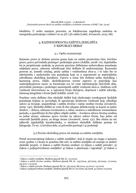lokaliteta. U nešto manjem procentu, za lokalizovana zagađenja zaslužna su energetska postrojenja i rudnici i to sa 3% i 5% udela (Lekić, Jovanović, 2015: 68).

## 3. KAZNENOPRAVNA ZAŠTITA ZEMLJIŠTA U REPUBLICI SRBIJI

### 3.1. Opšta razmatranja

Kazneno pravo je složena pravna grana koju na našim prostorima čine: krivično pravo, pravo privrednih prestupa i prekršajno pravo (Joldžić, 2008: 70). Zajedničko im je propisivanje sankcija za pravom precizno definisana nedozvoljena ponašanja subjekata prava, odnosno određivanje bića delikata ili sankcionisanje. Kaznenim pravom se, između ostalog, pruža zaštita i vrednostima *ekos-a,* i to tako što se inkriminišu i sankcionišu ona ponašanja koja su u suprotnosti sa materijalnim odredbama ekološkog karaktera. Upravo u tome leži dodirna tačka ekološkog i kaznenog prava. Dakle, ekološkopravne norme zapravo se pojavljuju kao materijalnopravni osnov za formiranje sve tri vrste inkriminacija (krivičnih dela, privrednih prestupa i prekršaja) namenjenih zaštiti vrednosti *ekos-a.* Zaštitom ovih vrednosti istovremeno se, u najvećem broju slučajeva, doprinosi i zaštiti zdravlja, telesnog integriteta i života ljudi (Joldžić, 2008: 71).

Posebnu vrstu delikata čine ekološki delikti koji obuhvataju sveukupnost ljudskih ponašanja kojima se povređuju ili ugrožavaju društvene vrednosti koje određuju uslove za čuvanje, unapređenje i zaštitu životne i radne sredine čoveka (Jovašević, 2009: 130). Ekološki delikti su vrsta ili deo ukupne delinkvencije sa kojom se jedno društvo – država, odnosno čovečanstvo u celini, suočava u određenom vremenskom periodu, a specifičnim ih čini njihov objekt zaštite – čovekova zdrava životna sredina sa jedne strane, odnosno pravo čoveka na zdrave uslove života, kao jedno od osnovnih ljudskih prava, sa druge strane (Jovašević, 2009: 131). Bez obzira na niz njihovih zajedničkih karakteristika, u strukturi ekoloških delikata postoje tri kategorije. To su: 1) krivična dela, 2) privredni prestupi i 3) prekršaji.

## 3.2.Norme ekološkog prava od značaja za zaštitu zemljišta

Pored novousvojenog Zakona o zaštiti zemljišta2, koji je stupio na snagu u januaru 2016. godine i o kome će posebno biti reči, za zaštitu zemljišta od značaja su sledeći ekološki propisi: 1) Zakon o zaštiti životne sredine<sup>3</sup> 2) Zakon o zaštiti prirode4, 3) Zakon o poljoprivrednom zemljištu<sup>5</sup> 4) Zakon o planiranju i izgradnji<sup>6</sup>, 5) Zakon o

<sup>2</sup> Zakon o zaštiti zemljišta, Službeni glasnik RS, br. 112/2015.

<sup>3</sup> Zakon o zaštiti životne sredine, Službeni glasnik RS, br. 135/2004, 36/2009, 36/2009, 72/2009, 43/2011 i 14/2016.

<sup>4</sup> Zakon o zaštiti prirode, Službeni glasnik RS, br. 36/2009, 88/2010, 91/2010 i 14/2016.

<sup>5</sup> Zakon o poljoprivrednom zemljištu, Službeni glasnik RS, br. 62/2006, 65/2008, 41/2009 i 112/2015.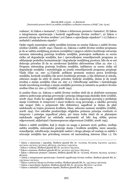vodama<sup>7</sup> , 6) Zakon o šumama8, 7) Zakon o državnom premeru i katastru9, 8) Zakon o integrisanom sprečavanju i kontroli zagađivanja životne sredine10, 9) Zakon o proceni uticaja na životnu sredinu11,10) Zakon o upravljanju otpadom<sup>12</sup> i 11) Zakon o ambalaži i ambalažnom otpadu<sup>13</sup>

Opšte regule namenjene zaštiti zemljišta locirane su unutar Zakona o zaštiti životne sredine (Joldžić, 2008: 294). Članom 22. Zakona o zaštiti životne sredine propisano je da se zaštita zemljišnog prostora (zemljišta) i njegovo održivo korišćenje ostvaruju merama sistemskog praćenja kvaliteta zemljišta, praćenjem indikatora za ocenu rizika od degradacije zemljišta, kao i sprovođenjem remedijacionih programa za otklanjanje posledica kontaminacije i degradacije zemljišnog prostora, bilo da se oni dešavaju prirodno ili da su uzrokovani ljudskim aktivnostima (član 22. stav 1.). Program sistemskog praćenja kvaliteta zemljišta, indikatore za ocenu rizika od degradacije zemljišta i metodologiju za izradu remedijacionih programa propisuje Vlada (član 22. stav 3.).Takođe, prilikom promene nosioca prava korišćenja zemljišta, korisnik zemljišta čije pravo korišćenja prestaje, a čija delatnost je uticala, odnosno mogla da utiče ili ometa prirodne funkcije zemljišta, dužan je da izradi izveštaj o stanju zemljišta (član 22. stav 2.). Određivanje sadržine i metodologije izrade navedenog izveštaja o stanju zemljišta povereno je ministru za poslove životne sredine (član 22. stav 4.) (Joldžić, 2008: 294).

Iz analize člana 22. Zakona o zaštiti životne sredine sledi da se dotičnim normama zahteva poštovanje principa prevencije i principa izbegavanja ekološke štete (Joldžić, 2008: 294). Svako ko zagadi zemljište dužan je da organizuje povraćaj u pređašnje stanje (*restitutio in integrum*) i snosi troškove ovog povraćaja, a ukoliko povraćaj nije moguć (bilo u potpunosti bilo delimično), zagađivač je dužan da plati nadoknadu za trajnu promenu kvaliteta, klase, odnosno namene zemljišta (Joldžić, 2008: 294). Ove odredbe predstavljaju očiglednu primenu principa *restitutio in integrum* i principa *zagađivač plaća*, pri čemu treba istaći da se plaćanjem nadoknade zagađivač ne oslobađa automatski od bilo kog oblika pravne odgovornosti, uključujući i kaznenopravnu odgovornost (Joldžić, 2008: 295).

Zakon o zaštiti zemljišta, koji je stupio na snagu u januaru 2016. godine, uređuje zaštitu zemljišta, sistematsko praćenje stanja i kvaliteta zemljišta, mere sanacije, remedijacije, rekultivacije, inspekcijski nadzor i druga pitanja od značaja za zaštitu i očuvanje zemljišta kao prirodnog resursa od nacionalnog interesa (član 1.). On

<sup>6</sup> Zakon o planiranju i izgradnji, Službeni glasnik RS, br. 72/2009, 81/2009, 64/2010, 24/2011, 121/2012, 42/2013, 50/2013, 98/2013, 132/2014 i 145/2014.

<sup>7</sup> Zakon o vodama, Službeni glasnik RS, br. 30/2010 i 93/2012.

<sup>8</sup> Zakon o šumama, Službeni glasnik RS, br. 30/2010, 93/2012 i 89/2015.

<sup>9</sup> Zakon o državnom premeru i katastru, Službeni glasnik RS, br. 72/2009, 18/2010, 65/2013, 15/2015 i 96/2015.

<sup>10</sup> Zakon o integrisanom sprečavanju i kontroli zagađivanja životne sredine, Službeni glasnik RS, br. 135/2004 i 25/2015.

<sup>11</sup> Zakon o proceni uticaja na životnu sredinu, Službeni glasnik RS, br. 135/2004 i 36/2009.

<sup>12</sup> Zakon o upravljanju otpadom, Službeni glasnik RS, br. 36/2009, 88/2010 i 14/2016.

<sup>13</sup> Zakon o ambalaži i ambalažnom otpadu, Službeni glasnik RS, br. 36/2009.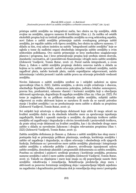pristupa zaštiti zemljišta na integrativni način, bez obzira na tip zemljišta, oblik svojine na zemljištu, njegovu namenu ili korišćenje (član 2.). Za razliku od ostalih ekoloških propisa koji su tretirali problematiku zemljišta sa svog sektorskog aspekta, novi Zakon o zaštiti zemljišta primenjuje načelo sveukupnog pristupa zaštiti zemljišta, jer reguliše zaštitu svih tipova zemljišta, bez obzira na njihovu namenu. U skladu sa tim, ovaj zakon insistira na načelu "integralnosti zaštite zemljišta" koje se ogleda u tome da nadležni organi obezbeđuju integraciju zaštite zemljišta u svim sektorskim politikama. Ovo načelo primenjuje se kroz međusobno usaglašavanje planova i programa, kao i kroz primenjivanje propisa koji uređuju sistem dozvola, standarda i normativa, ali i posredstvom finansiranja i drugih mera zaštite zemljišta (Zelenović Vasiljević, Tomin Rutar, 2016: 2). Pored načela integralnosti, u svom članu 5. Zakon o zaštiti zemljišta propisuje sledeća osnovna načela u skladu sa kojima se ta zaštita sprovodi: načelo očuvanja prirodne vrednosti zemljišta, načelo zagađivač plaća, načelo korisnik plaća, načelo supsidijarne odgovornosti, načelo informisanja i učešća javnosti i načelo zaštite prava na očuvanje prirodnih vrednosti zemljišta.

Novim Zakonom o zaštiti zemljišta uređeni su i subjekti zaduženi za njeno sprovođenje (član 6. ZZZ). Zaštitu zemljišta, u okviru svojih ovlašćenja i obaveza, obezbeđuju Republika Srbija, autonomna pokrajina, jedinica lokalne samouprave, pravna lica, preduzetnici, odnosno vlasnici i korisnici zemljišta koji u obavljanju aktivnosti ugrožavaju, degradiraju ili zagađuju zemljište (član 29. i član 30. ZZZ). Pri tome je naglašeno da su prilikom realizacije zaštite zemljišta, subjekti zaštite odgovorni za svaku aktivnost kojom se narušava ili može da se naruši prirodno stanje i kvalitet zemljišta i za ne preduzimanje mera zaštite u skladu sa propisima (Zelenović Vasiljević, Tomin Rutar, 2016: 3).

Svi subjekti koji učestvuju u obavljanju delatnosti koje utiču ili mogu uticati na kvalitet zemljišta dužni su da obezbede tehničke mere za sprečavanje ispuštanja zagađujućih, štetnih i opasnih materija u zemljište, da planiraju troškove zaštite zemljišta od zagađivanja i degradacije u okviru investicionih i proizvodnih troškova, da prate uticaj svoje delatnosti na kvalitet zemljišta, kao i da obezbede druge mere zaštite u skladu sa navedenim Zakonom i drugim relevantnim propisima (član 7. ZZZ) (Zelenović Vasiljević, Tomin Rutar, 2016: 3).

Zaštita zemljišta definisana je članom 4. Zakona o zaštiti zemljišta kao skup mera i postupaka koji se primenjuju prilikom planiranja, uređenja, korišćenja zemljišta i zaštite od zagađenja i degradacije, sa ciljem očuvanja i obezbeđenja svih njegovih funkcija. Definisane su i preventivne mere zaštite zemljišta: planiranje i integrisanje zaštite zemljišta u sektorske politike i planove, utvrđivanje ispunjenosti uslova zaštite zemljišta, donošenje planskih i programskih dokumenata za zaštitu zemljišta. Posebno su određeni i pojmovi: uređenje prostora i korišćenje zemljišta, promena namene zemljišta i uslovi i mere zaštite zemljišta (Zelenović Vasiljević, Tomin Rutar, 2016: 3). Takođe su objašnjene i mere koje imaju za cilj popravljanje nanete štete zemljištu: rekultivacija i remedijacija. Rekultivacija predstavlja skup mera i aktivnosti za ponovno formiranje zemljišnog sloja i uspostavljanje biljnih zajednica na zagađenim i degradiranim površinama dok je remedijacija skup mera i postupaka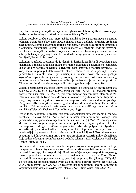za potrebe sanacije zemljišta sa ciljem poboljšanja kvaliteta zemljišta do nivoa koji je bezbedan za korišćenje i u skladu s namenom (član 4. ZZZ).

Zakon posebno uređuje one mere zaštite zemljišta koje podrazumevaju zabranu odnosno ograničenje obavljanja određenih aktivnosti, a definiše i granične vrednosti zagađujućih, štetnih i opasnih materija u zemljištu. Naročito se zabranjuje ispuštanje i odlaganje zagađujućih, štetnih i opasnih materija i otpadnih voda na površinu zemljišta i u zemljište, a predviđeno je da se osobine zemljišta mogu menjati samo u cilju poboljšanja njegovog kvaliteta i u skladu sa njegovom namenom (Zelenović Vasiljević, Tomin Rutar, 2016: 4).

Zakonom je takođe propisano da je vlasnik ili korisnik zemljišta ili postrojenja čija delatnost, odnosno aktivnost mogu biti uzrok zagađenja i degradacije zemljišta, dužan da pre početka obavljanja aktivnosti izvrši ispitivanje kvaliteta zemljišta. Na ovaj način su prvi put dati zakonski okviri i obaveza da se u postupku izrade predmetnih elaborata, kao i pri stavljanju u funkciju novih objekata, poštuju ograničeni kapaciteti zemljišta kao prirodnog resursa i kroz instrument obaveznog monitoringa utvrđuje se obaveza određivanja nultog stanja na nekom prostoru. Time se doprinosi smanjenju negativnih antropogenih uticaja na zemljište.

Zakon o zaštiti zemljišta uvodi i nove dokumente koji imaju za cilj zaštitu zemljišta (član 14. ZZZ). To su: 1) plan zaštite zemljišta (član 15. ZZZ), 2) godišnji program zaštite zemljišta (član 16. ZZZ) i 3) program monitoringa zemljišta (član 29. ZZZ). Plan zaštite zemljišta treba da bude donet u roku od dve godine od dana stupanja na snagu tog zakona, a jedinice lokalne samouprave dužne su da donesu godišnje Programe zaštite zemljišta u roku od godinu dana od dana donošenja Plana zaštite zemljišta. Zakon reguliše i izveštavanje o sprovođenju godišnjeg programa zaštite zemljišta (Zelenović Vasiljević, Tomin Rutar, 2016: 3).

Pored toga, Zakonom je uređen i program sistematskog praćenja stanja i kvaliteta zemljišta (članovi 28-33. ZZZ), kao i katastar kontaminiranih lokacija koji predstavlja skup podataka o zagađenim zemljištima (član 34. ZZZ). Zakon naglašava da su državni organi, organi autonomne pokrajine, organi jedinice lokalne samouprave i druge ovlašćene organizacije dužni da potpuno i objektivno, obaveštavaju javnost o kvalitetu i stanju zemljišta i promenama koje mogu da predstavljaju opasnost za život i zdravlje ljudi, kao i biljnog i životinjskog sveta. Istaknuto je i da javnost ima pravo pristupa propisanim registrima ili evidencijama koje sadrže odgovarajuće informacije i podatke (član 35. ZZZ) (Zelenović Vasiljević, Tomin Rutar, 2016: 4).

Kaznenim odredbama Zakona o zaštiti zemljišta propisane su odgovarajuće sankcije za njegova kršenja, koja u zavisnosti od okolnosti mogu biti tretirana bilo kao privredni prestupi, bilo kao prekršaji. U nekim slučajevima je za nepridržavanje ovog zakona predviđena novčana kazna, a u nekima kazna zatvora. Kao učinioci privrednih prestupa, podrazumeva se, pojavljuju se pravna lica (član 43. ZZZ), dok se kao učinioci prekršaja prema ovom zakonu mogu pojaviti: pravno lice (član 44. ZZZ), preduzetnik (član 45. ZZZ), odgovorno lice u nadležnom organu, odnosno u organizaciji koja vrši javna ovlašćenja (član 46. ZZZ) i fizičko lice (član 47. ZZZ).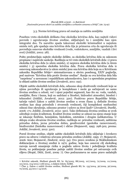### 3.3. Norme krivičnog prava od značaja za zaštitu zemljišta

Posebnu vrstu ekoloških delikata čine ekološka krivična dela, kao najteži vidovi povrede i ugrožavanja životne sredine, uključujući tu i zemljište kao njen integralni deo. Tu naročito spada takozvani ekološki kriminalitet u najužem smislu reči, gde spadaju ona krivična dela čija je primarna crta da ugrožavaju ili povređuju osnovne ekološke vrednosti (vode, vodotokove, zemljište, vazduh i živi svet) (Joldžić, 2002: 28).

Pošto predstavljaju najteže ekološke delikte, za ekološka krivična dela su zakonom propisane i najstrože sankcije. Razlikuju se tri vrste ekoloških krivičnih dela: 1) prava ekološka krivična dela (u užem smislu), 2) neprava ekološka krivična dela (u širem smislu) i 3) sporedna ekološka krivična dela. Prava ekološka krivična dela iz osnovnog zakonodavstva (u užem smislu) jesu ona krivična dela koja su u Krivičnom zakoniku Republike Srbije<sup>14</sup> sistematizovana u okviru posebnog, XXIV poglavlja, pod nazivom "Krivična dela protiv životne sredine". Ranije su ova krivična dela bila "raspršena" u saveznom i republičkom zakonodavstvu, kao i u sporednim propisima iz oblasti zaštite životne sredine (Jovašević, 2011: 192).

Objekt zaštite ekoloških krivičnih dela, odnosno skup društvenih vrednosti koje se njima povređuju ili ugrožavaju je kompleksan i može ga sačinjavati ne samo životna sredina u celosti, već i njeni pojedini segmenti, kao što su: voda, vazduh, zemljište, flora i fauna, koji su sadržani u litosferi, hidrosferi atmosferi, biosferi i tehnosferi (Joldžić, Jovašević, 2012: 320). Pozitivno pravo Republike Srbije, tačnije važeći Zakon o zaštiti životne sredine u svom članu 3. definiše životnu sredinu kao skup prirodnih i stvorenih vrednosti, čiji kompleksni međusobni odnosi čine okruženje, odnosno prostor i uslove za život ljudi<sup>15</sup> (Jovašević, Đurđić, 2006: 171; Joldžić, Jovašević, 2012: 320). Tako definisana životna sredina se uvek određuje svojim kvalitetom. Kvalitet životne sredine se odnosi na njeno stanje koje se iskazuje fizičkim, hemijskim, biološkim, estetskim i drugim indikatorima. U sklopu ovako shvaćene životne sredine, razlikuju se: prirodne vrednosti, zaštićena prirodna dobra, javna prirodna dobra, geodiverzitet (geološka raznovrsnost), biodiverzitet (biološka raznovrsnost) i slično (Stojanovič, 1995: 298-302, prema: Joldžić, Jovašević, 2012: 320).

Pored životne sredine, objekt zaštite ekoloških krivičnih dela uključuje i čovekovo pravo na zdravu i relativno očuvanu prirodnu sredinu (Joldžić, 1995: 17; Stojanović, 2006: 600; Stojanović, Zindović, 2015: 54). Ovo pravo uvedeno je Stokholmskom deklaracijom o životnoj sredini iz 1972. godine, koja kao osnovni cilj ekološkog razvoja navodi smanjenje rizika u pogledu uslova života i poboljšanje kvaliteta života, uz poklanjanje posebne pažnje zaštiti životne sredine pri ostvarenju ovih ciljeva (Stopić, Dičić, Zorić, 2009: 7). Ono podrazumeva ne samo pravo sadašnjih

<sup>14</sup> Krivični zakonik, Službeni glasnik RS, br. 85/2005, 88/2005, 107/2005, 72/2009, 111/2009, 121/2012, 104/2013 i 108/2014., u daljem tekstu: KZRS.

<sup>15</sup> Član 3. Zakon o zaštiti životne sredine, Službeni glasnik RS, br. 135/2004, 36/2009, 36/2009, 72/2009, 43/2011 i 14/2016.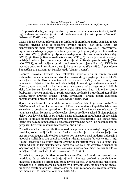već i pravo budućih generacija na zdravu prirodu i adekvatne resurse (Joldžić, 2008: 25) i danas se smatra jednim od fundamentalnih lјudskih prava (Paunović, Krivokapić, Krstić, 2007: 292).

Među njima se kao najrelevantnija za direktnu ili indirektnu zaštitu zemljišta mogu izdvojiti krivična dela: 1) zagađenje životne sredine (član 260. KZRS), 2) nepreduzimanje mera zaštite životne sredine (član 261. KZRS), 3) protivpravna izgradnja i stavljanje u pogon objekata i postrojenja koja zagađuju životnu sredinu (član 262. KZRS), 4) oštećenje objekata i uređaja za zaštitu životne sredine (član 263. KZRS), 5) oštećenje životne sredine (član 264. KZRS), 6) unošenje opasnih materija u Srbiju i nedozvoljeno prerađivanje, odlaganje i skladištenje opasnih materija (član 266. KZRS), 7) nedozvoljena izgradnja nuklearnih postrojenja (član 267. KZRS), 8) povreda prava na informisanje o stanju životne sredine (član 268.), 9) pustošenje šuma (član 274. KZRS) i 10) šumska krađa (član 275. KZRS).

Neprava ekološka krivična dela (ekološka krivična dela u širem smislu) sistematizovana su u Krivičnom zakoniku u okviru drugih poglavlja. Ona su takođe upravljena protiv životne sredine, ali na posredan način, te se uz nju, kao prevalentan objekt zaštite, kod ovih dela javljaju i neke druge društvene vrednosti. Zato su, zavisno od ovih kriterijuma, ona i svrstana u neke druge grupe krivičnih dela, kao što su: krivična dela protiv opšte sigurnosti ljudi i imovine, protiv bezbednosti javnog saobraćaja, protiv ustavnog uređenja i bezbednosti Republike Srbije, protiv državnih organa i protiv čovečnosti i drugih dobara zaštićenih međunarodnim pravom (Joldžić, Jovašević, 2012: 273-274).

Sporedna ekološka krivična dela su ona krivična dela koja nisu predviđena Krivičnim zakonikom, kao osnovnim krivičnopravnim aktom Republike Srbije, već se nalaze u posebnom, sporednom ili dopunskom krivičnom zakonodavstvu. U pitanju su zakoni kojima se uređuje oblast životne sredine u celosti ili njeni pojedini delovi. Ova krivična dela se po pravilu nalaze u kaznenim odredbama tih ekoloških zakona, kojima su predviđena njihova obeležja bića, karakteristike, kao i vrsta i mera kazne koja se za njih može izreći u skladu sa uslovima, na način i po postupku koji su propisani Krivičnim zakonikom (Jovašević, 2009: 132).

Posledica krivičnih dela protiv životne sredine u prvom redu se sastoji u zagađivanju vazduha, vode, zemljišta ili hrane. Ovakvo zagađivanje po pravilu se javlja kao nusproizvod naučno-tehnološkog progresa koji sa sobom nosi moderna industrija i upotreba različitih izvora energije, sirovina i drugih materija (Jovašević, 2011: 81). Većinu krivičnih dela protiv životne sredine može učiniti svako lice, a samo kod nekih od njih se kao učinilac javlja određeno lice koje ima svojstvo službenog ili odgovornog lica. U pogledu krivice, ekološka krivična dela mogu se učiniti bilo sa umišljajem bilo iz nehata (Joldžić, Jovašević, 2012: 322).

Za krivična dela protiv životne sredine specifično je i to da je zakonodavac predvideo da se krivično gonjenje njihovih učinilaca preduzima po službenoj dužnosti, odnosno od strane nadležnog javnog tužioca. U određenim slučajevima predviđeno je i kažnjavanje za pokušaj ovih krivičnih dela, što ukazuje na značaj njihovog zaštitnog objekta - životne sredine, koju zakonodavac ovakvim strožim normama štiti (Stojanović, Zindović, 2015: 53).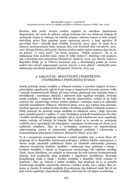Krivična dela protiv životne sredine najčešće su određena blanketnom dispozicijom, što znači da njihovu radnju izvršenja čini ona delatnost činjenja ili nečinjenja kojom se odstupa od važećih propisa, odnosno kojom se krše propisi ekološkog prava (kao posebne grane upravnog prava), a koja ugrožava ili povređuje život i zdravlje ljudi (Joldžić, Jovašević, 2012: 322). To znači da je element protivpravnosti bitan element bića ovih krivičnih dela (Jovašević, 2011: 192). Mnoga krivična dela protiv životne sredine sadrže opisne pojmove kao što su, na primer: "u većoj meri", "na širem prostoru, "velikih razmera", "da su za otklanjanje štete potrebni duže vreme ili veliki troškovi". Sadržina ovih pojmova nije u dovoljnoj meri precizirana (Stojanović, Zindović, 2015: 53). Štaviše, sudovi u Republici Srbiji, pa ni Vrhovni kasacioni sud, u dosadašnjoj praksi po svemu sudeći nisu zauzeli odgovarajuće pravne stavove u ovoj oblasti i obezbedili jasno definisanje navedenih pojmova (Stojanović, Zindović, 2015: 54).

## 4. ZAKLJUČAK - MOGUĆNOSTI I PERSPEKTIVE UNAPREĐENJA POSTOJEĆEG STANJA

Značaj praćenja stanja zemljišta u urbanim zonama, a posebno njegove stvarne i potencijalne zagađenosti, ogleda se pre svega u mogućnosti lociranja, procene rizika i sanacije kontaminiranih oblasti, pri čemu urbano planiranje ima značajnu ulogu u identifikaciji i izmeštanju objekata i aktivnosti koje zagađuju zemljište. Praćenje stanja zemljišta i njegovih efekata na zdravlje stanovništva, trebalo bi da bude sastavni deo monitoringa životne sredine gradova i značajna osnova za optimalni ekološki menadžment (Filipović, Obradović-Arsić, 2014: 42). Uprkos tom saznanju, izveštaji Agencije za zaštitu životne sredine o kvalitetu zemljišta u urbanim zonama u Srbiji pokazuju da praćenje stanja zemljišta na lokalnom nivou i dalje sprovode samo pojedini gradovi i opštine. U ovim izveštajima je takođe konstatovano da obim i kvalitet istraživanja zagađenja zemljišta čiji je uzrok lokalizovani izvor zagađenja, znatno variraju od lokacije do lokacije. Kao razlozi za to navode se: postojanje različitih nivoa upravljanja tim lokacijama i nepotpuno izveštavanje od strane za to nadležnih subjekata. Zato je u izveštajima insistirano na uspostavljanju odgovarajućeg osnova za sistematsko prikupljanje podataka i informacija o kontaminiranim lokacijama (Vidojević, Baćanović, Dimić, 2015: 38).

To je i omogućeno usvajanjem Zakona o zaštiti zemljišta koji, u svom članu 28. propisuje da su Republika, autonomna pokrajina i jedinice lokalne samouprave, u okviru svojih zakonskih nadležnosti dužne da obezbede sistematsko praćenje, odnosno monitoring kvaliteta zemljišta i održavanje baze podataka o stanju i kvalitetu zemljišta, u skladu sa Programom monitoringa, čiju sadržinu utvrđuje Vlada. Istom odredbom, ovi subjekti se obavezuju da vode katastar kontaminiranih lokacija, koji predstavlja skup podataka o zagađenim zemljištima. Stvaranju kompletnijeg uvida u stanje i kvalitet zemljišta u Republici Srbiji svakako će doprineti i član 29. Zakona o zaštiti zemljišta, koji propisuje da se za potrebe monitoringa zemljišta uspostavlja državna i lokalna mreža, kao i njegov član 30. kojim se vlasnik ili korisnik zemljišta ili postrojenja čija delatnost može biti ili već jeste uzrok zagađenja i degradacije zemljišta, obavezuje da vrši njegov monitoring.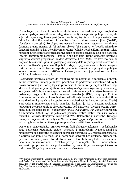Posmatrajući problematiku zaštite zemljišta, nameće se zaključak da je neophodno posebnu pažnju posvetiti onim kategorijama zemljišta koje nisu poljoprivredne, ali čija zaštita jeste regulisana postojećim propisima, koji te površine posmatraju kao isključivo ekološke vrednosti i regulišu poželjan odnos prema njima (Joldžić, Jovašević, 2012: 382). To bi podrazumevalo i razmatranje mogućnosti formiranja kazneno-pravne norme, čiji bi zaštitni objekat bile upravo te (nepoljoprivredne) kategorije zemljišta, kao delovi životne sredine (Joldžić, Jovašević, 2012: 382). Tako, pojedini autori opravdano predlažu uvođenje posebnog krivičnog dela pod nazivom "trajno degradiranje zemljišta", koje bi činilo lice koje "trajno degradira zemljište suprotno važećim propisima" (Joldžić, Jovašević, 2012: 383). Ovo krivično delo bi zapravo bilo *norma specialis* postojećeg krivičnog dela zagađenja životne sredine iz člana 260. Krivičnog zakonika Republike Srbije, a njegov zadatak bio bi da omogući zaštitu onih vrednosti koje su uspostavljene onim zakonima koji regulišu poželjan odnos prema posebno zaštićenim kategorijama nepoljoprivrednog zemljišta (Joldžić, Jovašević, 2012: 383).

Degradacija zemljišta dovodi do redukovanja ili potpunog eliminisanja njihovih bitnih svojstava i umanjuje njihovu podobnost da podržavaju ekosisteme od kojih zavisi dobrobit ljudi. Zbog toga je prevencija ili minimizacija dejstva faktora koji dovode do degradacije zemljišta od suštinskog značaja za omogućavanje normalnog odvijanja različitih procesa u njemu i svakako zahteva manje finansijske troškove od uklanjanja negativnih posledica njegove degradacije (FAO, 2015: 5). U tom kontekstu treba sagledati i neophodnost usklađivanja domaćih propisa sa ekološkim strandardima i propisima Evropske unije u oblasti zaštite životne sredine. Značaj sprovođenja monitoringa stanja zemljišta istaknut je još u Šestom akcionom programu Evropske unije za životnu sredinu, pod naslovom "Životna sredina 2010 naša budućnost naš izbor" (*Environment 2010 Our Future, Our Choice*) (European Commission, 2001), koji sa jednakom pažnjom tretira zaštitu zemljišta, vode i vazduha (Petrović, Manojlović, Jović, 2014: 735). Relevantne su i odredbe Strategije Evropske unije za zaštitu zemljišta *(Thematic strategy for soil protection)* iz 2006.16, ali i drugih izvora komunitarnog prava posvećenih zaštiti životne sredine.

Postojanje odgovarajućeg pravnog okvira, koji uključuje zakonske i podzakonske akte posvećene regulisanju zaštite, očuvanja i unapređenja kvaliteta zemljišta preduslov je za adekvatnu prevenciju degradacije zemljišta. Ali, njegova konzervacija i održivo korišćenje ne mogu se u potpunosti ostvariti bez dosledne primene tih pravnih normi u praksi i to od strane svih relevantnih subjekata i u skladu sa načelima proklamovanim u Svetskoj povelji o zemljištu, ali i u nacionalnim ekološkim propisima. Za ovu problematiku najznačajniji je novousvojeni Zakon o zaštiti zemljišta, čija primena tek treba da pokaže efekte.

<sup>16</sup> Communication from the Commission to the Council, the European Parliament, the European Economic and Social Committee and the Committee of the Regions - Thematic Strategy for Soil Protection [SEC(2006)620] [SEC(2006)1165]. Brussels: Commission of the European Communities, dostupno na: http://eur-lex.europa.eu/legal-content/EN/TXT/PDF/?uri=CELEX:52006DC0231&from=EN, 15.09.2016.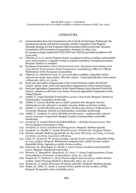### LITERATURA

- (1) Communication from the Commission to the Council, the European Parliament, the European Economic and Social Committee and the Committee of the Regions - Thematic Strategy for Soil Protection [SEC(2006)620] [SEC(2006)1165]. Brussels: Commission of the European Communities, dostupno na: http://eurlex.europa.eu/legal-content/EN/TXT/PDF/?uri=CELEX:52006DC0231&from=EN, 15.09.2016.
- (2) Čakmak, D. *et al.* (2016) *Projekat Stanje nepoljoprivrednog zemljišta industrijskih zona većih gradova u republici Srbiji sa aspekta biološkog i hemijskog kvaliteta*. Beograd: Institut za zemljište.
- (3) European Commission (2001) *Environment 2010: European Commission 2001- 2010 6th EU Environment Action Programme*. Luxembourg: Office for Official Publications of the European Communities
- (4) Filipović, D., Obradović-Arsić, D. (2014) Kvalitet zemljišta u Republici Srbiji i zdravstveno stanje stanovništva. *Zbornik radova - Geografski fakultet Univerziteta u Beogradu, 62*(1), str. 39-60.
- (5) Food and Agriculture Organization of the United Nations (1982) *World Soil* Charter. Rome, Italy: Food and Agriculture Organization of the United Nations.
- (6) Food and Agriculture Organization of the United Nations (2015) *Revised World Soil Charter, adopted on 8th June 2015*. Rome: Food and Agriculture Organization of the United Nations.
- (7) Joldžić, V. (1995) *Ekološki kriminalitet u pravu i stvarnosti*. Beograd: Institut za kriminološka i sociološka istraživanja.
- (8) Joldžić, V. (2002) Ekološko pravo, Opšti i poseban deo. Beograd: Savezni sekretarijat za rad, zdravstvo i socijalno staranje, Sektor za životnu sredinu.
- (9) Joldžić, V. (2008) *Ekološko pravo, Opšti i Poseban deo (Primer Srbije države u tranziciji)*. Beograd: Institut za kriminološka i sociološka istraživanja.
- (10) Joldžić, V., Jovašević, D. (2012) *Ekološko krivično pravo - međunarodni i ustavni osnovi, stvarnost i mogućnosti.* Beograd: Institut za kriminološka i sociološka istraživanja.
- (11) Jovašević, D. (2009) *Sistem ekoloških delikata – ekološko kazneno pravo*. Niš: Pravni fakultet Univerziteta u Nišu.
- (12) Jovašević, D. (2011) *Leksikon krivičnog prava*. Beograd: Službeni glasnik.
- (13) Jovašević, D., Đurđić, V. (2006) *Krivično pravo, Posebni deo*. Beograd: Nomos.
- (14) Krivični zakonik, Službeni glasnik RS, br. 85/2005, 88/2005, 107/2005, 72/2009, 111/2009, 121/2012, 104/2013 i 108/2014.
- (15) Lekić, D., Jovanović, M. (2015) *Izveštaj o stanju životne sredine u Republici Srbiji za 2014. godinu.* Beograd: Ministarstvo poljoprivrede i zaštite životne sredine Republike Srbije, Agencija za zaštitu životne sredine.
- (16) Paunović, M., Krivokapić, B. i Krstić, I. (2007) *Osnovi međunarodnih ljudskih prava*. Beograd: Megatrend univerzitet.
- (17) Petrović, Z., Manojlović, Manojlović, D., Jović, V. (2014) Legal protection of land from pollution, *Economics of Agriculture, 61*(3), str. 723-738.
- (18) Stojanović, P., Zindović, I. (2015) Pravna odgovornost za razvoj i zaštitu životne sredine. *Anali Pravnog fakulteta u Beogradu*, *63*(1), str. 41-57.
- (19) Stojanović, Z. (2006) *Komentar krivičnog zakonika*. Beograd: Službeni glasnik.
- (20) Stopić, M., Dičić, N. i Zorić, J. (2009) *Pravci zaštite životne sredine u Srbiji*. Beograd: Beogradski centar za ljudska prava.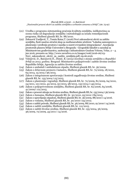- (21) Uredba o programu sistematskog praćenja kvaliteta zemljišta, indikatorima za ocenu rizika od degradacije zemljišta i metodologiji za izradu remedijacionih programa, Službeni glasnik RS, br. 88/2010.
- (22) Zelenović Vasiljević, T., Tomin Rutar,T. (2016) Novi zakonodavni okviri za zaštitu zemljišta, Šesti naučno-stručni skup sa međunarodnim učešćem "Lokalna samouprava u planiranju i uređenju prostora i naselja-u susret evropskim integracijama", Asocijacija prostornih planera Srbije Univerzitet u Beogradu - Geografski fakultet u saradnji sa Ministarstvom građevinarstva, saobraćaja i infrastrukture Gradom Vršcem, Vršac, 2 – 4. jun 2016, preuzeto sa: http://www.zavurbvo.co.rs/images/vesti/2016-06/03- Novi\_zakonodavni\_okviri\_za\_zastitu\_zemljista.pdf, 09.06.2016.
- (23) Vidojević, D., Baćanović,N., Dimić, B. (2015) *Izveštaj o stanju zemljišta u Republici Srbiji za 2013. godinu.* Beograd: Ministarstvo poljoprivrede i zaštite životne sredine Republike Srbije, Agencija za zaštitu životne sredine.
- (24) Zakon o ambalaži i ambalažnom otpadu, Službeni glasnik RS, br. 36/2009.
- (25) Zakon o državnom premeru i katastru, Službeni glasnik RS, br. 72/2009, 18/2010, 65/2013, 15/2015 i 96/2015.
- (26) Zakon o integrisanom sprečavanju i kontroli zagađivanja životne sredine, Službeni glasnik RS, br. 135/2004 i 25/2015.
- (27) Zakon o planiranju i izgradnji, Službeni glasnik RS, br. 72/2009, 81/2009, 64/2010, 24/2011, 121/2012, 42/2013, 50/2013, 98/2013, 132/2014 i 145/2014.
- (28) Zakon o poljoprivrednom zemljištu, Službeni glasnik RS, br. 62/2006, 65/2008, 41/2009 i 112/2015.
- (29) Zakon o proceni uticaja na životnu sredinu, Službeni glasnik RS, br. 135/2004 i 36/2009.
- (30) Zakon o šumama, Službeni glasnik RS, br. 30/2010, 93/2012 i 89/2015.
- (31) Zakon o upravljanju otpadom, Službeni glasnik RS, br. 36/2009, 88/2010 i 14/2016.
- (32) Zakon o vodama, Službeni glasnik RS, br. 30/2010 i 93/2012.
- (33) Zakon o zaštiti prirode, Službeni glasnik RS, br. 36/2009, 88/2010, 91/2010 i 14/2016.
- (34) Zakon o zaštiti zemljišta, Službeni glasnik RS, br. 112/2015.
- (35) Zakon o zaštiti životne sredine, Službeni glasnik RS, br. 135/2004, 36/2009, 36/2009, 72/2009, 43/2011 i 14/2016.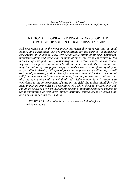## NATIONAL LEGISLATIVE FRAMEWORKS FOR THE PROTECTION OF SOIL IN URBAN AREAS IN SERBIA

*Soil represents one of the most important renewable resources and its good quality and sustainable use are preconditions for the survival of numerous ecosystems on a global level. Irrational exploitation of natural resources, industrialisation and expansion of population in the cities contribute to the increase of soil pollution, particularly in the urban zones, which causes negative consequences on human health and environment. That is the reason why the author of this paper briefly presents current state of soil quality in larger cities in Serbia, with special focus on the presence of pollutants, as well as to analyze existing national legal frameworks relevant for the protection of soil from negative anthropogenic impacts, including preventive provisions but also the norms of penal, i.e. criminal and misdemeanour law. In attempt to contribute to the improvement of state in this field, the author highlights the most important principles on accordance with which the legal protection of soil should be developed in Serbia, suggesting some innovative solutions regarding the incrimination of prohibited human activities consequences of which may harm or endanger this eco-medium.*

*KEYWORDS: soil / pollution / urban zones / criminal offences / misdemeanours*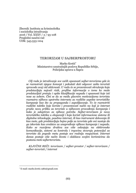Zbornik Instituta za kriminološka i sociološka istraživanja 2016 / Vol. XXXV / 2 / 93-108 Pregledni naučni rad UDK: 343.533::004

## TERORIZAM U SAJBERPROSTORU

Marko Krstić Ministarstvo unutrašnjih poslova Republike Srbije, Policijska uprava u Šapcu

*Cilj rada je istraživanje sve većih opasnosti sajber-terorizma gde će se razmotrati njegov koncept i pokušati dati odgovor zašto teroristi sprovode ovaj vid aktivnosti. U radu će se prezentovati okruženja koja predstavljaju najveći rizik, profilne informacije o tome ko može predstavljati pretnju i opšte klasifikacije napada i opasnosti koje isti nose sa sobom. Čini se da se među glavnim motivacijama terorista razmatra njihova upotreba interneta za različite aspekte terorističke kampanje kao što su propaganda i zapošljavanje. To će razmotriti različite taktike koje koriste i prezentovati način na koji je internet pružio novu priliku za teroriste u njihovom provođenju kampanja i kako je adaptiran za njihove potrebe. Sajber-terorizam je nova teroristička taktika u ekspanziji i koja koristi informacione sisteme ili digitalne tehnologije, posebno internet, ili kao instrument delovanja ili kao mete, gde predstavljaju bojno polje za teroriste gde oni nastoje da ga iskoriste kao sredstvo za unapređenje njihove kampanje i napada. Kako se razvijena društva sve više oslanjaju na elektronske komunikacije, sistemi za kontrolu i trgovinu stvaraju potencijal za teroriste da pogode metu postaje sve realnija mogućnost. Internet danas postaje više način života i olakšava svojim korisnicima da postanu mete sajberterorista.*

*KLJUČNE REČI: terorizam / sajber-prostor / sajber-terorizam / sajber-teroristi / internet*

E-mail: marko.krstic.1982@gmail.com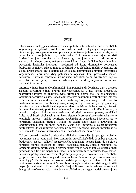## UVOD

Ekspanzija tehnologije uslovljava sve veću upotrebu interneta od strane terorističkih organizacija i njihovih pristalica za različite svrhe, uključujući regrutovanje, finansiranje, propagandu, obuku, podsticanje na izvršenje terorističkih akata, kao i prikupljanje i širenje informacija za te svrhe. U virtuelnom svetu, sajber-teroristi koriste kompjuter kao alat za napad na drugi kompjuter gde ti napadi ne ostaju samo u virtuelnom svetu, već su usmereni i na živote ljudi i njihovu imovinu. Povećanje korisnika interneta i zavisnosti od istog, dramatično povećavaju bezbednosne rizike i iako su mnoge prednosti ovog globalnog medija evidentne, on se sa druge strane često koristi da se olakša komunikacija unutar terorističke organizacije. Zabrinutost zbog potencijalne opasnosti koju predstavlja sajberterorizam je itekako osnovana, što ne znači međutim, da su svi strahovi koji se artikulišu u medijima, državnim institucijama i u drugim javnim forumima, racionalni i razumni.

Internet je inače izrazito globalni medij i ima potencijal da doprinese da sva društva zajedno osiguraju jednak pristup informacijama, ali u isto vreme predstavlja platformu akterima da unaprede svoje kriminalne ciljeve, kao i da se angažuju i organizuju terorističke akte. Danas je internet sve dostupniji i zastupljeniji i ima sve veći značaj u našim društvima, a teroristi logično prate ovaj trend i sve to maksimalno koriste. Kombinacija ovog novog medija i rastuće pretnje globalnog terorizma poziva na tradicionalne pravne odgovore države. Sajber-prostor, internet, intranet i ekstranet, postali su najvredniji i istovremeno najkritičniji resursi, a teroristi i sajber-kriminalci će maksimalno iskoristiti tehničke, pravne, političke i kulturne slabosti i širok spektar ranjivosti sistema. Pretnja sajberterorizma izaziva je okupirala naslove i pažnju političara, stručnjaka za bezbednost i javnosti, jer je terorizam fleksibilna pretnja i stalno će tražiti slabe tačke u državama ili organizacijama koje su mete napada. Veliki deo literature o sajber-terorizmu pretpostavlja da su ranjivost računarskih mreža i ranjivost kritične infrastrukture identični i da te slabosti izlažu nacionalnu bezbednost značajnom riziku.

Tokom proteklih nekoliko decenija, digitalna revolucija je podigla globalnu povezanost na potpuno novi nivo i samim tim su veliki izgledi da će sajber-prostor u budućnosti postati "poligon" za terorističke aktivnosti. Postaje jasno da se ciljevi terorista moraju prebaciti sa "bruto" nanošenja panike, smrti i razaranja, na ometanje vitalnih informacionih sistema preko sajber-napada koji će svakako imati prednost nad fizičkim napadima, inače karakterističnim za teroriste. Ideja sajberterorizma postoji već duže vreme, ali postavlja se pitanje, u kojoj meri su terorističke grupe svesne štete koju mogu da nanesu koristeći informacije i komunikacione tehnologije? Da li sajber-terorizam predstavlja ozbiljan i realan rizik ili pak fantomsku i virtuelnu pretnju? Širina oblasti u kojima sajber-teroristi mogu izvršiti napad je u najmanju ruku zastrašujuća. Ovaj oblik terorizma je realna opasnost u eri brzog tehnološkog razvoja i više je nego očigledno da njegov model delovanja sa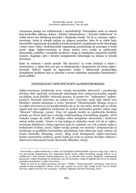vremenom postaje sve sofisticiraniji i nepredvidiviji. Potencijalne mete su sistemi koji kontrolišu odbranu države i kritične infrastrukture i "teroristi budućnosti" će voditi ratove bez direktnog kontakta i eksplozija bombi. Da bi se razumeo sajberterorizam, važno je obratiti pažnju na njegovu pozadinu, kako bi se videlo kako terorističke organizacije ili pojedinci koriste prednosti i pogodnosti novih tehnologija i kakve mere vlada i međunarodnih organizacija preduzimaju da pomognu u borbi protiv njega. Sajber-terorizam je danas postao novo oružje za uništavanje ekonomske, političke i sociološke strukture i stoga je neophodno razmotriti različite namere, događaje, akte i domete kompjuterske tehnologije na kojima se temelji terorizam.

Kako su računari i mreže postale "žila kucavica" za svaku funkciju u državi i inostranstvu, u njima leži novi put za eksploataciju i zloupotrebu od strane sajberterorista. Njihovi napadi na sigurnosne mreže i informacije predstavljaju kompleksne probleme koji su aktuelni u novim oblastima nacionalne bezbednosti i javne politike.

### DEFINISANJE I SPECIFIČNOSTI SAJBERTERORIZMA

Sajber-terorizam predstavlja novu verziju terorističke aktivnosti i predstavlja krivično delo upotrebe savremenih tehnologija kroz nekonvencionalne napade na daljinu, izvan fizičkih i državnih granica, uz pomoć tzv. "sajberspace" (sajber prostor). Korisnik interneta, pa samim tim i terorista, može lako sakriti svoj identitet i postati anoniman u ovom "prostoru" (Moslemzadeh, Manap, 2013) a za sajber-terorizam je još karakteristično da se ne zna tačno mesto gde se odvija napad koji ima naglašenu tendenciju da prelazi nacionalne granice nakon čega "iščezava" (Brenner, 2004).<sup>1</sup> Ovaj vid napada možda ne predstavlja direktnu pretnju po živote ljudi kao u slučaju tradicionalnog terorističkog napada <sup>2</sup>, ali bi svakako mogao da uništi ili ozbiljno ošteti kompletan ekonomski i društveni sistem jedne zemlje. Upravo iz tog razloga se slobodno može reći da je sajberterorizam definitivno realna opasnost koja će, nažalost, sve više uzimati maha u budućnosti (Cottim, 2010). Sajber-oružja postaju sve moćnija i jednostavnija za korišćenje sa grafičkim korisničkim interfejsima koji zahtevaju malo veština od strane korisnika (Denning, 2000)*.* Zbog svoje dostupnosti, sajber-terorizam koristi asimetrična sredstva, protiv kojih još uvek ne postoje dovoljno efikasni i delotvorni instrumenti borbe (Kurmnik, Ribnikar, 2003).

<sup>1</sup> Konvencija o sajber-kriminalu je jedan od najvažnijih međunarodnih ugovora ovoga tipa i iako je ova konvencija kategorisana kao regionalna borba protiv sajber-terorizma, mnoge države su je ratifikovale i tako postale članice-potpisnice, jer su shvatile njen značaj. Međutim, najznačajniji sporazum o sajber-kriminalu ne obuhvata ovaj vid terorizma i stoga bi najbolje bilo da se on dopuni posebnim protokolom o sajber-terorizmu.

<sup>2</sup> Može se reći da je sajber-terorizam isti kao i "fizički", "konvencionalni" terorizam, osim što za napade koristi kompjutere (Brett, 2007) gde umesto da izvrše akte nasilja protiv lica ili fizičke imovine, sajber-teroristi vrše razaranja i "prekide" digitalne imovine (Denning, 2007).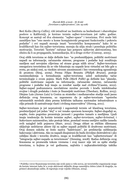Beri Kolin *(Berry Collin),* viši istraživač na Institutu za bezbednost i obaveštajne poslove u Kaliforniji, je kreirao termin sajber-terorizam još 1980. godine. Koncept se sastoji od dva elementa: "sajber-space" i terorizma. Prvi može biti zamišljen kao "ono mesto u kome kompjuterski programi funkcionišu i pokreću podatke" i ovi napadi moraju imati "terorističku komponentu" kako bi se kvalifikovali kao čin sajber-terorizma; moraju da uliju strah i poseduju političku motivaciju. Teroristi "koriste" računar kao potporu njihovim aktivnostima, bez obzira da li za propagandu, komunikaciju, ili u druge svrhe <sup>3</sup> (Conway, 2005).

Ovaj oblik terorizma se dalje definiše kao: "sa predumišljajem, politički motivisani napadi na informacije, računarske sisteme, programe i podatke koji rezultiraju nasiljem nad nevojnim ciljevima od strane grupa nižih nivoa". Sajber-terorizam omogućava teroristima da se više fokusiraju na napade kroz virtuelni rat bilo gde u svetu, po niskoj ceni, sa visokim nivoom anonimnosti i bez vremenskog ograničenja ili prostora (Siraj, 2009). Prema Filipu Brunstu *(Philiph Brunst),* postoje razmimoilaženja u formulisanju sajber-terorizma usled nedostatka tačne terminologije o ovom pojmu. Mark Polit *(Mark Pollit)* ga definiše kao "planske, politički motivisane napade na informacije, računarske sisteme, računarske programe i podatke koji imaju za rezultat nasilje nad civilima"(Cassim, 2012). Sajber-napad podrazumeva neovlašćene mrežne povrede i krađu intelektualne svojine i drugih podataka i često je finansijski motivisan (Theohary, Rollins, 2015). Džejms Luis *(James Luis)* iz Centra za strateške i međunarodne studije nudi jasnu definiciju ovog fenomena, uz napomenu da je sajber-terorizam "upotreba računarskih mrežnih alata prema kritičnim tačkama nacionalne infrastrukture u cilju prinude ili zastrašivanja vlasti i civilnog stanovništva" (Herzog, 2011).

Sajber-terorizam je još neprozirniji i zagonetniji termin od klasičnog terorizma, predstavljajući još jedan "sloj" u već ionako spornom konceptu. Sajber-događaji se, uopšte, često pogrešno prezentuju javnosti i pogrešno tumače u medijima. Ljudi imaju tendenciju da koriste termine *sajber*, *sajber-terorizam*, *sajber-kriminal*, i *hakerizam* naizmenično, iako postoje bitne, ponekad veoma osetljive razlike između ovih naizgled istih pojmova (Starr, 2012). Druga oblast sa etičkim dilemama uključuje nedržavne aktere čiji su sajber napadi politički ili društveno motivisani. Ovaj domen sukoba se često naziva "haktivizam", jer predstavlja sublimaciju hakovanja i aktivizma. Ako su napadi dizajnirani da budu dovoljno destruktivni i ako ozbiljno škode i terorišu društvo, mogu se kvalifikovati kao "sajberterorizam" ili "integracija sajber-napada sa terorizmom" (Denning, 2008). Radna definicija ovog fenomena se promenila tokom vremena i ovaj izazov nije isti za opšte studije terorizma, u kojima je već godinama, najčešća i najkarakterističnija taktika

<sup>3</sup> Podrška i izvor finansiranja terorista nije uvek samo u vidu novca, jer terorističke organizacije mogu da koriste internet kako bi u svoje aktivnosti uključile druga zamenljiva dobra (zlato ili dragulje, na primer) akumuliraju zalihe, ili regrutuju svoje vojnike (Hinnen, 2004).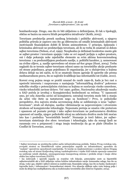bombardovanje. Drugo, ono što će biti uključeno u definicijama, ili čak u tipologiji, obično se bazira na osnovu ličnih perspektiva istraživača<sup>4</sup> (Keith, 2005).

Terorizam predstavlja presek nasilnog kriminala i političke aktivnosti, a njegova politička priroda je zapravo ono što ga diferencira od ostalih kriminalnih aktivnosti motivisanih finansijskom dobiti ili ličnim animozitetom. U principu, špijunaža i kriminalna aktivnost ne predstavljaju terorizam, ali ih ne treba ih smatrati ni delom sajber-terorizma (Nelson, *et.al*, 1999). Neophodno je definisati konkretno mesto gde se sajber-prostor i terorizam spajaju i iako se ovi napadi javljaju u sajber-prostoru, oni i dalje pokazuju neke zajedničke elemente sa svim aktima konvencionalnog terorizma: 1 sa predumišljajem preduzeto nasilje, 2. politički karakter, 3. usmerenost na civilne ciljeve, 4. nasilje sprovedeno od strane *ad-hoc* grupa (Hunt, 2004). Treba naglasiti da se termin sajber-terorizam odnosi samo na terorističke akcije preduzete od strane pojedinaca, grupa pojedinaca ili organizacija, jer u slučajevima u kojima država deluje na isti način, to bi se smatralo činom agresije ili uporebe sile prema međunarodnom pravu, što se najčešće kvalifikuje kao informatički rat (Gable, 2010).

Koreni ovog pojma mogu se pratiti unazad do ranih 1990-ih, kada je brz rast u upotrebi interneta i raspravama o nastajanju "informatičkog društva" pokrenuo nekoliko studija o potencijalnim rizicima sa kojima se suočavaju visoko umrežene, visoko tehnološki zavisne države. Već 1990. godine, *Nacionalna akademija nauka* u SAD počela je izveštaj o Kompjuterskoj bezbednosti sa rečima: "U opasnosti smo, jer cela Amerika zavisi od kompjutera; sutrašnji terorista može biti u stanju da učini više štete sa tastaturom nego sa bombom".<sup>5</sup> Prvo, iz psihološke perspektive, dva najveća straha savremenog doba se sublimiraju u izraz "sajberterorizam": strah od slučajne, nasilne viktimizacije sa nepoverenjem i otvorenim strahom od kompjuterske tehnologije. Nepoznata pretnja se smatra više pretećom i opasnom od poznate pretnje i iako sajber-terorizam ne podrazumeva direktnu opasnost od nasilja, njegov psihološki uticaj na zabrinuta društva može biti moćan isto kao i posledica "terorističkih bombi". Neznanje je treći faktor, jer sajberterorizam sintetizuje dve sfere: terorizam i tehnologije, tako da mnogi ljudi ne razumeju ovo u potpunosti i stoga imaju tendenciju da ga se plaše (Studies in Conflict & Terrorism, 2005).

<sup>4</sup> Sajber-terorizam ne predstavlja jedini način infrastrukturnog prekida. Nakon Prvog svetskog rata, evropski stratezi su identifikovali važne potencijalne napade na infrastrukturu, sposobne da "osakate" operativne sposobnosti neprijatelja. Te teorije su implementirane u praksu tokom Drugog svetskog rata od strane Kraljevskog ratnog vazduhoplovstva i vojske SAD tokom operacije usmerene na uništenje ratnih objekata, onemogućavanja transportnog sistema i prekida struje i imaju slične efekte kao sajber-terorizam (NATO).

<sup>5</sup> Iza izolovanih i upornih napada na zvanične veb lokacije, potencijalne mete za hipotetički sajberteroristički akt u SAD uključuju većinu kritične infrastrukture nacije: komunalne usluge, kao što su struja, voda i gas, objekti i njihovi sistemi za snabdevanje, finansijske usluge, kao što su banke, bankomati i trgovačke kuće; i informacioni i komunikacioni sistemi. Ova situacija oblikuje neku vrstu bojnog polja i može da deluje kao multiplikatorna sila za tradicionalne terorističke akte (Estevez-Tapiador, 2004).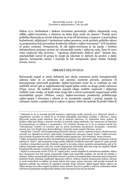Nakon 9/11, bezbednost i diskurs terorizma prezentuju vidljivu ekspanziju ovog oblika sajber-terorizma, s obzirom na štetu koju može da nanese.<sup>6</sup> Postoji nova politička dimenzija sa novim fokusom na ovaj vid terorizma a rasprave o nacionalnoj bezbednosti, uključujući i bezbednost sajber-prostora, uvek privlače političke aktere sa programima koji prevazilaze konkretne debate o sajber-terorizmu"<sup>7</sup> (US insstitute of peace contens). Pretpostavka ili cilj sajber-terorizma je da nacije i kritična infrastruktura postanu zavisni od računarskih mreža i njihovog rada, čime bi nova vrsta ranjivosti bila stvorena - "ogromna elektronska Ahilova peta". Samim tim, neprijateljski narod ili grupa bi mogli da iskoriste te slabosti da prodru u slabo sigurnu računarsku mrežu i ometaju ili čak onesposobe njene vitalne funkcije (Lewis, 2002).

### OBRASCI DELOVANJA

Računarski napad se može definisati kao akcija usmerena protiv kompjuterskih sistema kako bi se prekinuo rad opreme, kontrole prerade, promene ili korumpiranje sačuvanih podataka. Sajber-terorizam može da se realizuje na više različitih nivoa<sup>8</sup> gde je najjednostavniji napad jedne osobe na drugu preko računara (Pope, 2014). Ali različite metode napada ciljaju različite ranjivosti i uključuju različite vrste oružja, od kojih neke mogu biti u okviru postojećih mogućnosti nekih terorističkih grupa <sup>9</sup> (Wilson, 2005). Sajber-terorizam predstavlja približavanje sajber-spejsa i terorizma i odnosi se na nezakonite napade i pretnje napada na računare, mreže, a podaci koji se nalaze u njemu, težeći da zastraše ili prisile vladu ili

<sup>6</sup> Dokazano je da su teroristi koristili internet u planiranju svojih operacija 9/11. Računari oduzeti u Avganistanu navodno su otkrili da je Al Kaida prikupljala obaveštajne podatke o ciljevima i slanju šifrovanih poruka preko interneta. Kao što je nedavno otkriveno, 16. septembra 2002. godine, Al Kaidine ćelije koje deluju u Americi navodno su koristili usluge telefonske veze zasnovane na Internetu da komuniciraju sa ćelijama u inostranstvu. Ovi incidenti ukazuju na to da se internet koristi kao *"ciberplaning"* sredstvo za teroriste, gde on pruža teroristima anonimnost, komandne i kontrolne resurse, kao i niz drugih mera da koordiniraju i integrišu opcije napada (Thomas, 2003).

<sup>7</sup> Postoji čitav "arsenal" reči kompjuterskog kriminala: *infowar, netwar, sajberterorizam, ciberharasment, virtuelni rat, digitalni terorizam, cybertatcits, kompjutersko ratovanje, napad "preko" i sajber-provala*. Oni se koriste da pokažu šta neki vojni i politički stratezi opisuju kao "novi terorizam" našeg vremena.

<sup>8</sup> Sajber prestupnici mogu koristiti automatizaciju da pojačaju svoje aktivnosti a jedan od primera ovakvog pristupa je *"Spam"*, gde prestupnici mogu poslati milijarde neželjenih masovnih "spamova" preko poruka u kratkom vremenskom periodu. Hakerski napadi su još jedan primer upotrebe automatizacije, gde je 80 miliona hakerskih napada svaki dan rezultat dostupnosti softverskih alata koji mogu da napadnu hiljade kompjuterskih sistema u razmaku od samo nekoliko sati (Gerke, 2010).

<sup>9</sup> Napad na računarsku mrežu *(CNA),* ili "napad preko" remeti integritet ili autentičnost podataka, obično kroz zlonamerni kod koji menja programsku logiku koja kontroliše podatke, što dovodi do grešaka u izlazima. Hakeri oportunistički pretražuju internet u potrazi za kompjuterskim sistemima koji su pogrešno podešeni ili gde nedostaju neophodni sigurnosni softveri. Jednom zaražen zlonamernim kodom, računar se može kontrolisati na daljinu od strane hakera koji mogu, putem interneta, slati poruku komandi da špijunira sadržaje tog računara ili napadima ometaju druge računare. Sajber-napad obično zahteva da ciljani računar ima neku unapred postojeću manu sistema, kao što su greške u softveru, nedostatak zaštite antivirusa ili pogrešnne konfiguracije sistema, koju zlonamerni kod zna da iskoristi*.*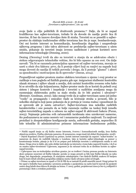svoje ljude u cilju političkih ili društvenih promena.<sup>10</sup> Dalje, da bi se napad kvalifikovao kao sajber-terorizam, trebalo bi da dovede do nasilja protiv lica ili imovine, ili bar da izazove dovoljno štete ili straha. Teroristi su se preselili u sajber prostor da olakšaju tradicionalne oblike terorizma kao što je napr. bombardovanje. Oni oni koriste internet za komunikaciju, koordinaciju događaja i unapređenje njihovog programa i iako takva aktivnost ne predstavlja sajber-terorizam u užem smislu, pokazuje da teroristi imaju izvesnu nadležnost i primat koristeći nove informacione tehnologije (Denning, 2000).

Dening *(Denning)* tvrdi da ako su teroristi u stanju da se adekvatno obuče i steknu odgovarajuće tehnološke veštine, što bi bilo opasno za ceo svet. On dalje navodi: "Da bi se razumela potencijalna opasnost od sajber-terorizma, moraju se uzeti u obzir dva faktora: prvo, da li postoje ciljevi koji su ranjivi na napade koji mogu dovesti do nasilja ili teških povreda i drugo, da li postoje "glumci" i akteri sa sposobnošću i motivacijom da ih sprovedu<sup>11</sup> (Imran, 2014).

Propustljivost sajaber-prostora znatno olakšava terorizam u njemu i ovaj prostor se razlikuje u tom pogledu od fizičkih granica gde npr. imigracioni službenici kontrolišu ulazak stranaca i njihov ulazak u zemlju, dok carinici kontrolišu uvezenu robu kako bi se utvrdilo da nije krijumčarena. Sajber-prostor može da se koristi da pobedi ovaj sistem i izbegne kontrole i inspekcije i teroristi u različitim zemljama mogu da razmenjuju elektronsku poštu sa malo straha da će biti praćeni i uhvaćeni<sup>12</sup> (Brenner, Goodman, 2002). Iako mnogi tvrde da je sajber-terorizam samo još jedno "vozilo" za propagandu i smicalice vlade za kreiranje straha u javnosti, bilo je nekoliko slučajeva koji jasno pokazuju da je pretnja je veoma realna i sposobnost da se sprovede akt je zaista ostvariva13. Sajber-terorizam ima nekoliko različitih karakteristika i one pomažu da se bolje razumeju razlike na tankoj liniji između sajber-terorističkog napada u odnosu na sajber-napad ili aktivnosti hakera (Puran, 2003). Najmanje polovina svih računarskih incidenata nisu uzrokovani namerno, što podrazumeva ne samo nesreće već i nenamerne posledice ranjivosti. Ta ranjivost proizilazi iz zloupotrebljene konfiguracije mreža, softverskih grešaka, nepravilno ili loše tehničke ili administrativne primene informacione bezbednosne politike,

<sup>10</sup> Fizički napadi imaju za cilj fizičke strane Interneta, čvorova i komunikacionih medija, kroz fizička ofanzivna sredstva. Fizička oštećenja namerno, ili nenamerno, mogu imati isti efekat(Kostopoulos, 2008)*.*

<sup>11</sup> Dejvid Kopeland *(David Copeland)* na primer, koristi internet materijal da napravi "nokat-bombu" sa namerom da dopre do različitih lokacija u Londonu. Iako je koristio sajber-tehnologije za pomoć u konstruisanju bombe, pitanje je da li bi on potpao pod definiciju teroriste u uobičajenom smislu te reči danas. Druga stvar je dakle, ako neko dobije instrukcije na internetu o tome kako napraviti bombu, i da li se on smatra sajber-teroristom? Uglavnom, argument je da računari treba da se direktno koriste za sajber napad terorista.

<sup>12</sup> *Cyberspace* ima ne-teritorijalno utvrđene granice, jer su troškovi i brzina prenosa poruka na Internetu skoro potpuno nezavisni od fizičke lokacije: poruke se mogu preneti sa bilo koje fizičke lokacije na neku drugu, bez degradacije, propadanja, ili značajnim zakašnjenjem i bez ikakvih fizičkih znakova ili barijera koje bi inače držali određena geografska udaljena mesta i ljude odvojene jedni od drugih.

<sup>13</sup> Primer za sajber-terorizam su upadi u CIA ili FBI da se zastraši ili prisili američki narod. Drugi primer bi bio upad u bolničke baze podataka i promenu podataka o pacijentima na način koji bi izazvali da pacijenti umiru zbog lažnih doza lekova ili alergija na hranu. U 2003. godini, projektovani iznos je bio 6,5 milijardi \$ poremećaja i štete u svetskim poslovima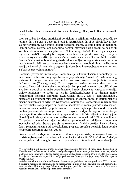neadekvatno obučeni računarski korisnici i ljudska greška (Bosch, Bailes, Fromvelt, 2004).

Dok su sajber-incidenti motivisani političkim i socijalnim razlozima, postavlja se pitanje da li su zaista dovoljno štetni ili zastrašujući da bi se okvalifikovali kao sajber-terorizam? Dok mnogi hakeri poseduju znanje, veštine i alate da napadnu kompjuterske sisteme, oni generalno nemaju motivaciju da dovedu do nasilja ili ozbiljne ekonomske ili socijalne štete<sup>14</sup> (Denning, 2000). Osim toga, uspešan sajber-teroristički događaj bi mogao da zahteva više preduslova nego znanja sredstva koja su u suštini jednom stečena, dostupna su vlasniku i može ih koristiti iznova. Na taj način, bilo bi moguće da takav ambijent omogući stvaranje potpuno novih terorističkih grupa: nema novčanih sredstava neophodnih za realizovanje akcija, a članovi bi mogli da se organizuju dosta brzo i lako pobegnu u anonimnost sajberspejsa (Weimann, 2005).

Naravno, povećanje informacija, komunikacija i komunikacionih tehnologija ne utiču samo na terorističke grupe. Informacija predstavlja "novu krv" međunarodnog sistema i mnogo promena se desilo kao kao rezultat širenja informacione infrastrukture (Conway, 2005). Danas, zapadna društva zavise u skoro svakom aspektu života od računarske komunikacije; kompjuterski sistemi kontrolišu skoro sve što je potrebno za našu svakodnevnicu i naše planove za vanredne situacije. Sajber-terorizam<sup>15</sup> je sličan po svojim karakteristikama i sa drugim ranije pomenutim oblicima terorizma (Aviv-Cohen, 2010). Kao i "konvencionalni", nastojaće da promeni mišljenje ciljane publike, međutim, može da koristi različite načine delovanja u tu svrhu (Mliyanarachci, Wijesinghe, Jayarathine). Glavni motivi za terorističko nasilje uopšte su političke, ideološke ili verske prirode i ako sajberterorizam zaista predstavlja približavanje terorizma i sajber-prostora, onda će se isti motivi primenjivati za njega, samo u drugom mediju. Mnogi od veb*-*lokacija postavljenih od strane terorističkih grupa se služe političkim ciljevima, ideologijom ili religijom i zaista*,* sajberp-rostor nudi određene prednosti nad fizičkom medijumu. Za početak omogućava sajber-teroristima pogodnosti za udaljene i anonimne operacije i takođe, izbegava potrebu za rukovanjem fizičkim oružjem i eksplozivom, kao i pratećim rizicima od spektakularne propasti propalog pokušaja kada bombe eksplodiraju prerano (Kheng, 2003).

Kao što je već objašnjeno, osim ofanzivnih operacija terorista, oni mogu efikasno da koriste sajber-prostor za bezbedne komunikacije. Al Kaidin *"Priručnik za obuku"* je samo jedan od mnogih dokaza o posvećenosti terorističkih organizacija za

<sup>14</sup> U novembru 2014. godine, izvršen je sajber napad na *Sony Pictures* od strane grupe hakera koji su identifikovani kao "*Our-mine".* Prvobitno su objavljene poverljive informacije, kao što su imena zaposlenih , adrese i plate i izazvana je takođe fizičko oštećenje velikog broja računara. Ovo je usledilo mesec dana kasnije sa zahtevom da se poništi komedija pod nazivom "Intervju" i koje je *Sony* delimično ispunio (Wallace, 2016).

<sup>15</sup> Sajber-terorizam se može manifestovati i u ometanju podakata banaka, prodora u ZTP računare, blokiranje računara za komunikaciju na međunarodnom aerodromu i brisanju biračkih spiskova 24 sata pre izbora i još mnogo toga. Svi ovi sistemi su provajderi, što znači da su povezani na Internet na jedan ili drugi način, i stoga su pod rizikom od invazije.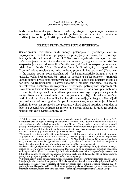bezbednom komunikacijom. Naime, među najvažnijim i najobimnijim lekcijama opisanim u ovom uputstvu su dve lekcije koje pružaju smernice o pravilnom korišćenju komunikacija i zaštiti podataka (Petreski, Bogdanoski, 2013).<sup>16</sup>

### ŠIRENJE PROPAGANDE PUTEM INTERNETA

Sajber-prostor teroristima nudi mnogo potencijala i predstavlja alat za zapošljavanje, radikalizaciju, propagandu i prikupljanje sredstava, kao i pružanje brze i jednostavne komande i kontrole 17 . S obzirom na jednostavnost upotrebe i sve veće oslanjanje na razvijena društva na internetu, mogućnost za terorističku eksploataciju se svakodnevno širi (Brantly, 2014).<sup>18</sup> Čak i pre ekspanzije interneta, Aleks Šmit i De Graf *(Alex Schmid & Janni De Graaf, 1982)* su zapazili da je "komunikaciona revolucija 20. veka značajno promenila lice terorizma" (Terrorism & the Media, 2008). Posle događaja od 9/11 i antiterorističke kampanje koja je usledila, veliki broj terorističkih grupa se preselio u sajber-prostor<sup>19</sup>, kreirajući hiljade sajtova preko kojih promovišu svoje poruke i aktivnosti. Socijalni mediji se razlikuju od tradicionalnih i konvencionalnih u mnogim aspektima, kao što su interaktivnost, dostizanje zadovoljavajuće frekvencije, upotrebljivost, neposrednost. Nove komunikacione tehnologije, kao što su relativno jeftine i dostupne mobilne i veb-mreže, stvaraju visoko interaktivne platforme kroz koje bi pojedinci planirali akcije, diskutovali i menjali njihov sadržaj (Weimann, 1983). Internet nudi moćan, jeftin i prodoran alat za komunikaciju i koordinaciju akcija, sa oko 300 miliona ljudi na mreži samo od 2000. godine. Grupe bilo koje veličine, mogu dostići jedni druge i koristiti internet da promovišu svoj program. Njihovi članovi i pratioci mogu doći iz bilo kog geografskog područja na Internetu, a mogu pokušati da utiču na spoljnu politiku bilo gde u svetu (Denning, 2007).

<sup>16</sup> Čak i pre 9/11, kompjuterska bezbednost je postala naročito ozbiljan problem za firme u SAD. *Computerworld* je objavio izveštaj sa detaljima iz oktobra 2000. godine i računarskih napad na *Microsoft corporation*, u kojima su se hakeri prerušili kao *offshore* radnici preduzeća kako bi dobili pristup internoj mreži *Microsoft-a.* Centar za strateške i međunarodne studije je kasnije zaključio da ako *Microsoft* može biti meta, nijedna kompanija nije sigurna. Računarski crv, na primer, je izazvao više od 11 milijardi \$ gubitaka u 2000. godini (Raghavan, 2003).

<sup>17</sup> Islamski teroristi su naročito aktivni na Internetu. U oktobru 2003. godine, na internet *Haganah u*, projektu posvećenom borbi protiv terorizma, navedeno je 65 aktivnih sajtova sa pripadnosti islamskim terorističkih organizacija. Među njima su Al-Aksa Martirs brigada (10 websites), Al-Kida (24), Hamas (19), Hezbolah (5), Hizb-ut-Tahrir (4), a palestinski Islamski džihad (2). Projekat je tvrdio da su teroristi dobili oko 300 dodatnih sajtova podrške (Denning, 2010).

<sup>18</sup> Iako su neki sajtovi povezani sa terorističkim organizacijama počeli da prikupljaju *Bitcoin* donacije, izgleda da je ova praksa relativno ograničena. Moguće je da se sa povećanjem tehničkih kapaciteta ovih organizacija, njihovo korišćenje digitalnih valuta takođe intenzivira. Ovo povećanje će verovatno biti malo, u odnosu na ukupno finansiranje terorizma preko drugih kanala kao što su, kidnapovanje, pretnja kompanijama, prodaja narkotika, nafte, i još mnogo toga.

<sup>19</sup> Zvanični sajtovi nekih stranih terorističkih organizacija mogu predstavljati terorističke lokacije, kao i lokacije njihovih pristalica i simpatizera. Ali kada sajtovi bez formalne terorističke pripadnosti sadrže naklonjena osećanja prema političkim ciljevima terorističke grupe, definicija postaje "zatamnjena". U poslednjih nekoliko godina veliki broj ljudi sa simpatijama gleda na talibanske sajtove koje su razvili na internetu, međutim, čestim prekidima istih, teško je pratiti njihov sadržaj i osećanja (Kaplan, 2009).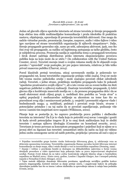Jedan od glavnih ciljeva upotrebe interneta od strane terorista je širenje propagande koja obično ima oblik multimedijalne komunikacije i pruža ideološku ili praktičnu nastavu, objašnjenja, opravdanja ili promociju terorističkih aktivnosti. One mogu da sadrže virtuelne poruke, prezentacije, časopise, rasprave, audio i video fajlove i video igre razvijene od strane terorističkih organizacija ili njihovih simpatizera<sup>20</sup>. Dalje, širenje propagande generalno nije, samo po sebi, zabranjena aktivnost, ipak, ono što čini ovaj vid propagande, za razliku od legitimnog zastupanja sa tačke gledišta, često je subjektivna procena. Promocija nasilja je zajednička tema u propagandi terorizma i širok domet sadržaja distribuiran preko interneta eksponencijalno povećava publiku koja na koju može da se utiče.<sup>21</sup> (In collaboration with the United Nations Counter, 2012). Teroristi moraju imati u svojim rukama medij da bi objasnili svoju poruku i "opravdali" svoje postupke, jer pre pojave interneta, relativno je bilo teško privući masovnu publiku (Charvat, 2014).

Pored klasičnih pretnji terorizma, uticaj savremenih medija je pokrenulo tzv propagandni rat, kome terorističke organizacije pridaju veliki značaj. Ovaj rat može biti veoma moćno psihološko oružje i može značajno povećati efekat određenih radnji. Teroristi, s jedne strane, praktikuju medijsku propagandu kako bi pokazali "apsolutno prostranstvo svojih ciljeva" <sup>22</sup>, ali u isto vreme oni su svesni koliko im šteti negativan publicitet u njihovoj realizaciji. Značenje terorističke propagande, tj četiri glavna cilja u korišćenju masovnih medija su: 1. da prenesu propagandna dela i da se usadi ekstremni strah ciljnoj grupi; 2. mobilisati širu podršku za "svoju stvar" u opštoj populaciji i međunarodno mišljenje sa akcentom na teme kao što su pravednost svog cilja i neminovnosti pobede; 3. osujetiti i poremetiti odgovor vlade i bezbednosnih snaga; 4. mobilisati, podstaći i povećati svoje birače, stvarne i potencijalne pristalice i na taj način da se povećati zapošljavanje, podizanje više novca i samim tim inspirisati nove napade (Wilkinson, 2002).

Pitanje koje se postavlja je, ko zapravo predstavlja pravu publiku i sledbenike terorista na internetu? Da li je to vlada koja će potrošiti svoj novac i energiju i goniti ih kada utvrdi potencijalne tragove ili je to onaj širok auditorijum koji će slediti teroriste i zastupa njihovu ideologiju (Commitee on homeland security, 2011). Terorizam je tesno povezan sa konceptom propagandne i pojedinci koji se njime se u javnoj sferi su žigosani kao teroristi: semantičari ističu da način na koji mi vidimo jednu osobu umnogome zavisi od naših potreba, projekcija i procena ali sud o njoj se

<sup>20</sup> Pojedine terorističke grupe koriste visoke frekvencije šifrovanog glasa, tj. održavanje veza sa državnim sponzorima terorizma. Teroristička organizacija Hamas navodno koristi šifrovane internet komunikacije za slanje mapa, slika i ostale detalje u vezi sa terorističkim napadima (Denning, 1999).

<sup>21</sup> Znanje i veštine o pravljenju bombi je dostupno na džihadističkim sajtovima u formi veoma detaljnih procedura u video uputstvima koja pokazuju kako se prave improvizovani eksplozivni uređaji. Postoje čvrsti dokazi da su takve *online* kontrukcije odigrale ključnu ulogu u bombaškim napadima na Madrid 2004. i Kairo 2005. godine, London i Zapadni Glazgov, kao i neuspeli pokušaj napada u Nemačkoj (Cohen-Almagor, 2012).

<sup>22</sup> Tajne metode uključuju donošenje šifrovanim porukama, ugrađivanje nevidljive grafičke kodove pomoću steganografija, koristeći internet za slanje pretnje smrću, i angažovanje hakere da prikuplja obaveštajne podatke kao što su imena i adrese službenika za sprovođenje zakona iz onlajn baza podataka (Cronin, 2003).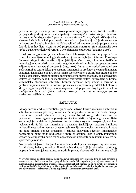posle ne menja kada se promeni okvir posmatranja (Lipschultsh, 2007). Ukratko, propaganda je dizajnirana za manipulaciju "verovanja" i izaziva akciju u interesu propagatora "ubrizgavanjem" poruka u glave slušalaca. To uključuje korišćenje slika, slogana i simbola u igri predrasuda i emocija, a njen krajnji cilj je da se zavede primaoc poruke kako bi došao na "dobrovoljno" prihvatanje pozicije propagandista kao da je njihov lični. Često se pod propagandom smatraju lažne informacije koje treba da uvere one koji već veruju i u svojoj modernoj upotrebi (Brahms, 2008).

Usled procesa globalizacije, naročito u oblasti tehnologije, terorističke grupe teže da kontrolišu medijske tehnologije da rade u njihovom najboljem interesu. Povećanje Internet usluga i pristupa efikasnijim i jeftinijim računarima, softverima i bežičnim tehnologijama, teroristima se pruža mogućnost da reklamiraju i propagiraju svoje ciljeve putem interneta (Lumbaca & Gray, 2011). Danas smo svedoci sve veće i sve sofisticiranijeg terorističkog prisustva na internetu i to predstavlja veoma dinamičan fenomen: iznenada se pojavi, često menja svoje formate, a zatim brzo nestaje ili što je još češći slučaj, prividno nestaje menjajući svoju internet adresu, ali zadržavajući gotovo isti sadržaj. Kako bi se identifikovali teroristički sajtovi, sprovedena su brojna sistematska skeniranja interneta, hraneći ogroman broj imena i termina u pretraživanjima i ulazeći u forume pristalica i simpatizera geodetskih linkova i drugih organizacija23. Ovo je veoma naporan trud, pogotovo zbog toga što u nekim slučajevima (npr. *Al Qaide website*) lokacije i sadržaj se menjaju gotovo svakodnevno (Gabriel, 2014).

## ZAKLJUČAK

Mnoge međunarodne terorističke grupe sada aktivno koriste računare i internet u cilju komuniciranja gde mogu razviti i steći neophodne tehničke veštine da režiraju koordiniran napad računara u jednoj državi. Napadi ovog vida terorizma na poslovne i državne organe ne poznaje granice i teroristi značajno mogu naneti štetu ekonomiji jedne države. Sajber-terorizam je pretnja koja je u ekspanziji, a dokazi pokazuju da će biti sve intenzivnija i opasnija. Snalažljivost terorista i njihova prilagodljivost stalno menjaju društvo i tehnologije i to je oblik ratovanja koji treba da bude priznat, ponovo procenjen, i zahteva adekvatan odgovor. Informatičko ratovanje je bojno polje budućnosti i mora se ozbiljno uzeti u obzir. Pokazatelji govore da će upotreba novih tehnologija nastaviti i proširiti, sa rastućim uticajem na sprovođenje zakona.

Ne postoje još jasni kriterijumi za utvrđivanje da li je sajber-napad zapravo napad kriminalaca, hakera, terorista ili nacionalne države koji je ekvivalent oružanog napada. Isto tako, još nema međunarodnih, pravno obavezujućih instrumenata koji

<sup>23</sup> Izveštaj počinje nacrtom porekla Interneta, karakteristikama novog medija, koje su tako privlačne i atraktivne za političke ekstremiste, opseg aktivnih terorističkih organizcacija u sajber-prostoru kao i njihovim ciljnim grupama. Srce izveštaja je analiza osam različitih namena interneta u svrhe terorizma koji variraju od korišćenja psihološkog oružja za prikupljanje informacija, obuke i prikupljanju sredstava, pa sve do propagande i regrutovanja, mreža za planiranje i koordinaciju terorističkih akata.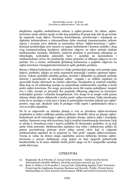eksplicitno regulišu međudržavne odnose u sajber-prostoru. Na žalost, sajberterorizam ostaje održiva opcija za bilo kog pojedinca ili grupe koje žele da ga koriste da unaprede svoje ciljeve. Povećana komunikacija, umrežavanje i oslanjanje na digitalnu infrastrukturu u informatičkom dobu osnažuje transnacionalne pokrete otpora i stvaraju nove slabosti za nacionalne države. Sajber-terorizam i sajber kriminal predstavljaju nove izazove za organe bezbednosti i kreatore politike i zbog svog transnacionalnog karaktera, adekvatan odgovor na takvu pretnju iziskuje međunarodnu saradnju. Međutim, ranjivost proizlazi iz povećanog oslanjanja na tehnologiju, nedostatak zakonskih mera i saradnje na nacionalnom i međunarodnom nivou, što predstavlja realnu prepreku za efikasan odgovor na ovu pretnju. Sve u svemu, nedostatak globalnog konsenzusa u pogledu odgovora na sajber-terorizam i kompjuterski kriminal je opšti, globalni, problem.

Barem u bliskoj budućnosti, bombe će i dalje predstavljati mnogo veću pretnju nego bajtovi, međutim, nikako ne treba zanemariti potencijal i rastuću opasnost sajberterora. Tokom proteklih nekoliko godina, teroristi i džihadisti su pokazali snažnije interese i sposobnosti za obavljanje sajber –napada i sa velikim uspehom su sprovodili brojne aktivnosti na raznim sajtovima. Neophodno je sumirati nekoliko ideja koje su od suštinskog značaja za unapređenje međunarodne saradnje u borbi protiv sajber-terorizma. Pre svega, prevencija mora biti znatno poboljšana i imajući ovo u vidu, moraju se prevazići dve prepreke efikasnog odgovora na terorizam: teritorijalne granice i tehnička kompleksnost. Ovo drugo bi se moglo rešiti putem obimne obuke aktera uključenih u borbu protiv sajber-terorizma. Dalja istraživanja treba da se razvijaju u onoj meri u kojoj će potencijalni terorista izabrati pre sajber prostor, nego npr. eksploziv kako bi postigao veliki uspeh i spektakularni uticaj u vezi sa svojim napadima.

Da bi se odgovorilo na istinska pitanja u vezi sa prirodom sajber-terorizma neophodan je jedan radikalan pristup problemu. Strateški uticaj na pitanja sajber bezbednosti novih tehnologija i njihovo globalno širenje, zahteva dalju i temeljniju analizu. Opasnost ovog vida terorizma, koji je rezultat transformacije terorizma i koji se odvija u virtuelnom svetu i izaziva političke ili ekonomske posledice, ni na koji način treba potceniti. Međunarodna zajednica ima retku i jedinstvenu priliku da putem preventivnog pristupa stvori jedan pravni okvir koji će osigurati međunarodnoj zajednici da se pripremi za "dan posle" napada sajber-terorizma. Veoma je važno da države imaju zajedničku pravnu definiciju termina sajberterorizma a pravno definisanje ovog pojma na bazi njegovih jedinstvenih karakteristika ne bi samo olakšalo borbu protiv njega već bi i unapredilo saradnju među državama.

## LITERATURA

- (1) Bogdanski, M, & Petreski, D. (2013) Cyber terrorism Global secyrity threat International scientific deffence*, Security and peace journal*, pp. 59-71
- (2) Bosh, O, Bailes A, & Fromellet I. (2004) (eds.) Defending Against Cyber Terrorism: Preserving the Legitimate Economy Business and Security: Public–Private Sector Relationships in a New Security Environment. SIPRI and Oxford University Press,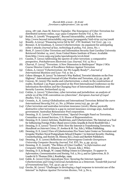2004. 187-196. Juan M. Estevez-Tapiador, The Emergence of Cyber-Terrorism Iee distributed systems online, 1541-4922 Computer Society Vol. 5, No. 10

- (3) Brahm, E. (2008) "Propaganda", Beyond Intractability, available from: http://www.beyond intractability.org/essay/propaganda/?nid=6791 22/09/2008
- (4) Brantly, A.(2014) "Financing terror bit by bit", CTC Sentinel, Vol 7(10) , pp. 1-5.
- (5) Brenner, S, & Goodman, S. (2002) Cyberterrorism: An argument for anticipating cyber ć attacks *Journal of law, technology & policy*, Vol. 2002, No. 1
- (6) Brett, P. (2007) Cyber Terrorism and Information Security East Carolina University Retrieved October 14, 2007, from United States Institute of Peace: Available from:http://www.usip.org/pubs/specialreports/sr116.html
- (7) Cassim, F. (2012) Addressing the spectre of cyber terrorism: a comparative perspective, *Potchefstroom Electronic Law Journal,* Vol. 15 No 2
- (8) Charvat, P. (2014) "Terrorism: A New Dimension in Battlespace" Major J SO2 Course Director Centre of Excellence Defence Against Terrorism
- (9) Cohen, A. (2010) "Cyberterrorism: Are We Legally Ready?", *Journal of International Business and Law*: Vol. 9: Iss. 1.
- (10) Cohen-Almagor, R. (2012) "In Internet's Way Radical, Terrorist Islamists on the Free Highway". International Journal of Cyber Warfare and Terrorism, 2(3), pp. 39-58.
- (11) Conway, M. (2005) The media and cyberterrorism: a study in the construction of reality, Scotland 1-53 Paper presented at the First International Conference on the Information Revolution and the Changing Face of International Relations and Security Lucerne, Switzerland 23-25
- (12) Cottim, A. (2010) "Cybercrime, cyber terrorism and jurisdiction: an analysis of article 22 of the COE convention on cybercrime", *European Journal of Legal Studies*, Vol 2, No.3.
- (13) Cronnin, A., K. (2003) Globalization and International Terrorism Behind the curve *International Security*,Vol. 27, No. 3 (Winter 2002/03), pp. 30–58
- (14) Cyber terrorism and australias terrorism insurance (2016), Sheme psysically destructive cyber terrorism is a gap in current insurance coverage arpc, Australian government; Australian Reinsurance Pool corporation.
- (15) Denning, D. E. (2000) "Cyberterrorism," Special Oversight Panel on Terrorism, Committee on Armed Services, U.S. House of Representatives.
- (16) Denning, D. E. (2001) Activism, Hacktivism, and Cyberterrorism: The Internet as a Tool for Influencing Foreign Policy (Rand 2001) (John Arquilla & David Ronfeldt Eds.)
- (17) Denning, D. E. (2010) "Terror's Web: How the Internet is Transforming Terrorism," in *Handbook on Internet Crime,* (Y. Jewkes & M. Yar, Eds.), Willan Publishing.
- (18) Denning, D. E. (2007) View of Cyberterrorism Five Years Later Center on Terrorism and Irregular Warfare Naval Postgraduate School [Chapter 7 in Internet Security: Hacking, Counterhacking, and Society (K. Himma Ed.), Jones and Bartlett Publishers.
- (19) Denning, D. E. (2000) Reflections on Cyberweapons Controls *Georgetown University Computer Security Journal,* Vol. XVI, No. 4, pp. 43-53.
- (20) Denning, D. E. (2008), "The Ethics of Cyber Conflict," in *Information and Computer Ethics* (K. E. Himma & H. T. Tavani, Eds.), Wiley.
- (21) Denning, D. E, & Baugh, W. (1999) Hiding Crimes in Cyberspace*. To appear in Information, Communication and Society,* Vol. 2, No 3, and in *Cybercrime*, B. D. Loader & D. Thomas (Eds.), Routledge, 1999.
- (22) Gable, K. (2010) Cyber-Apocalypse Now: Securing the Internet Against Cyberterrorism and Using Universal Jurisdiction as a Deterrent. *Vanderbilt journal of transnational law*, Vol. 43:57, pp 57—117.
- (23) Gercke, M. (2010) "Challenges in developing a legal response to terrorist use of the Internet" in *Defence Against Terrorism Review*, Vol. 3, No 2,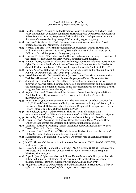- (24) Gordon, S. (2003) "Research Fellow Symantec Security Response and Richard Ford, Ph.D. Independent Consultant Symantec Security Response Cyberterrorism? Research Fellow Symantec Security Response and Richard For, Ph.D.Independent Consultant Symantec Cyberterrorism? 1521-0731, DOI: 10.1080/10576100590905110
- (25) Gregory, T, & Kheng, L. (2003) *Cyberterrorism with cyber deception*, Naval postgraduate school Monterey, California,
- (26) Herzog, S. (2011) "Revisiting the Estonian Cyber Attacks: Digital Threats and Multinational Responses." *Journal of Strategic Security* Vol. 4, no. 2: pp 49-60. DOI: http://dx.doi.org/10.5038/1944-0472.4.2.3
- (27) Hinnen, T. (2004) "The cyber-front in the war on terrorism: curbing terrorist use of the Internet", *The Columbia Science and Technology Law Review*.
- (28) Hunt, L. (2004) Journal of Information Technology Education Volume 3, 2004 Editor: Cyber Terrorism: A Study of the Extent of Coverage in Computer Security Textbooks Janet J. Prichard and Laurie E. MacDonald Bryant University, Smithfield, RI, USA
- (29) Imran, A. (2014) Debating the term cyberterrorism:Issues and problems, *Internet Journal of Criminology*. ISSN 2045 6743 (Online).
- (30) In collaboration with the United Nations (2012) Counter-Terrorism Implementation Task ForceThe use of the Internet for terrorist purposes United Nations New York.
- (31) Jihadist use of social media (2011) How to prevent terrorism and preserve innovation hearing before he subcommittee on ocunterterrorism and intelligence of the committee on homeland security house of representatives one hundred twelfth congress first session december 6., 2011, No. 112–62.
- (32) Kaplan, E. (2009) "Terrorists and the Internet", Council, on foreighn, relations. Available from: http://www.cfr.org/terrorism-and-technology/terroristsinternet/p10005
- (33) Keith, S. (2005) Fear-mongering or fact: The construction of 'cyber-terrorism' in U.S., U.K, and Canadian news media A paper presented at Safety and Security in a Networked World: Balancing Cyber-Rights and Responsibilities sponsored by the Oxford Internet Institute Oxford, England, Ph.D
- (34) Kostopulos, G. (2008). Cyberterrorism: The Next Arena of Confrontation communications of the IBIMA, Communications of the IBIMA Volume 6, pp. 165-169.
- (35) Kurmnik, B, & Ribnikar, D. (2003) *Asimetrični ratovi*, Beograd: Evro Đunti.
- (36) Lewis, J. (2002) Assessing the Risks of Cyber Terrorism, Cyber War and Other Cyber Threats: Center for Strategic and International Studies CSSIS
- (37) Lipshults, J. (2007) "Framing Terror: Violence, Social Conflict and the "War on Terror" Electronic News 1: 21-35.
- (38) Lumbaca, S, & Gray, D. (2011) "The Media as an Enabler for Acts of Terrorism", Global Security Studies, Volume 2, Issue 1, pp 45-54.
- (39) Moslemzadeh, T. P, & Manap, N.A. (2013) Cyber terrorism challenges, Bhangi, pp. 207-213
- (40) NATO: Threat of Cyberterrorism, Prague student summit XVIII , Model NATO/ III, backround reports
- (41) Nelson, B., Choi, R., Labbouchi, R., Michel, M., & Gagnon, G. (1999) *Cyberterror: Prospects and Implications*, Center for the Study of Terrorism and Irregular Warfare, Monterey, CA.
- (42) Pope, L. (2014) Cyberterrorism and China, United Master of military studies title: Submitted in partial fulfillment of the reyuirements for the degree of master of military studies, *Internet Journal of Criminology,* ISSN 2045-6743
- (43) Raghavan, T. (2000) Cyberwarfare and Cyberterrorism: In Brief 2000, *In fear of cyberterrorism: An analysis of the congressional response*.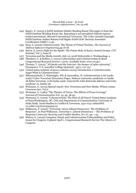- (44) Rajeev, P. (2003) 5 SANS Institute InfoSec Reading Room This paper is from the SANS Institute Reading Room site. Reposting is not permitted without express written permission. Beyond Conventional Terrorism. The Cyber Assault Copyright SANS Institute Author Retains Full Rights SANS GIAC Security Essentials Certification (GSEC) v1.4b.
- (45) Siraj, A. (2009) Cyberterrorism: The Threat of Virtual Warfare, *The Journal of Defense Software Engineering*,pp 16-18.
- (46) Starrs, S. (2012) Fight for the Spoils: The Future Role of Syria's Armed Groups. *CTC Sentinel,* Vol. 5, Issue 8.
- (47) Terrorism and the Media (2008), July 23, 2008 Deliverable 6, Workpackage 4
- (48) Theohary, C, & Rollins, J. (2015) Cyberwarfare and Cyberterrorism:in Brief Congressional Research Service 7-5700. Available from: www.crs.gov
- (49) Thomas, T. (2003) "*Al Qaeda and the Internet: the danger of cyber-planning*", Parameters: U.S. armyWar College Quarterly. 33(1), 112-123
- (50) United states institute of peace contents (2004) Introduction 2 Cyberterrorism Angst What Is Cyberterrorism?
- (51) Mliyanarachchi, F, Wijesinghe, WS, & Jayarathne, H. Cyberterrorism is Sri Lanka ready? Cyber Terrorism Discussion Paper, Defence university syndictate 10 intake 28 Syber terrorism, is Sri lanka ready, General Sir John Kotewala defence university syndicate 10, Intake 28.
- (52) Weimann, G. (2014) Special report: New Terrorism and New Media, Wilson centar, *Commons law.* Vol.2.
- (53) Weimann, G. (1983) "The Theater of Terror: The Effects of Press Coverage", *Journal of Communication.*Vol. 33, pp. 38 45,
- (54) Weimann, G. (2005) "Cyberterrorism: The Sum of All Fears? United States Institute of PeaceWashington, DC, USA and Department of Communication University of Haifa Haifa. Israel Studies in Conflict & Terrorism, 1521-0731 onlineDOI: 10.1080/10576100590905110
- (55) Wilkinson, P. (2002) "Terrorism versus Liberal Democracy: The Problems of Response", in Paul Wilkinson, Terrorism v. Liberal Democracy – *The Problems of Response Centre for Security and Conflict Studies*, No. 67, pp. 1-19.
- (56) Wilson, G. (2005) Computer Attack and Cuberterrorism:Vulnerabilities and Policy Issues for Congress Updated April 1, Congressional Research Service The Library of Congress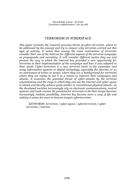## TERRORISM IN SYBERSPACE

*This paper presents the research growing threat of cyber-terrorism, where to be addressed by his concept and try to answer why terrorists carried out this type of activity. It seems that among the main motivations of terrorists consider their use of the Internet for different aspects of the terrorist campaign as propaganda and recruiting. It will consider different tactics they use and present the way in which the Internet has provided a new opportunity for terrorists in their implementation of the campaign and how it was adapted to their needs. Cyber-terrorism is a new terrorist tactic in the expansion and using information systems or digital technology, especially the internet, or as an instrument of action or target, where they are a battleground for terrorists where they are trying to use it as a means to improve their campaigns and attacks. It examines the potential threat of cyber-attacks by the terrorist organizations and the ways in which they can use the internet and cyber-space to attack and thereby achieve goals similar to conventional physical attacks. As the developed societies increasingly rely on electronic communications, control systems and trade creates the potential for terrorists to hit their target becomes increasingly realistic possibility. Internet has become more a way of life and making it easier for users to become targets cyberterorism.*

*KEYWORDS: terrorism / cyber-space / cyberterrorism / cyberterrorists / internet*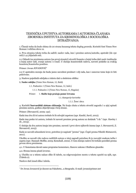## TEHNIČKA UPUTSTVA AUTORKAMA I AUTORIMA ČLANAKA ZBORNIKA INSTITUTA ZA KRIMINOLOŠKA I SOCIOLOŠKA ISTRAŽIVANJA

1. Članak treba da bude obima do 20 strana kucanog teksta duplog proreda. Koristiti font Times New Roman i veličinu slova 12.

2. Prva stranica teksta treba da sadrži: naslov rada, ime i prezime autora/autorke, apstrakt (do 150 reči) i 4-5 ključnih reči.

2.1 Odmah iza prezimena autora (na prvoj stranici) otvoriti fusnotu u kojoj treba dati naziv institucije u kojoj autor radi, zvanje autora i e-mail. U slučaju koautorskih radova, navesti podatke za svakog koautora/koautorku posebno.

Primer: Jovan JOVANOVIĆ

2.2 U apstraktu moraju da budu jasno navedeni predmet i cilj rada, kao i osnovne teme koje će biti pokrivene.

3. Naslove pojedinih odeljaka u tekstu dati u sledećem obliku:

**1. Naslov odeljka** (Times New Roman, 12, Bold)

*1.1. Podnaslov 1* (Times New Roman, 12, Italic)

1.1.1. Podnaslov 2 (Times New Roman, 12, Regular)

Primer: 1. **Službe koje pružaju pomo žrtvama** 

1.1. *Kategorije korisnika*

1.1.1. Žene i deca

4. Koristiti **harvardski sistem citiranja**. Na kraju citata u tekstu otvoriti zagradu i u njoj upisati prezime autora, godinu objavljivanja i broj strane.

Primer: (Stevanović, 2009: 152).

Kada ima dva ili tri autora trebalo bi ih odvojiti zapetom (npr. Knežić, Savić, 2012).

Kada ima preko tri autora, trebalo bi navesti prezime prvog autora uz dodatak "i dr." (npr. Hawley i dr., 2013).

U slučaju da dva autora imaju isto prezime, navesti i prvo slovo njihovih imena (npr. I. Stevanović, Z. Stevanović, 2015).

Kada se navodi sekundarni izvor, potrebno je napisati "prema" (npr. Ćopić prema Nikolić-Ristanović, 2011).

Ukoliko se navodi više radova različitih autora u istoj zagradi potrebno ih je razvojiti znakom tačka i zapeta (npr. Hannah-Moffat, 2005; Kemshall, 2002). U tom slučaju radove bi trebalo poređati prema prvom slovu prezimena.

4.1. U fusnotama davati samo propratne komentare, članove zakona i Službene glasnike.

4.2. Strana imena pisati izvorno.

5. Ukoliko se u tekstu nalaze slike ili tabele, na odgovarajućem mestu u tekstu uputiti na njih, npr. (Tabela 2).

Naslove dati iznad slika i tabela.

Dr Jovan Jovanović je docent na Fakultetu...u Beogradu. E-mail: jovan@primer.net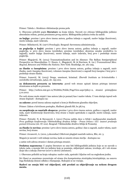Primer: Tabela 1. Struktura viktimizacije prema polu

6. Obavezno priložiti popis **literature** na kraju teksta. Navesti sve citirane bibliografske jedinice abecednim redom, prema prezimenu prvog autora. Bibliografska jedinica treba da sadrži:

**za knjige**: prezime i prvo slovo imena autora, godina izdanja u zagradi, naslov knjige (kurzivom), mesto izdanja, naziv izdavača.

Primer: Milutinović, M. (1977) *Penologija.* Beograd: Savremena administracija.

**za poglavlja u knjizi**: prezime i prvo slovo imena autora, godina izdanja u zagradi, naslov poglavlja, u: prvo slovo imena (urednika), prezime (urednika), skraćena oznaka uredništva (u zagradi), naslov knjige (kurzivom), mesto izdanja, naziv izdavača, broj prve i poslednje strane poglavlja.

Primer: Blagojević, M. (2013) Transnationalization and its Absence: The Balkan Semiperipheral Perspective on Masculinities. U: Hearn, J., Blagojević, M. & Harrison, K. (ur.) *Transnational Men: Beyond, Between and Within the Nations*. New York: Routledge, str. 261-295.

**za članke u časopisima**: prezime i prvo slovo imena autora, godina izdanja u zagradi, naziv članka, naziv časopisa (kurzivom), volumen časopisa (kurzivom) u zagradi broj časopisa i broj prve i poslednje strane članka.

Primer: Ivanović, M. (2015) Droga, umetnost, kriminal. *Zbornik Instituta za kriminološka i sociološka istraživanja*, *34*(4), str. 193-202.

**za dokumenta preuzeta sa interneta**: pored web strane upisati datum pristupa internet stranicama sa kojih su preuzeta.

Primer: http://webrzs.stat.gov.rs/WebSite/Public/PageView.aspx?pKey=2, stranici pristupljeno 5.10.2012

Pre web strane može stajati i ime autora (ako je poznat) kao i naslov teksta. U tom slučaju ispred web strane dopisati - dostupno na:

**za zakone:** pored imena zakona napisati u kom je Službenom glasniku objavljen.

Primer: Zakon o krivičnom postupku, Službeni glasnik RS, br.58/04.

**za saopštenja sa naučnih skupova:** prezime i prvo slovo imena autora, godina u zagradi, naslov rada, naziv konferencije (kurzivom), broj strane u knjizi apstrakata u zagradi, mesto izdanja, naziv izdavača.

Primer: Petrušić, N, & Stevanović, I. (2011) Pravna zaštita dece u Srbiji i međunarodni standardi. *Prva godišnja konferencija Viktimološkog društva Srbije - Prava žrtava i EU: izazovi pružanja pomoći žrtvama* (str. 87-102). Beograd: Viktimološko društvo Srbije & Prometej.

**za članke iz novina:** prezime i prvo slovo imena autora, godina i dan u zagradi, naslov teksta, naziv novina, broj strane.

Primer: Jovanović, A. (2012, 5.decembar) Otkriveni plagijati naučnih radova, Blic, str. 5.

Moguće je navesti i web izdanje novina, kada se umesto strane stavlja - dostupno na:

a zatim web adresa stranice i datum pristupa stranici.

**Dodatna napomena:** U popisu literature ne sme biti bibliografskih jedinica koje se ne navode u tekstu rada, a moraju biti sve jedinice koje se pominju, uključujući zakone, izveštaje, ali i veb strane (koje idu u sekciju *Internet izvori* u okviru Literature).

7. Obavezno priložiti na kraju rukopisa: naslov rada, apstrakt i ključne reči na engleskom jeziku.

Svi članci se anonimno recenziraju od strane dva kompetentna stručnjaka/stručnjakinje, na osnovu čega Redakcija donosi odluku o štampanju. Rukopisi se ne vraćaju.

**Radovi ne smeju biti već objavljeni, niti predati za objavljivanje na nekom drugom mestu.**